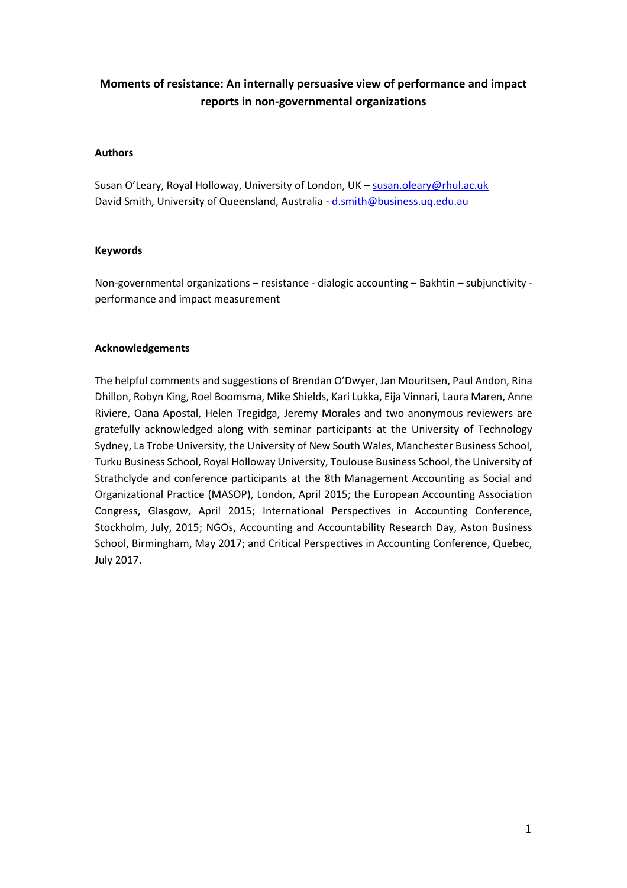# **Moments of resistance: An internally persuasive view of performance and impact reports in non-governmental organizations**

# **Authors**

Susan O'Leary, Royal Holloway, University of London, UK - [susan.oleary@rhul.ac.uk](mailto:susan.oleary@rhul.ac.uk) David Smith, University of Queensland, Australia - [d.smith@business.uq.edu.au](mailto:d.smith@business.uq.edu.au)

# **Keywords**

Non-governmental organizations – resistance - dialogic accounting – Bakhtin – subjunctivity performance and impact measurement

# **Acknowledgements**

The helpful comments and suggestions of Brendan O'Dwyer, Jan Mouritsen, Paul Andon, Rina Dhillon, Robyn King, Roel Boomsma, Mike Shields, Kari Lukka, Eija Vinnari, Laura Maren, Anne Riviere, Oana Apostal, Helen Tregidga, Jeremy Morales and two anonymous reviewers are gratefully acknowledged along with seminar participants at the University of Technology Sydney, La Trobe University, the University of New South Wales, Manchester Business School, Turku Business School, Royal Holloway University, Toulouse Business School, the University of Strathclyde and conference participants at the 8th Management Accounting as Social and Organizational Practice (MASOP), London, April 2015; the European Accounting Association Congress, Glasgow, April 2015; International Perspectives in Accounting Conference, Stockholm, July, 2015; NGOs, Accounting and Accountability Research Day, Aston Business School, Birmingham, May 2017; and Critical Perspectives in Accounting Conference, Quebec, July 2017.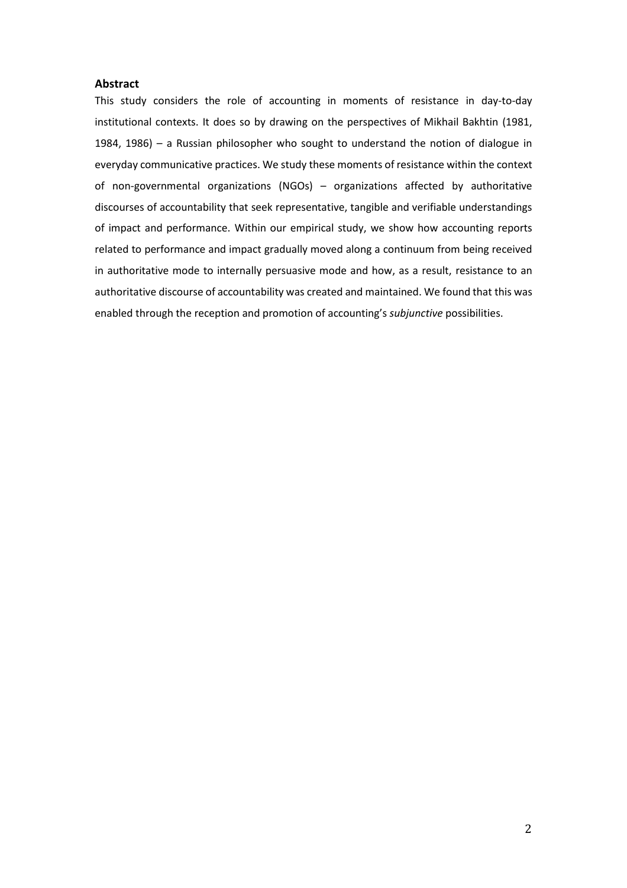# **Abstract**

This study considers the role of accounting in moments of resistance in day-to-day institutional contexts. It does so by drawing on the perspectives of Mikhail Bakhtin (1981, 1984, 1986) – a Russian philosopher who sought to understand the notion of dialogue in everyday communicative practices. We study these moments of resistance within the context of non-governmental organizations (NGOs) – organizations affected by authoritative discourses of accountability that seek representative, tangible and verifiable understandings of impact and performance. Within our empirical study, we show how accounting reports related to performance and impact gradually moved along a continuum from being received in authoritative mode to internally persuasive mode and how, as a result, resistance to an authoritative discourse of accountability was created and maintained. We found that this was enabled through the reception and promotion of accounting's *subjunctive* possibilities.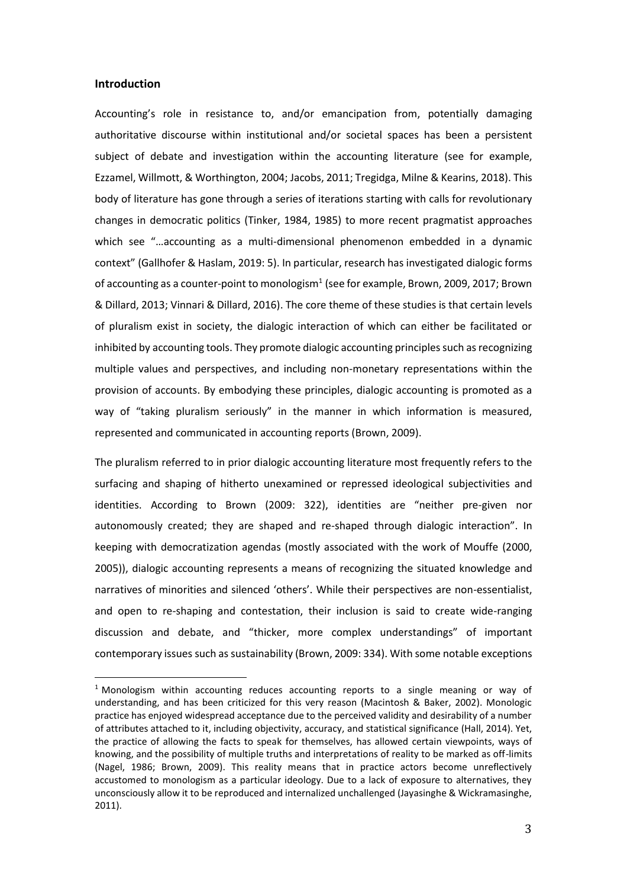#### **Introduction**

Accounting's role in resistance to, and/or emancipation from, potentially damaging authoritative discourse within institutional and/or societal spaces has been a persistent subject of debate and investigation within the accounting literature (see for example, Ezzamel, Willmott, & Worthington, 2004; Jacobs, 2011; Tregidga, Milne & Kearins, 2018). This body of literature has gone through a series of iterations starting with calls for revolutionary changes in democratic politics (Tinker, 1984, 1985) to more recent pragmatist approaches which see "…accounting as a multi-dimensional phenomenon embedded in a dynamic context" (Gallhofer & Haslam, 2019: 5). In particular, research has investigated dialogic forms of accounting as a counter-point to monologism $^1$  (see for example, Brown, 2009, 2017; Brown & Dillard, 2013; Vinnari & Dillard, 2016). The core theme of these studies is that certain levels of pluralism exist in society, the dialogic interaction of which can either be facilitated or inhibited by accounting tools. They promote dialogic accounting principles such as recognizing multiple values and perspectives, and including non-monetary representations within the provision of accounts. By embodying these principles, dialogic accounting is promoted as a way of "taking pluralism seriously" in the manner in which information is measured, represented and communicated in accounting reports (Brown, 2009).

The pluralism referred to in prior dialogic accounting literature most frequently refers to the surfacing and shaping of hitherto unexamined or repressed ideological subjectivities and identities. According to Brown (2009: 322), identities are "neither pre-given nor autonomously created; they are shaped and re-shaped through dialogic interaction". In keeping with democratization agendas (mostly associated with the work of Mouffe (2000, 2005)), dialogic accounting represents a means of recognizing the situated knowledge and narratives of minorities and silenced 'others'. While their perspectives are non-essentialist, and open to re-shaping and contestation, their inclusion is said to create wide-ranging discussion and debate, and "thicker, more complex understandings" of important contemporary issues such as sustainability (Brown, 2009: 334). With some notable exceptions

 $1$  Monologism within accounting reduces accounting reports to a single meaning or way of understanding, and has been criticized for this very reason (Macintosh & Baker, 2002). Monologic practice has enjoyed widespread acceptance due to the perceived validity and desirability of a number of attributes attached to it, including objectivity, accuracy, and statistical significance (Hall, 2014). Yet, the practice of allowing the facts to speak for themselves, has allowed certain viewpoints, ways of knowing, and the possibility of multiple truths and interpretations of reality to be marked as off-limits (Nagel, 1986; Brown, 2009). This reality means that in practice actors become unreflectively accustomed to monologism as a particular ideology. Due to a lack of exposure to alternatives, they unconsciously allow it to be reproduced and internalized unchallenged (Jayasinghe & Wickramasinghe, 2011).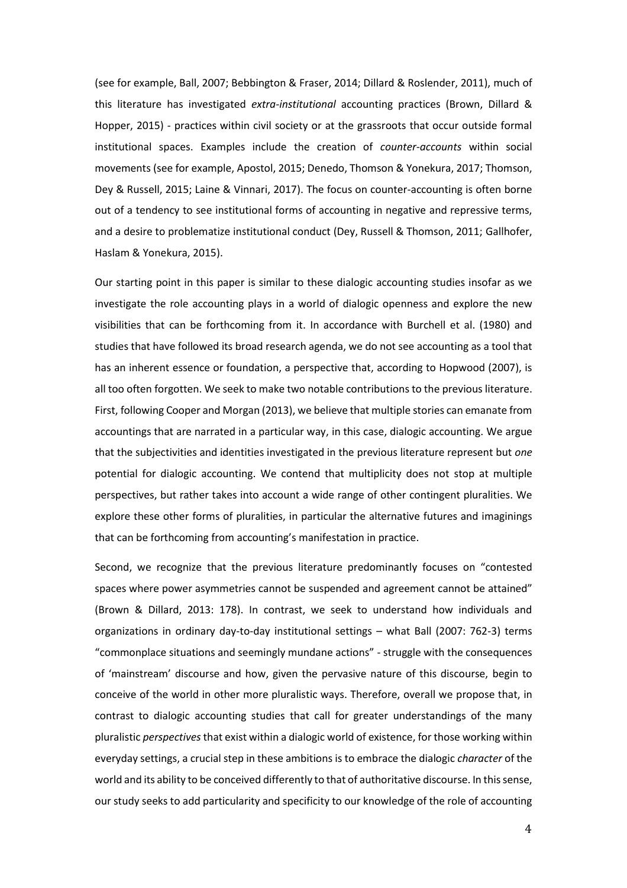(see for example, Ball, 2007; Bebbington & Fraser, 2014; Dillard & Roslender, 2011), much of this literature has investigated *extra-institutional* accounting practices (Brown, Dillard & Hopper, 2015) - practices within civil society or at the grassroots that occur outside formal institutional spaces. Examples include the creation of *counter-accounts* within social movements (see for example, Apostol, 2015; Denedo, Thomson & Yonekura, 2017; Thomson, Dey & Russell, 2015; Laine & Vinnari, 2017). The focus on counter-accounting is often borne out of a tendency to see institutional forms of accounting in negative and repressive terms, and a desire to problematize institutional conduct (Dey, Russell & Thomson, 2011; Gallhofer, Haslam & Yonekura, 2015).

Our starting point in this paper is similar to these dialogic accounting studies insofar as we investigate the role accounting plays in a world of dialogic openness and explore the new visibilities that can be forthcoming from it. In accordance with Burchell et al. (1980) and studies that have followed its broad research agenda, we do not see accounting as a tool that has an inherent essence or foundation, a perspective that, according to Hopwood (2007), is all too often forgotten. We seek to make two notable contributions to the previous literature. First, following Cooper and Morgan (2013), we believe that multiple stories can emanate from accountings that are narrated in a particular way, in this case, dialogic accounting. We argue that the subjectivities and identities investigated in the previous literature represent but *one* potential for dialogic accounting. We contend that multiplicity does not stop at multiple perspectives, but rather takes into account a wide range of other contingent pluralities. We explore these other forms of pluralities, in particular the alternative futures and imaginings that can be forthcoming from accounting's manifestation in practice.

Second, we recognize that the previous literature predominantly focuses on "contested spaces where power asymmetries cannot be suspended and agreement cannot be attained" (Brown & Dillard, 2013: 178). In contrast, we seek to understand how individuals and organizations in ordinary day-to-day institutional settings – what Ball (2007: 762-3) terms "commonplace situations and seemingly mundane actions" - struggle with the consequences of 'mainstream' discourse and how, given the pervasive nature of this discourse, begin to conceive of the world in other more pluralistic ways. Therefore, overall we propose that, in contrast to dialogic accounting studies that call for greater understandings of the many pluralistic *perspectives*that exist within a dialogic world of existence, for those working within everyday settings, a crucial step in these ambitions is to embrace the dialogic *character* of the world and its ability to be conceived differently to that of authoritative discourse. In this sense, our study seeks to add particularity and specificity to our knowledge of the role of accounting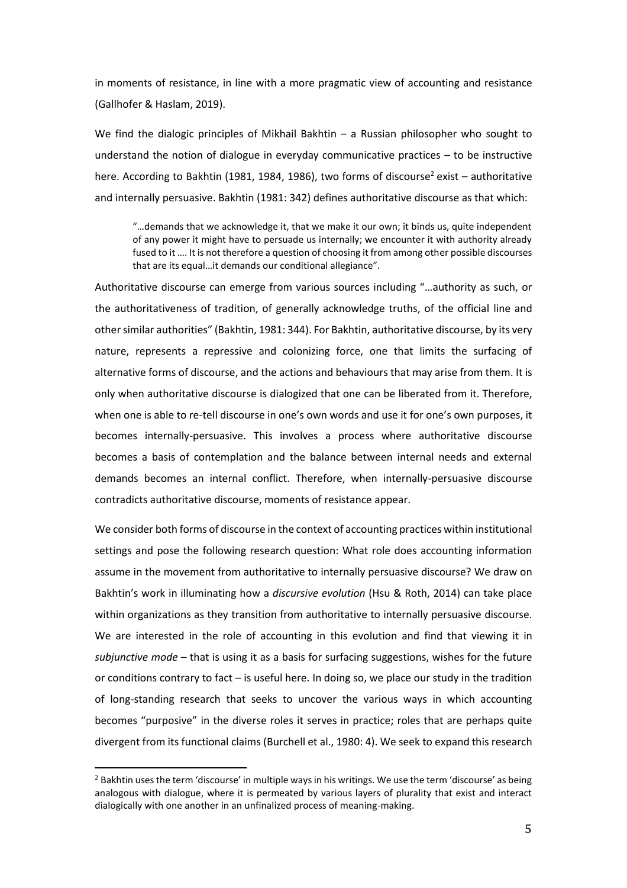in moments of resistance, in line with a more pragmatic view of accounting and resistance (Gallhofer & Haslam, 2019).

We find the dialogic principles of Mikhail Bakhtin – a Russian philosopher who sought to understand the notion of dialogue in everyday communicative practices – to be instructive here. According to Bakhtin (1981, 1984, 1986), two forms of discourse<sup>2</sup> exist – authoritative and internally persuasive. Bakhtin (1981: 342) defines authoritative discourse as that which:

"…demands that we acknowledge it, that we make it our own; it binds us, quite independent of any power it might have to persuade us internally; we encounter it with authority already fused to it …. It is not therefore a question of choosing it from among other possible discourses that are its equal…it demands our conditional allegiance".

Authoritative discourse can emerge from various sources including "…authority as such, or the authoritativeness of tradition, of generally acknowledge truths, of the official line and other similar authorities" (Bakhtin, 1981: 344). For Bakhtin, authoritative discourse, by its very nature, represents a repressive and colonizing force, one that limits the surfacing of alternative forms of discourse, and the actions and behaviours that may arise from them. It is only when authoritative discourse is dialogized that one can be liberated from it. Therefore, when one is able to re-tell discourse in one's own words and use it for one's own purposes, it becomes internally-persuasive. This involves a process where authoritative discourse becomes a basis of contemplation and the balance between internal needs and external demands becomes an internal conflict. Therefore, when internally-persuasive discourse contradicts authoritative discourse, moments of resistance appear.

We consider both forms of discourse in the context of accounting practices within institutional settings and pose the following research question: What role does accounting information assume in the movement from authoritative to internally persuasive discourse? We draw on Bakhtin's work in illuminating how a *discursive evolution* (Hsu & Roth, 2014) can take place within organizations as they transition from authoritative to internally persuasive discourse. We are interested in the role of accounting in this evolution and find that viewing it in *subjunctive mode* – that is using it as a basis for surfacing suggestions, wishes for the future or conditions contrary to fact – is useful here. In doing so, we place our study in the tradition of long-standing research that seeks to uncover the various ways in which accounting becomes "purposive" in the diverse roles it serves in practice; roles that are perhaps quite divergent from its functional claims (Burchell et al., 1980: 4). We seek to expand this research

 $\overline{a}$ 

<sup>&</sup>lt;sup>2</sup> Bakhtin uses the term 'discourse' in multiple ways in his writings. We use the term 'discourse' as being analogous with dialogue, where it is permeated by various layers of plurality that exist and interact dialogically with one another in an unfinalized process of meaning-making.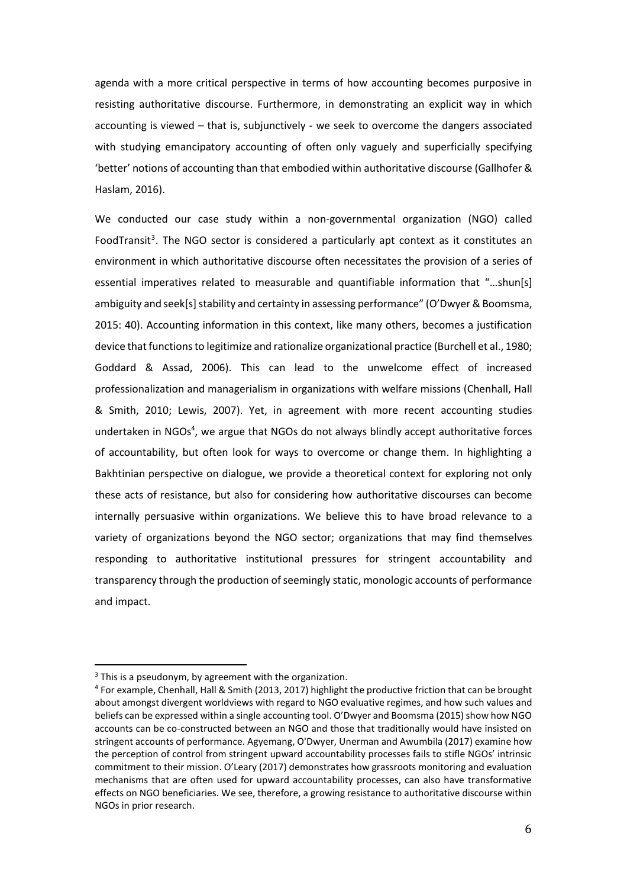agenda with a more critical perspective in terms of how accounting becomes purposive in resisting authoritative discourse. Furthermore, in demonstrating an explicit way in which accounting is viewed – that is, subjunctively - we seek to overcome the dangers associated with studying emancipatory accounting of often only vaguely and superficially specifying 'better' notions of accounting than that embodied within authoritative discourse (Gallhofer & Haslam, 2016).

We conducted our case study within a non-governmental organization (NGO) called FoodTransit<sup>3</sup>. The NGO sector is considered a particularly apt context as it constitutes an environment in which authoritative discourse often necessitates the provision of a series of essential imperatives related to measurable and quantifiable information that "…shun[s] ambiguity and seek[s] stability and certainty in assessing performance" (O'Dwyer & Boomsma, 2015: 40). Accounting information in this context, like many others, becomes a justification device that functions to legitimize and rationalize organizational practice (Burchell et al., 1980; Goddard & Assad, 2006). This can lead to the unwelcome effect of increased professionalization and managerialism in organizations with welfare missions (Chenhall, Hall & Smith, 2010; Lewis, 2007). Yet, in agreement with more recent accounting studies undertaken in NGOs<sup>4</sup>, we argue that NGOs do not always blindly accept authoritative forces of accountability, but often look for ways to overcome or change them. In highlighting a Bakhtinian perspective on dialogue, we provide a theoretical context for exploring not only these acts of resistance, but also for considering how authoritative discourses can become internally persuasive within organizations. We believe this to have broad relevance to a variety of organizations beyond the NGO sector; organizations that may find themselves responding to authoritative institutional pressures for stringent accountability and transparency through the production of seemingly static, monologic accounts of performance and impact.

 $\overline{a}$ 

 $3$  This is a pseudonym, by agreement with the organization.

<sup>4</sup> For example, Chenhall, Hall & Smith (2013, 2017) highlight the productive friction that can be brought about amongst divergent worldviews with regard to NGO evaluative regimes, and how such values and beliefs can be expressed within a single accounting tool. O'Dwyer and Boomsma (2015) show how NGO accounts can be co-constructed between an NGO and those that traditionally would have insisted on stringent accounts of performance. Agyemang, O'Dwyer, Unerman and Awumbila (2017) examine how the perception of control from stringent upward accountability processes fails to stifle NGOs' intrinsic commitment to their mission. O'Leary (2017) demonstrates how grassroots monitoring and evaluation mechanisms that are often used for upward accountability processes, can also have transformative effects on NGO beneficiaries. We see, therefore, a growing resistance to authoritative discourse within NGOs in prior research.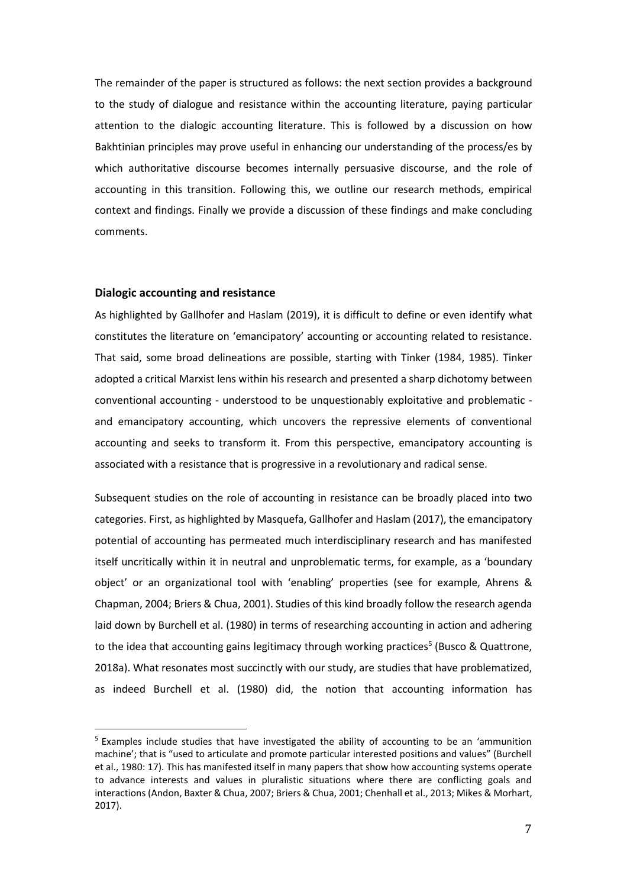The remainder of the paper is structured as follows: the next section provides a background to the study of dialogue and resistance within the accounting literature, paying particular attention to the dialogic accounting literature. This is followed by a discussion on how Bakhtinian principles may prove useful in enhancing our understanding of the process/es by which authoritative discourse becomes internally persuasive discourse, and the role of accounting in this transition. Following this, we outline our research methods, empirical context and findings. Finally we provide a discussion of these findings and make concluding comments.

# **Dialogic accounting and resistance**

 $\overline{a}$ 

As highlighted by Gallhofer and Haslam (2019), it is difficult to define or even identify what constitutes the literature on 'emancipatory' accounting or accounting related to resistance. That said, some broad delineations are possible, starting with Tinker (1984, 1985). Tinker adopted a critical Marxist lens within his research and presented a sharp dichotomy between conventional accounting - understood to be unquestionably exploitative and problematic and emancipatory accounting, which uncovers the repressive elements of conventional accounting and seeks to transform it. From this perspective, emancipatory accounting is associated with a resistance that is progressive in a revolutionary and radical sense.

Subsequent studies on the role of accounting in resistance can be broadly placed into two categories. First, as highlighted by Masquefa, Gallhofer and Haslam (2017), the emancipatory potential of accounting has permeated much interdisciplinary research and has manifested itself uncritically within it in neutral and unproblematic terms, for example, as a 'boundary object' or an organizational tool with 'enabling' properties (see for example, Ahrens & Chapman, 2004; Briers & Chua, 2001). Studies of this kind broadly follow the research agenda laid down by Burchell et al. (1980) in terms of researching accounting in action and adhering to the idea that accounting gains legitimacy through working practices<sup>5</sup> (Busco & Quattrone, 2018a). What resonates most succinctly with our study, are studies that have problematized, as indeed Burchell et al. (1980) did, the notion that accounting information has

<sup>&</sup>lt;sup>5</sup> Examples include studies that have investigated the ability of accounting to be an 'ammunition machine'; that is "used to articulate and promote particular interested positions and values" (Burchell et al., 1980: 17). This has manifested itself in many papers that show how accounting systems operate to advance interests and values in pluralistic situations where there are conflicting goals and interactions (Andon, Baxter & Chua, 2007; Briers & Chua, 2001; Chenhall et al., 2013; Mikes & Morhart, 2017).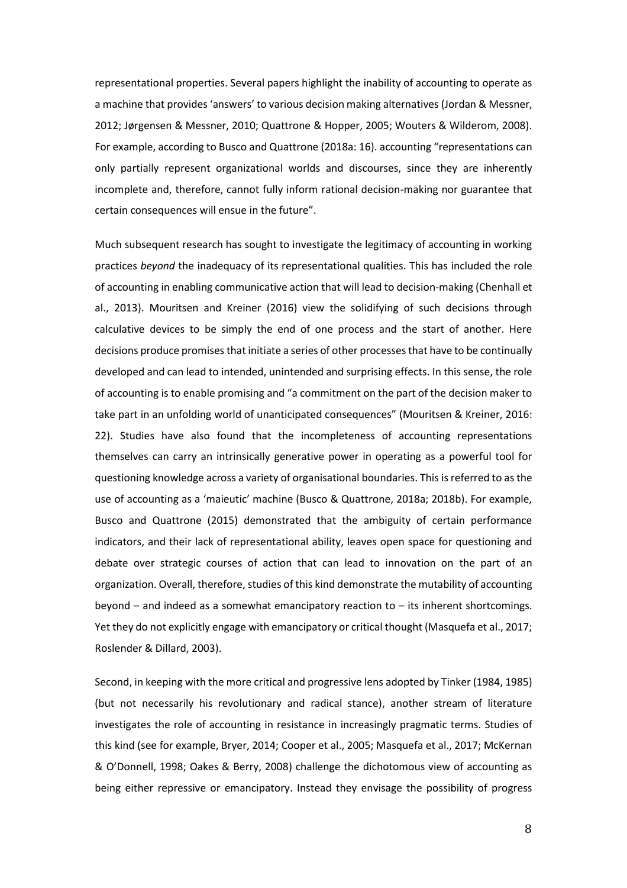representational properties. Several papers highlight the inability of accounting to operate as a machine that provides 'answers' to various decision making alternatives (Jordan & Messner, 2012; Jørgensen & Messner, 2010; Quattrone & Hopper, 2005; Wouters & Wilderom, 2008). For example, according to Busco and Quattrone (2018a: 16). accounting "representations can only partially represent organizational worlds and discourses, since they are inherently incomplete and, therefore, cannot fully inform rational decision-making nor guarantee that certain consequences will ensue in the future".

Much subsequent research has sought to investigate the legitimacy of accounting in working practices *beyond* the inadequacy of its representational qualities. This has included the role of accounting in enabling communicative action that will lead to decision-making (Chenhall et al., 2013). Mouritsen and Kreiner (2016) view the solidifying of such decisions through calculative devices to be simply the end of one process and the start of another. Here decisions produce promises that initiate a series of other processes that have to be continually developed and can lead to intended, unintended and surprising effects. In this sense, the role of accounting is to enable promising and "a commitment on the part of the decision maker to take part in an unfolding world of unanticipated consequences" (Mouritsen & Kreiner, 2016: 22). Studies have also found that the incompleteness of accounting representations themselves can carry an intrinsically generative power in operating as a powerful tool for questioning knowledge across a variety of organisational boundaries. This is referred to as the use of accounting as a 'maieutic' machine (Busco & Quattrone, 2018a; 2018b). For example, Busco and Quattrone (2015) demonstrated that the ambiguity of certain performance indicators, and their lack of representational ability, leaves open space for questioning and debate over strategic courses of action that can lead to innovation on the part of an organization. Overall, therefore, studies of this kind demonstrate the mutability of accounting beyond – and indeed as a somewhat emancipatory reaction to – its inherent shortcomings. Yet they do not explicitly engage with emancipatory or critical thought (Masquefa et al., 2017; Roslender & Dillard, 2003).

Second, in keeping with the more critical and progressive lens adopted by Tinker (1984, 1985) (but not necessarily his revolutionary and radical stance), another stream of literature investigates the role of accounting in resistance in increasingly pragmatic terms. Studies of this kind (see for example, Bryer, 2014; Cooper et al., 2005; Masquefa et al., 2017; McKernan & O'Donnell, 1998; Oakes & Berry, 2008) challenge the dichotomous view of accounting as being either repressive or emancipatory. Instead they envisage the possibility of progress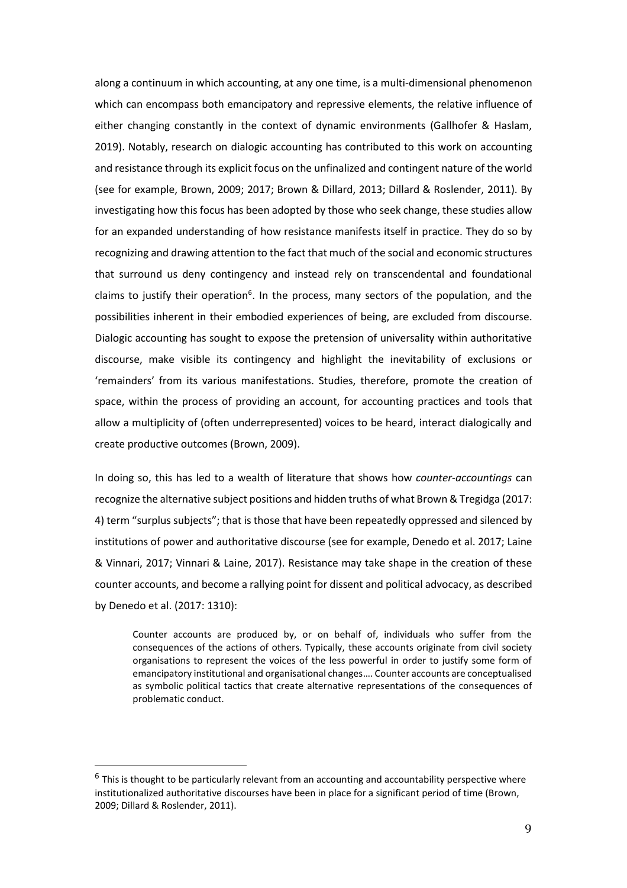along a continuum in which accounting, at any one time, is a multi-dimensional phenomenon which can encompass both emancipatory and repressive elements, the relative influence of either changing constantly in the context of dynamic environments (Gallhofer & Haslam, 2019). Notably, research on dialogic accounting has contributed to this work on accounting and resistance through its explicit focus on the unfinalized and contingent nature of the world (see for example, Brown, 2009; 2017; Brown & Dillard, 2013; Dillard & Roslender, 2011). By investigating how this focus has been adopted by those who seek change, these studies allow for an expanded understanding of how resistance manifests itself in practice. They do so by recognizing and drawing attention to the fact that much of the social and economic structures that surround us deny contingency and instead rely on transcendental and foundational claims to justify their operation<sup>6</sup>. In the process, many sectors of the population, and the possibilities inherent in their embodied experiences of being, are excluded from discourse. Dialogic accounting has sought to expose the pretension of universality within authoritative discourse, make visible its contingency and highlight the inevitability of exclusions or 'remainders' from its various manifestations. Studies, therefore, promote the creation of space, within the process of providing an account, for accounting practices and tools that allow a multiplicity of (often underrepresented) voices to be heard, interact dialogically and create productive outcomes (Brown, 2009).

In doing so, this has led to a wealth of literature that shows how *counter-accountings* can recognize the alternative subject positions and hidden truths of what Brown & Tregidga (2017: 4) term "surplus subjects"; that is those that have been repeatedly oppressed and silenced by institutions of power and authoritative discourse (see for example, Denedo et al. 2017; Laine & Vinnari, 2017; Vinnari & Laine, 2017). Resistance may take shape in the creation of these counter accounts, and become a rallying point for dissent and political advocacy, as described by Denedo et al. (2017: 1310):

Counter accounts are produced by, or on behalf of, individuals who suffer from the consequences of the actions of others. Typically, these accounts originate from civil society organisations to represent the voices of the less powerful in order to justify some form of emancipatory institutional and organisational changes…. Counter accounts are conceptualised as symbolic political tactics that create alternative representations of the consequences of problematic conduct.

 $\overline{\phantom{a}}$ 

 $^6$  This is thought to be particularly relevant from an accounting and accountability perspective where institutionalized authoritative discourses have been in place for a significant period of time (Brown, 2009; Dillard & Roslender, 2011).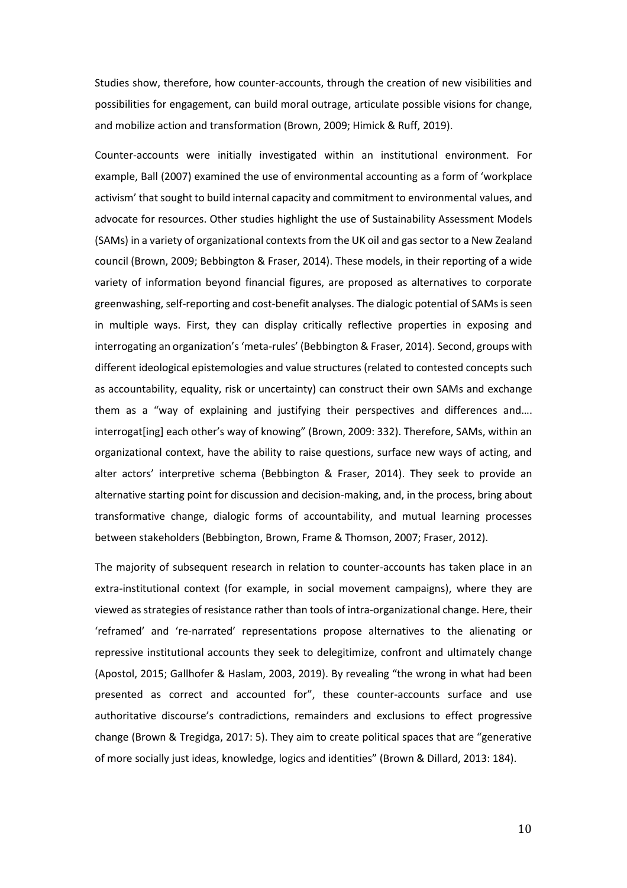Studies show, therefore, how counter-accounts, through the creation of new visibilities and possibilities for engagement, can build moral outrage, articulate possible visions for change, and mobilize action and transformation (Brown, 2009; Himick & Ruff, 2019).

Counter-accounts were initially investigated within an institutional environment. For example, Ball (2007) examined the use of environmental accounting as a form of 'workplace activism' that sought to build internal capacity and commitment to environmental values, and advocate for resources. Other studies highlight the use of Sustainability Assessment Models (SAMs) in a variety of organizational contexts from the UK oil and gas sector to a New Zealand council (Brown, 2009; Bebbington & Fraser, 2014). These models, in their reporting of a wide variety of information beyond financial figures, are proposed as alternatives to corporate greenwashing, self-reporting and cost-benefit analyses. The dialogic potential of SAMs is seen in multiple ways. First, they can display critically reflective properties in exposing and interrogating an organization's 'meta-rules' (Bebbington & Fraser, 2014). Second, groups with different ideological epistemologies and value structures (related to contested concepts such as accountability, equality, risk or uncertainty) can construct their own SAMs and exchange them as a "way of explaining and justifying their perspectives and differences and…. interrogat[ing] each other's way of knowing" (Brown, 2009: 332). Therefore, SAMs, within an organizational context, have the ability to raise questions, surface new ways of acting, and alter actors' interpretive schema (Bebbington & Fraser, 2014). They seek to provide an alternative starting point for discussion and decision-making, and, in the process, bring about transformative change, dialogic forms of accountability, and mutual learning processes between stakeholders (Bebbington, Brown, Frame & Thomson, 2007; Fraser, 2012).

The majority of subsequent research in relation to counter-accounts has taken place in an extra-institutional context (for example, in social movement campaigns), where they are viewed as strategies of resistance rather than tools of intra-organizational change. Here, their 'reframed' and 're-narrated' representations propose alternatives to the alienating or repressive institutional accounts they seek to delegitimize, confront and ultimately change (Apostol, 2015; Gallhofer & Haslam, 2003, 2019). By revealing "the wrong in what had been presented as correct and accounted for", these counter-accounts surface and use authoritative discourse's contradictions, remainders and exclusions to effect progressive change (Brown & Tregidga, 2017: 5). They aim to create political spaces that are "generative of more socially just ideas, knowledge, logics and identities" (Brown & Dillard, 2013: 184).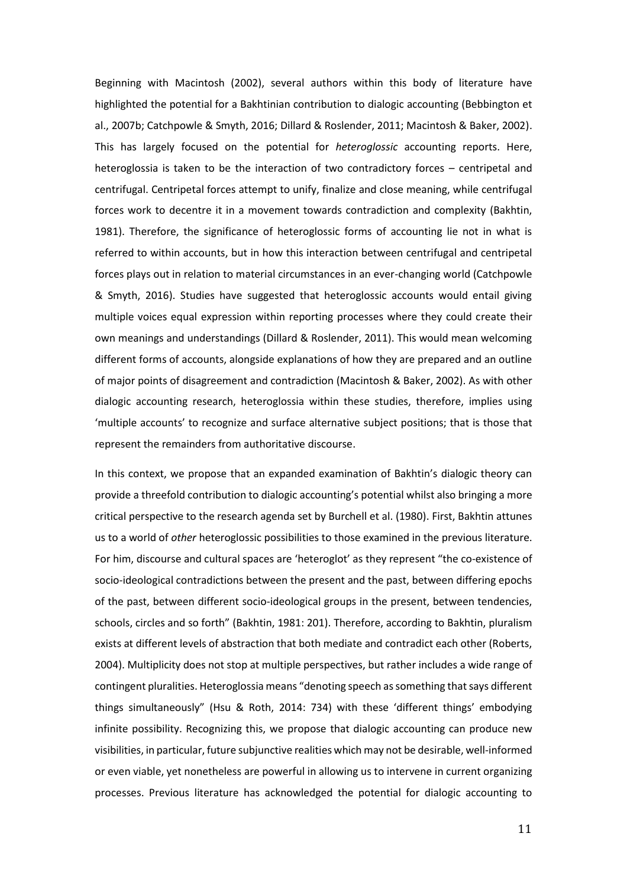Beginning with Macintosh (2002), several authors within this body of literature have highlighted the potential for a Bakhtinian contribution to dialogic accounting (Bebbington et al., 2007b; Catchpowle & Smyth, 2016; Dillard & Roslender, 2011; Macintosh & Baker, 2002). This has largely focused on the potential for *heteroglossic* accounting reports. Here, heteroglossia is taken to be the interaction of two contradictory forces – centripetal and centrifugal. Centripetal forces attempt to unify, finalize and close meaning, while centrifugal forces work to decentre it in a movement towards contradiction and complexity (Bakhtin, 1981). Therefore, the significance of heteroglossic forms of accounting lie not in what is referred to within accounts, but in how this interaction between centrifugal and centripetal forces plays out in relation to material circumstances in an ever-changing world (Catchpowle & Smyth, 2016). Studies have suggested that heteroglossic accounts would entail giving multiple voices equal expression within reporting processes where they could create their own meanings and understandings (Dillard & Roslender, 2011). This would mean welcoming different forms of accounts, alongside explanations of how they are prepared and an outline of major points of disagreement and contradiction (Macintosh & Baker, 2002). As with other dialogic accounting research, heteroglossia within these studies, therefore, implies using 'multiple accounts' to recognize and surface alternative subject positions; that is those that represent the remainders from authoritative discourse.

In this context, we propose that an expanded examination of Bakhtin's dialogic theory can provide a threefold contribution to dialogic accounting's potential whilst also bringing a more critical perspective to the research agenda set by Burchell et al. (1980). First, Bakhtin attunes us to a world of *other* heteroglossic possibilities to those examined in the previous literature. For him, discourse and cultural spaces are 'heteroglot' as they represent "the co-existence of socio-ideological contradictions between the present and the past, between differing epochs of the past, between different socio-ideological groups in the present, between tendencies, schools, circles and so forth" (Bakhtin, 1981: 201). Therefore, according to Bakhtin, pluralism exists at different levels of abstraction that both mediate and contradict each other (Roberts, 2004). Multiplicity does not stop at multiple perspectives, but rather includes a wide range of contingent pluralities. Heteroglossia means "denoting speech as something that says different things simultaneously" (Hsu & Roth, 2014: 734) with these 'different things' embodying infinite possibility. Recognizing this, we propose that dialogic accounting can produce new visibilities, in particular, future subjunctive realities which may not be desirable, well-informed or even viable, yet nonetheless are powerful in allowing us to intervene in current organizing processes. Previous literature has acknowledged the potential for dialogic accounting to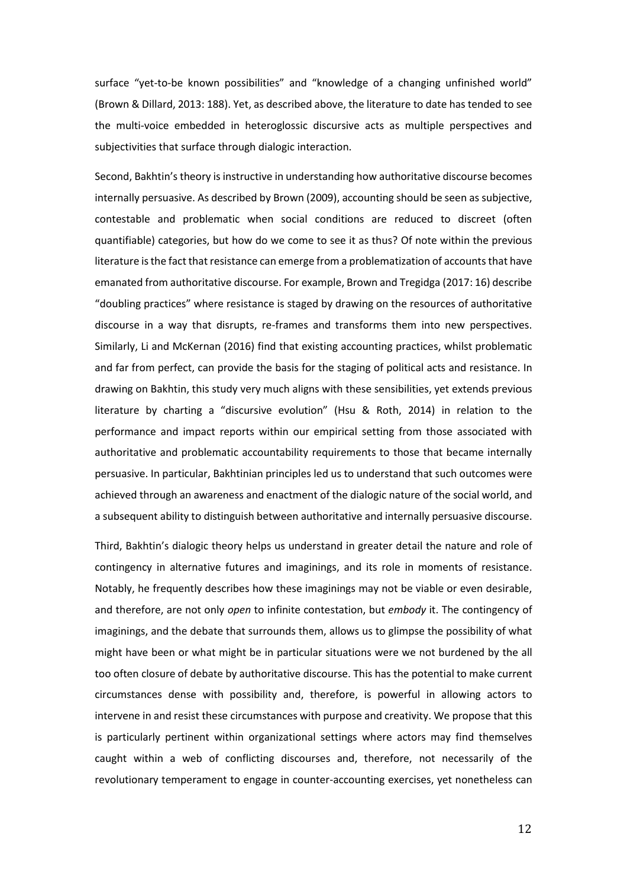surface "yet-to-be known possibilities" and "knowledge of a changing unfinished world" (Brown & Dillard, 2013: 188). Yet, as described above, the literature to date has tended to see the multi-voice embedded in heteroglossic discursive acts as multiple perspectives and subjectivities that surface through dialogic interaction.

Second, Bakhtin's theory is instructive in understanding how authoritative discourse becomes internally persuasive. As described by Brown (2009), accounting should be seen as subjective, contestable and problematic when social conditions are reduced to discreet (often quantifiable) categories, but how do we come to see it as thus? Of note within the previous literature is the fact that resistance can emerge from a problematization of accounts that have emanated from authoritative discourse. For example, Brown and Tregidga (2017: 16) describe "doubling practices" where resistance is staged by drawing on the resources of authoritative discourse in a way that disrupts, re-frames and transforms them into new perspectives. Similarly, Li and McKernan (2016) find that existing accounting practices, whilst problematic and far from perfect, can provide the basis for the staging of political acts and resistance. In drawing on Bakhtin, this study very much aligns with these sensibilities, yet extends previous literature by charting a "discursive evolution" (Hsu & Roth, 2014) in relation to the performance and impact reports within our empirical setting from those associated with authoritative and problematic accountability requirements to those that became internally persuasive. In particular, Bakhtinian principles led us to understand that such outcomes were achieved through an awareness and enactment of the dialogic nature of the social world, and a subsequent ability to distinguish between authoritative and internally persuasive discourse.

Third, Bakhtin's dialogic theory helps us understand in greater detail the nature and role of contingency in alternative futures and imaginings, and its role in moments of resistance. Notably, he frequently describes how these imaginings may not be viable or even desirable, and therefore, are not only *open* to infinite contestation, but *embody* it. The contingency of imaginings, and the debate that surrounds them, allows us to glimpse the possibility of what might have been or what might be in particular situations were we not burdened by the all too often closure of debate by authoritative discourse. This has the potential to make current circumstances dense with possibility and, therefore, is powerful in allowing actors to intervene in and resist these circumstances with purpose and creativity. We propose that this is particularly pertinent within organizational settings where actors may find themselves caught within a web of conflicting discourses and, therefore, not necessarily of the revolutionary temperament to engage in counter-accounting exercises, yet nonetheless can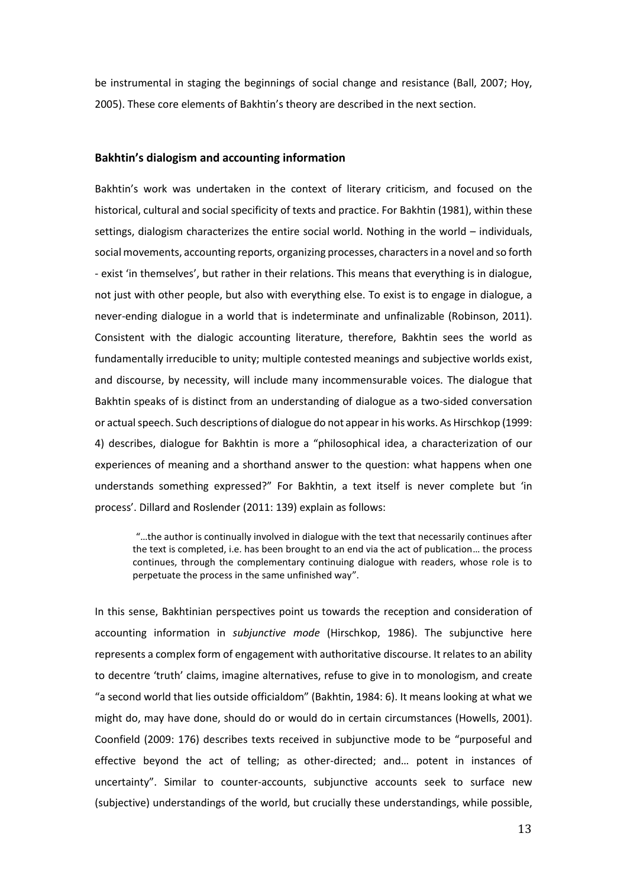be instrumental in staging the beginnings of social change and resistance (Ball, 2007; Hoy, 2005). These core elements of Bakhtin's theory are described in the next section.

# **Bakhtin's dialogism and accounting information**

Bakhtin's work was undertaken in the context of literary criticism, and focused on the historical, cultural and social specificity of texts and practice. For Bakhtin (1981), within these settings, dialogism characterizes the entire social world. Nothing in the world – individuals, social movements, accounting reports, organizing processes, characters in a novel and so forth - exist 'in themselves', but rather in their relations. This means that everything is in dialogue, not just with other people, but also with everything else. To exist is to engage in dialogue, a never-ending dialogue in a world that is indeterminate and unfinalizable (Robinson, 2011). Consistent with the dialogic accounting literature, therefore, Bakhtin sees the world as fundamentally irreducible to unity; multiple contested meanings and subjective worlds exist, and discourse, by necessity, will include many incommensurable voices. The dialogue that Bakhtin speaks of is distinct from an understanding of dialogue as a two-sided conversation or actual speech. Such descriptions of dialogue do not appear in his works. As Hirschkop (1999: 4) describes, dialogue for Bakhtin is more a "philosophical idea, a characterization of our experiences of meaning and a shorthand answer to the question: what happens when one understands something expressed?" For Bakhtin, a text itself is never complete but 'in process'. Dillard and Roslender (2011: 139) explain as follows:

"…the author is continually involved in dialogue with the text that necessarily continues after the text is completed, i.e. has been brought to an end via the act of publication… the process continues, through the complementary continuing dialogue with readers, whose role is to perpetuate the process in the same unfinished way".

In this sense, Bakhtinian perspectives point us towards the reception and consideration of accounting information in *subjunctive mode* (Hirschkop, 1986). The subjunctive here represents a complex form of engagement with authoritative discourse. It relates to an ability to decentre 'truth' claims, imagine alternatives, refuse to give in to monologism, and create "a second world that lies outside officialdom" (Bakhtin, 1984: 6). It means looking at what we might do, may have done, should do or would do in certain circumstances (Howells, 2001). Coonfield (2009: 176) describes texts received in subjunctive mode to be "purposeful and effective beyond the act of telling; as other-directed; and… potent in instances of uncertainty". Similar to counter-accounts, subjunctive accounts seek to surface new (subjective) understandings of the world, but crucially these understandings, while possible,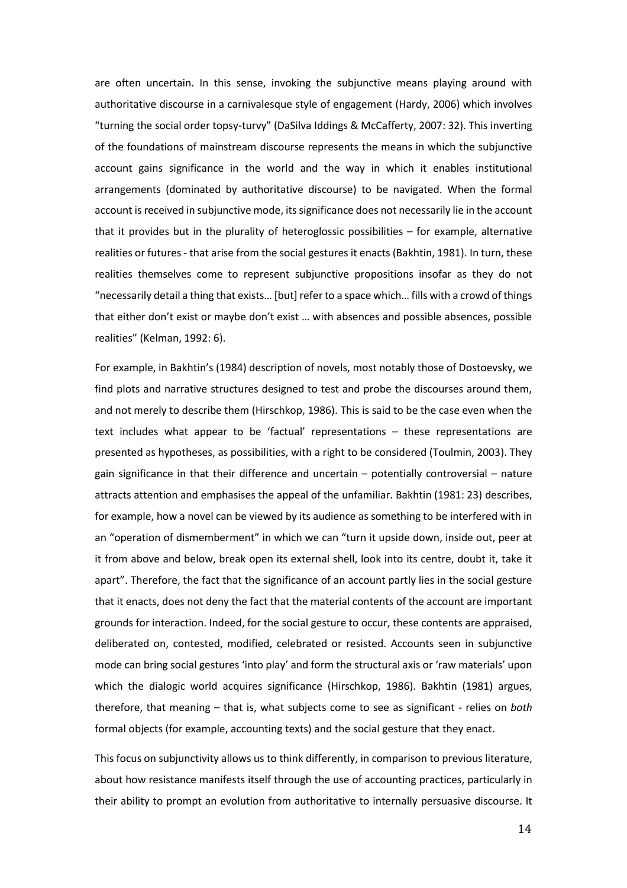are often uncertain. In this sense, invoking the subjunctive means playing around with authoritative discourse in a carnivalesque style of engagement (Hardy, 2006) which involves "turning the social order topsy-turvy" (DaSilva Iddings & McCafferty, 2007: 32). This inverting of the foundations of mainstream discourse represents the means in which the subjunctive account gains significance in the world and the way in which it enables institutional arrangements (dominated by authoritative discourse) to be navigated. When the formal account is received in subjunctive mode, its significance does not necessarily lie in the account that it provides but in the plurality of heteroglossic possibilities – for example, alternative realities or futures - that arise from the social gestures it enacts (Bakhtin, 1981). In turn, these realities themselves come to represent subjunctive propositions insofar as they do not "necessarily detail a thing that exists… [but] refer to a space which… fills with a crowd of things that either don't exist or maybe don't exist … with absences and possible absences, possible realities" (Kelman, 1992: 6).

For example, in Bakhtin's (1984) description of novels, most notably those of Dostoevsky, we find plots and narrative structures designed to test and probe the discourses around them, and not merely to describe them (Hirschkop, 1986). This is said to be the case even when the text includes what appear to be 'factual' representations – these representations are presented as hypotheses, as possibilities, with a right to be considered (Toulmin, 2003). They gain significance in that their difference and uncertain – potentially controversial – nature attracts attention and emphasises the appeal of the unfamiliar. Bakhtin (1981: 23) describes, for example, how a novel can be viewed by its audience as something to be interfered with in an "operation of dismemberment" in which we can "turn it upside down, inside out, peer at it from above and below, break open its external shell, look into its centre, doubt it, take it apart". Therefore, the fact that the significance of an account partly lies in the social gesture that it enacts, does not deny the fact that the material contents of the account are important grounds for interaction. Indeed, for the social gesture to occur, these contents are appraised, deliberated on, contested, modified, celebrated or resisted. Accounts seen in subjunctive mode can bring social gestures 'into play' and form the structural axis or 'raw materials' upon which the dialogic world acquires significance (Hirschkop, 1986). Bakhtin (1981) argues, therefore, that meaning – that is, what subjects come to see as significant - relies on *both* formal objects (for example, accounting texts) and the social gesture that they enact.

This focus on subjunctivity allows us to think differently, in comparison to previous literature, about how resistance manifests itself through the use of accounting practices, particularly in their ability to prompt an evolution from authoritative to internally persuasive discourse. It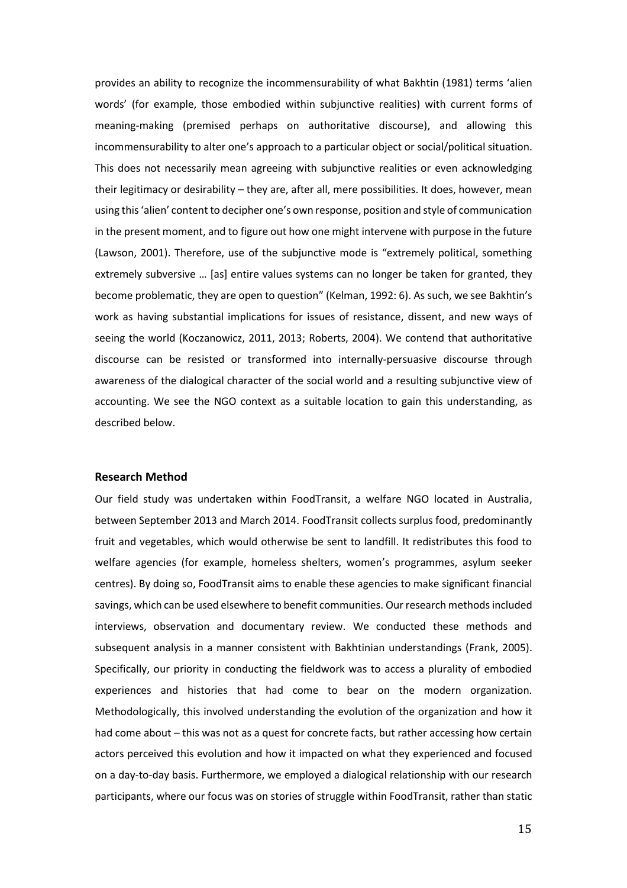provides an ability to recognize the incommensurability of what Bakhtin (1981) terms 'alien words' (for example, those embodied within subjunctive realities) with current forms of meaning-making (premised perhaps on authoritative discourse), and allowing this incommensurability to alter one's approach to a particular object or social/political situation. This does not necessarily mean agreeing with subjunctive realities or even acknowledging their legitimacy or desirability – they are, after all, mere possibilities. It does, however, mean using this'alien' content to decipher one's own response, position and style of communication in the present moment, and to figure out how one might intervene with purpose in the future (Lawson, 2001). Therefore, use of the subjunctive mode is "extremely political, something extremely subversive … [as] entire values systems can no longer be taken for granted, they become problematic, they are open to question" (Kelman, 1992: 6). As such, we see Bakhtin's work as having substantial implications for issues of resistance, dissent, and new ways of seeing the world (Koczanowicz, 2011, 2013; Roberts, 2004). We contend that authoritative discourse can be resisted or transformed into internally-persuasive discourse through awareness of the dialogical character of the social world and a resulting subjunctive view of accounting. We see the NGO context as a suitable location to gain this understanding, as described below.

## **Research Method**

Our field study was undertaken within FoodTransit, a welfare NGO located in Australia, between September 2013 and March 2014. FoodTransit collects surplus food, predominantly fruit and vegetables, which would otherwise be sent to landfill. It redistributes this food to welfare agencies (for example, homeless shelters, women's programmes, asylum seeker centres). By doing so, FoodTransit aims to enable these agencies to make significant financial savings, which can be used elsewhere to benefit communities. Our research methods included interviews, observation and documentary review. We conducted these methods and subsequent analysis in a manner consistent with Bakhtinian understandings (Frank, 2005). Specifically, our priority in conducting the fieldwork was to access a plurality of embodied experiences and histories that had come to bear on the modern organization. Methodologically, this involved understanding the evolution of the organization and how it had come about – this was not as a quest for concrete facts, but rather accessing how certain actors perceived this evolution and how it impacted on what they experienced and focused on a day-to-day basis. Furthermore, we employed a dialogical relationship with our research participants, where our focus was on stories of struggle within FoodTransit, rather than static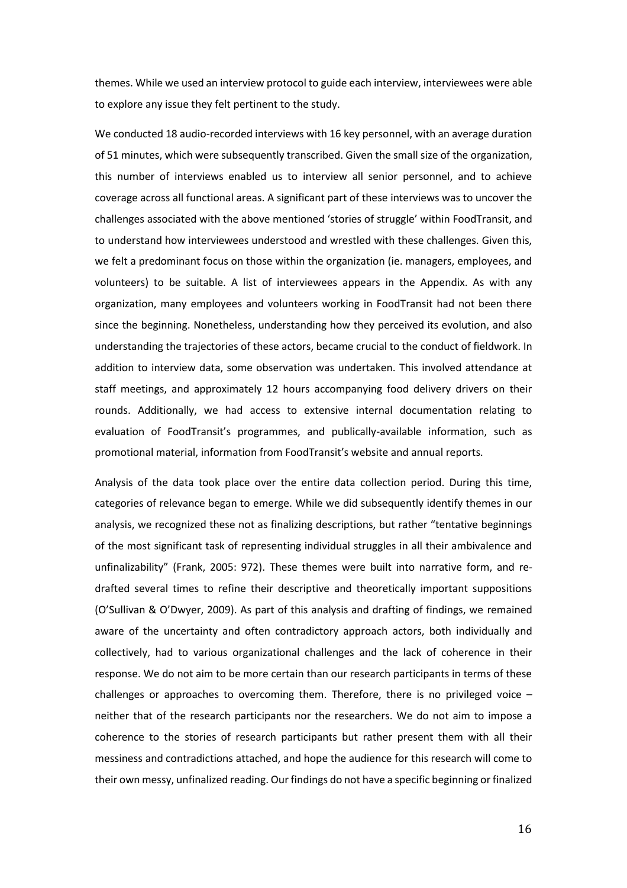themes. While we used an interview protocol to guide each interview, interviewees were able to explore any issue they felt pertinent to the study.

We conducted 18 audio-recorded interviews with 16 key personnel, with an average duration of 51 minutes, which were subsequently transcribed. Given the small size of the organization, this number of interviews enabled us to interview all senior personnel, and to achieve coverage across all functional areas. A significant part of these interviews was to uncover the challenges associated with the above mentioned 'stories of struggle' within FoodTransit, and to understand how interviewees understood and wrestled with these challenges. Given this, we felt a predominant focus on those within the organization (ie. managers, employees, and volunteers) to be suitable. A list of interviewees appears in the Appendix. As with any organization, many employees and volunteers working in FoodTransit had not been there since the beginning. Nonetheless, understanding how they perceived its evolution, and also understanding the trajectories of these actors, became crucial to the conduct of fieldwork. In addition to interview data, some observation was undertaken. This involved attendance at staff meetings, and approximately 12 hours accompanying food delivery drivers on their rounds. Additionally, we had access to extensive internal documentation relating to evaluation of FoodTransit's programmes, and publically-available information, such as promotional material, information from FoodTransit's website and annual reports.

Analysis of the data took place over the entire data collection period. During this time, categories of relevance began to emerge. While we did subsequently identify themes in our analysis, we recognized these not as finalizing descriptions, but rather "tentative beginnings of the most significant task of representing individual struggles in all their ambivalence and unfinalizability" (Frank, 2005: 972). These themes were built into narrative form, and redrafted several times to refine their descriptive and theoretically important suppositions (O'Sullivan & O'Dwyer, 2009). As part of this analysis and drafting of findings, we remained aware of the uncertainty and often contradictory approach actors, both individually and collectively, had to various organizational challenges and the lack of coherence in their response. We do not aim to be more certain than our research participants in terms of these challenges or approaches to overcoming them. Therefore, there is no privileged voice  $$ neither that of the research participants nor the researchers. We do not aim to impose a coherence to the stories of research participants but rather present them with all their messiness and contradictions attached, and hope the audience for this research will come to their own messy, unfinalized reading. Our findings do not have a specific beginning or finalized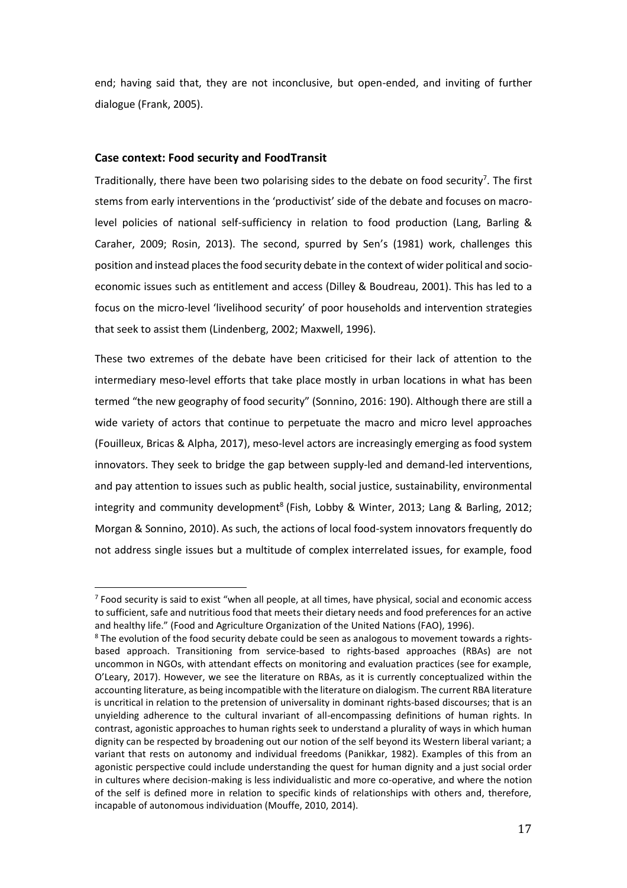end; having said that, they are not inconclusive, but open-ended, and inviting of further dialogue (Frank, 2005).

# **Case context: Food security and FoodTransit**

 $\overline{a}$ 

Traditionally, there have been two polarising sides to the debate on food security<sup>7</sup>. The first stems from early interventions in the 'productivist' side of the debate and focuses on macrolevel policies of national self-sufficiency in relation to food production (Lang, Barling & Caraher, 2009; Rosin, 2013). The second, spurred by Sen's (1981) work, challenges this position and instead places the food security debate in the context of wider political and socioeconomic issues such as entitlement and access (Dilley & Boudreau, 2001). This has led to a focus on the micro-level 'livelihood security' of poor households and intervention strategies that seek to assist them (Lindenberg, 2002; Maxwell, 1996).

These two extremes of the debate have been criticised for their lack of attention to the intermediary meso-level efforts that take place mostly in urban locations in what has been termed "the new geography of food security" (Sonnino, 2016: 190). Although there are still a wide variety of actors that continue to perpetuate the macro and micro level approaches (Fouilleux, Bricas & Alpha, 2017), meso-level actors are increasingly emerging as food system innovators. They seek to bridge the gap between supply-led and demand-led interventions, and pay attention to issues such as public health, social justice, sustainability, environmental integrity and community development<sup>8</sup> (Fish, Lobby & Winter, 2013; Lang & Barling, 2012; Morgan & Sonnino, 2010). As such, the actions of local food-system innovators frequently do not address single issues but a multitude of complex interrelated issues, for example, food

<sup>&</sup>lt;sup>7</sup> Food security is said to exist "when all people, at all times, have physical, social and economic access to sufficient, safe and nutritious food that meets their dietary needs and food preferences for an active and healthy life." (Food and Agriculture Organization of the United Nations (FAO), 1996).

<sup>&</sup>lt;sup>8</sup> The evolution of the food security debate could be seen as analogous to movement towards a rightsbased approach. Transitioning from service-based to rights-based approaches (RBAs) are not uncommon in NGOs, with attendant effects on monitoring and evaluation practices (see for example, O'Leary, 2017). However, we see the literature on RBAs, as it is currently conceptualized within the accounting literature, as being incompatible with the literature on dialogism. The current RBA literature is uncritical in relation to the pretension of universality in dominant rights-based discourses; that is an unyielding adherence to the cultural invariant of all-encompassing definitions of human rights. In contrast, agonistic approaches to human rights seek to understand a plurality of ways in which human dignity can be respected by broadening out our notion of the self beyond its Western liberal variant; a variant that rests on autonomy and individual freedoms (Panikkar, 1982). Examples of this from an agonistic perspective could include understanding the quest for human dignity and a just social order in cultures where decision-making is less individualistic and more co-operative, and where the notion of the self is defined more in relation to specific kinds of relationships with others and, therefore, incapable of autonomous individuation (Mouffe, 2010, 2014).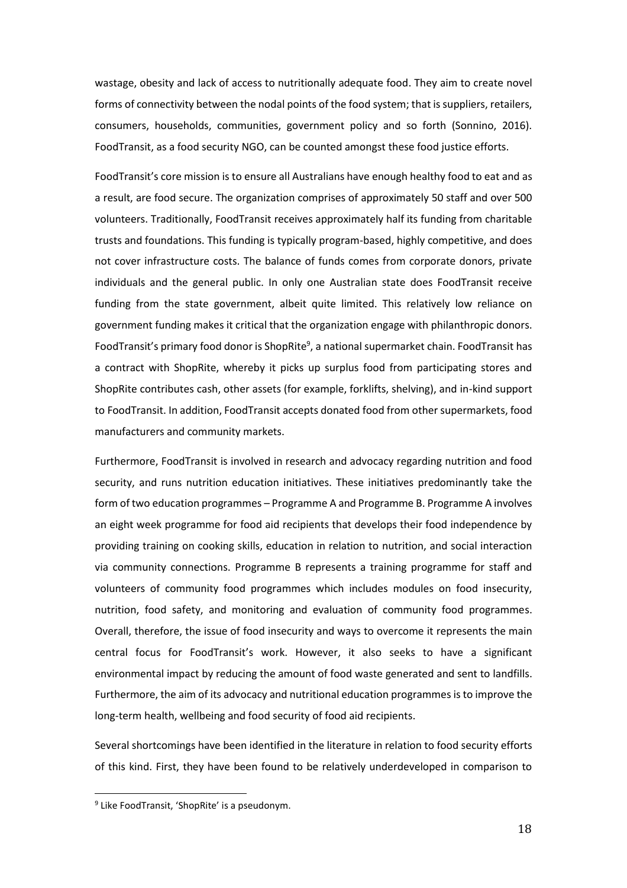wastage, obesity and lack of access to nutritionally adequate food. They aim to create novel forms of connectivity between the nodal points of the food system; that is suppliers, retailers, consumers, households, communities, government policy and so forth (Sonnino, 2016). FoodTransit, as a food security NGO, can be counted amongst these food justice efforts.

FoodTransit's core mission is to ensure all Australians have enough healthy food to eat and as a result, are food secure. The organization comprises of approximately 50 staff and over 500 volunteers. Traditionally, FoodTransit receives approximately half its funding from charitable trusts and foundations. This funding is typically program-based, highly competitive, and does not cover infrastructure costs. The balance of funds comes from corporate donors, private individuals and the general public. In only one Australian state does FoodTransit receive funding from the state government, albeit quite limited. This relatively low reliance on government funding makes it critical that the organization engage with philanthropic donors. FoodTransit's primary food donor is ShopRite<sup>9</sup>, a national supermarket chain. FoodTransit has a contract with ShopRite, whereby it picks up surplus food from participating stores and ShopRite contributes cash, other assets (for example, forklifts, shelving), and in-kind support to FoodTransit. In addition, FoodTransit accepts donated food from other supermarkets, food manufacturers and community markets.

Furthermore, FoodTransit is involved in research and advocacy regarding nutrition and food security, and runs nutrition education initiatives. These initiatives predominantly take the form of two education programmes – Programme A and Programme B. Programme A involves an eight week programme for food aid recipients that develops their food independence by providing training on cooking skills, education in relation to nutrition, and social interaction via community connections. Programme B represents a training programme for staff and volunteers of community food programmes which includes modules on food insecurity, nutrition, food safety, and monitoring and evaluation of community food programmes. Overall, therefore, the issue of food insecurity and ways to overcome it represents the main central focus for FoodTransit's work. However, it also seeks to have a significant environmental impact by reducing the amount of food waste generated and sent to landfills. Furthermore, the aim of its advocacy and nutritional education programmes is to improve the long-term health, wellbeing and food security of food aid recipients.

Several shortcomings have been identified in the literature in relation to food security efforts of this kind. First, they have been found to be relatively underdeveloped in comparison to

 $\overline{\phantom{a}}$ 

<sup>&</sup>lt;sup>9</sup> Like FoodTransit, 'ShopRite' is a pseudonym.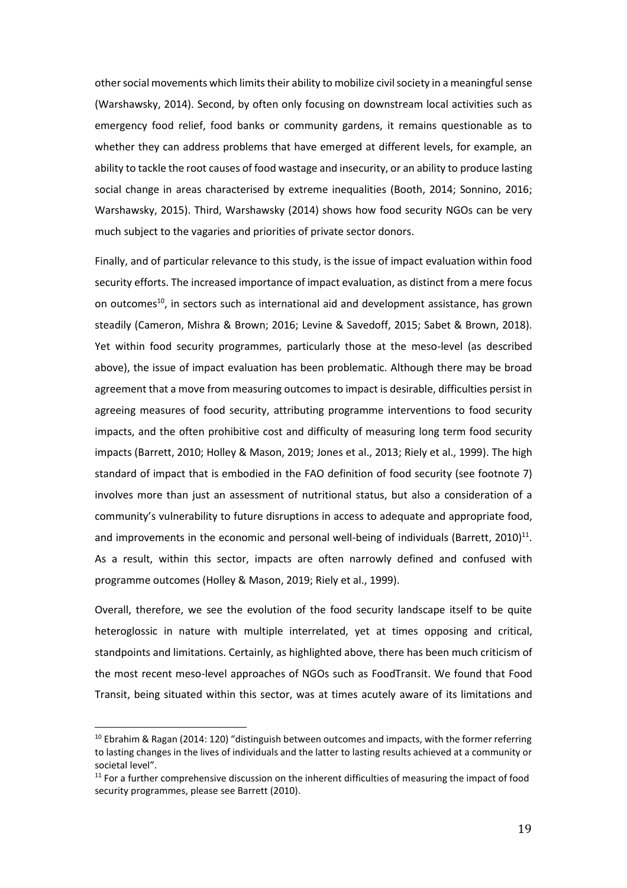other social movements which limits their ability to mobilize civil society in a meaningful sense (Warshawsky, 2014). Second, by often only focusing on downstream local activities such as emergency food relief, food banks or community gardens, it remains questionable as to whether they can address problems that have emerged at different levels, for example, an ability to tackle the root causes of food wastage and insecurity, or an ability to produce lasting social change in areas characterised by extreme inequalities (Booth, 2014; Sonnino, 2016; Warshawsky, 2015). Third, Warshawsky (2014) shows how food security NGOs can be very much subject to the vagaries and priorities of private sector donors.

Finally, and of particular relevance to this study, is the issue of impact evaluation within food security efforts. The increased importance of impact evaluation, as distinct from a mere focus on outcomes<sup>10</sup>, in sectors such as international aid and development assistance, has grown steadily (Cameron, Mishra & Brown; 2016; Levine & Savedoff, 2015; Sabet & Brown, 2018). Yet within food security programmes, particularly those at the meso-level (as described above), the issue of impact evaluation has been problematic. Although there may be broad agreement that a move from measuring outcomes to impact is desirable, difficulties persist in agreeing measures of food security, attributing programme interventions to food security impacts, and the often prohibitive cost and difficulty of measuring long term food security impacts (Barrett, 2010; Holley & Mason, 2019; Jones et al., 2013; Riely et al., 1999). The high standard of impact that is embodied in the FAO definition of food security (see footnote 7) involves more than just an assessment of nutritional status, but also a consideration of a community's vulnerability to future disruptions in access to adequate and appropriate food, and improvements in the economic and personal well-being of individuals (Barrett, 2010)<sup>11</sup>. As a result, within this sector, impacts are often narrowly defined and confused with programme outcomes (Holley & Mason, 2019; Riely et al., 1999).

Overall, therefore, we see the evolution of the food security landscape itself to be quite heteroglossic in nature with multiple interrelated, yet at times opposing and critical, standpoints and limitations. Certainly, as highlighted above, there has been much criticism of the most recent meso-level approaches of NGOs such as FoodTransit. We found that Food Transit, being situated within this sector, was at times acutely aware of its limitations and

 $\overline{\phantom{a}}$ 

 $10$  Ebrahim & Ragan (2014: 120) "distinguish between outcomes and impacts, with the former referring to lasting changes in the lives of individuals and the latter to lasting results achieved at a community or societal level".

 $11$  For a further comprehensive discussion on the inherent difficulties of measuring the impact of food security programmes, please see Barrett (2010).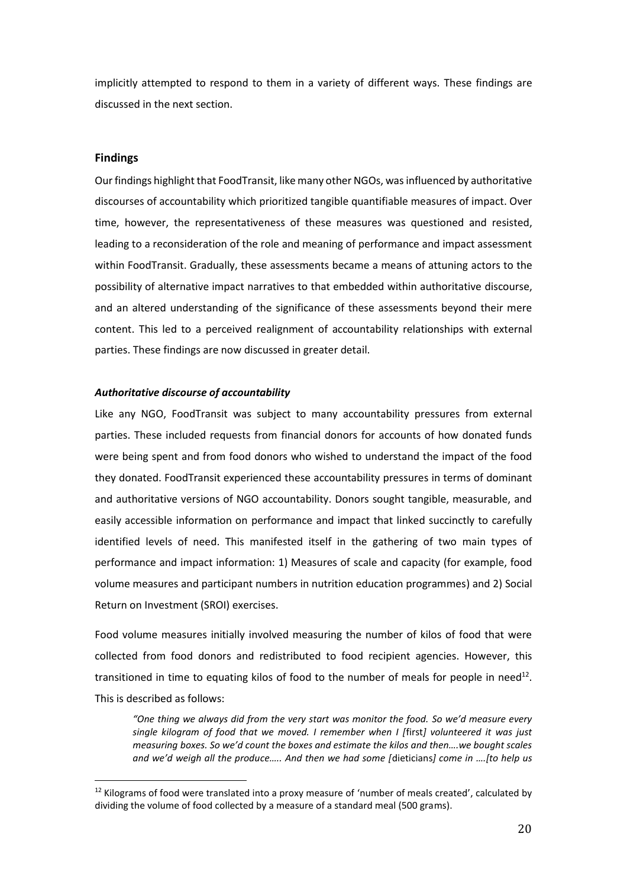implicitly attempted to respond to them in a variety of different ways. These findings are discussed in the next section.

# **Findings**

 $\overline{\phantom{a}}$ 

Our findings highlight that FoodTransit, like many other NGOs, was influenced by authoritative discourses of accountability which prioritized tangible quantifiable measures of impact. Over time, however, the representativeness of these measures was questioned and resisted, leading to a reconsideration of the role and meaning of performance and impact assessment within FoodTransit. Gradually, these assessments became a means of attuning actors to the possibility of alternative impact narratives to that embedded within authoritative discourse, and an altered understanding of the significance of these assessments beyond their mere content. This led to a perceived realignment of accountability relationships with external parties. These findings are now discussed in greater detail.

## *Authoritative discourse of accountability*

Like any NGO, FoodTransit was subject to many accountability pressures from external parties. These included requests from financial donors for accounts of how donated funds were being spent and from food donors who wished to understand the impact of the food they donated. FoodTransit experienced these accountability pressures in terms of dominant and authoritative versions of NGO accountability. Donors sought tangible, measurable, and easily accessible information on performance and impact that linked succinctly to carefully identified levels of need. This manifested itself in the gathering of two main types of performance and impact information: 1) Measures of scale and capacity (for example, food volume measures and participant numbers in nutrition education programmes) and 2) Social Return on Investment (SROI) exercises.

Food volume measures initially involved measuring the number of kilos of food that were collected from food donors and redistributed to food recipient agencies. However, this transitioned in time to equating kilos of food to the number of meals for people in need<sup>12</sup>. This is described as follows:

*"One thing we always did from the very start was monitor the food. So we'd measure every single kilogram of food that we moved. I remember when I [*first*] volunteered it was just measuring boxes. So we'd count the boxes and estimate the kilos and then….we bought scales and we'd weigh all the produce….. And then we had some [*dieticians*] come in ….[to help us* 

 $12$  Kilograms of food were translated into a proxy measure of 'number of meals created', calculated by dividing the volume of food collected by a measure of a standard meal (500 grams).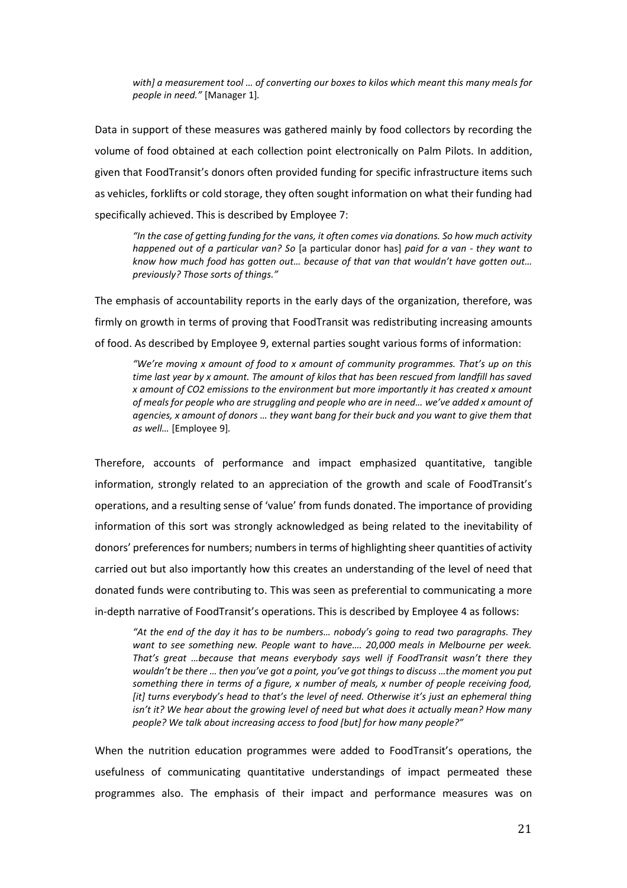*with] a measurement tool … of converting our boxes to kilos which meant this many meals for people in need."* [Manager 1]*.*

Data in support of these measures was gathered mainly by food collectors by recording the volume of food obtained at each collection point electronically on Palm Pilots. In addition, given that FoodTransit's donors often provided funding for specific infrastructure items such as vehicles, forklifts or cold storage, they often sought information on what their funding had specifically achieved. This is described by Employee 7:

*"In the case of getting funding for the vans, it often comes via donations. So how much activity happened out of a particular van? So* [a particular donor has] *paid for a van - they want to know how much food has gotten out… because of that van that wouldn't have gotten out… previously? Those sorts of things."*

The emphasis of accountability reports in the early days of the organization, therefore, was firmly on growth in terms of proving that FoodTransit was redistributing increasing amounts of food. As described by Employee 9, external parties sought various forms of information:

*"We're moving x amount of food to x amount of community programmes. That's up on this time last year by x amount. The amount of kilos that has been rescued from landfill has saved x amount of CO2 emissions to the environment but more importantly it has created x amount of meals for people who are struggling and people who are in need… we've added x amount of agencies, x amount of donors … they want bang for their buck and you want to give them that as well…* [Employee 9]*.*

Therefore, accounts of performance and impact emphasized quantitative, tangible information, strongly related to an appreciation of the growth and scale of FoodTransit's operations, and a resulting sense of 'value' from funds donated. The importance of providing information of this sort was strongly acknowledged as being related to the inevitability of donors' preferences for numbers; numbers in terms of highlighting sheer quantities of activity carried out but also importantly how this creates an understanding of the level of need that donated funds were contributing to. This was seen as preferential to communicating a more in-depth narrative of FoodTransit's operations. This is described by Employee 4 as follows:

*"At the end of the day it has to be numbers… nobody's going to read two paragraphs. They want to see something new. People want to have…. 20,000 meals in Melbourne per week. That's great …because that means everybody says well if FoodTransit wasn't there they wouldn't be there … then you've got a point, you've got things to discuss …the moment you put something there in terms of a figure, x number of meals, x number of people receiving food, [it] turns everybody's head to that's the level of need. Otherwise it's just an ephemeral thing isn't it? We hear about the growing level of need but what does it actually mean? How many people? We talk about increasing access to food [but] for how many people?"*

When the nutrition education programmes were added to FoodTransit's operations, the usefulness of communicating quantitative understandings of impact permeated these programmes also. The emphasis of their impact and performance measures was on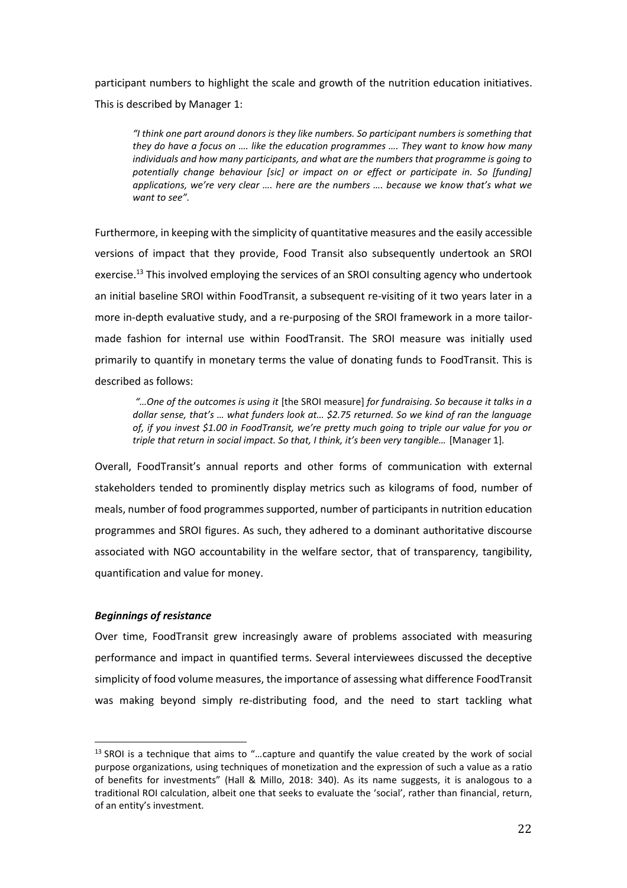participant numbers to highlight the scale and growth of the nutrition education initiatives. This is described by Manager 1:

*"I think one part around donors is they like numbers. So participant numbers is something that they do have a focus on …. like the education programmes …. They want to know how many individuals and how many participants, and what are the numbers that programme is going to*  potentially change behaviour [sic] or impact on or effect or participate in. So [funding] *applications, we're very clear …. here are the numbers …. because we know that's what we want to see".* 

Furthermore, in keeping with the simplicity of quantitative measures and the easily accessible versions of impact that they provide, Food Transit also subsequently undertook an SROI exercise. <sup>13</sup> This involved employing the services of an SROI consulting agency who undertook an initial baseline SROI within FoodTransit, a subsequent re-visiting of it two years later in a more in-depth evaluative study, and a re-purposing of the SROI framework in a more tailormade fashion for internal use within FoodTransit. The SROI measure was initially used primarily to quantify in monetary terms the value of donating funds to FoodTransit. This is described as follows:

*"…One of the outcomes is using it* [the SROI measure] *for fundraising. So because it talks in a dollar sense, that's … what funders look at… \$2.75 returned. So we kind of ran the language of, if you invest \$1.00 in FoodTransit, we're pretty much going to triple our value for you or triple that return in social impact. So that, I think, it's been very tangible…* [Manager 1]*.*

Overall, FoodTransit's annual reports and other forms of communication with external stakeholders tended to prominently display metrics such as kilograms of food, number of meals, number of food programmes supported, number of participants in nutrition education programmes and SROI figures. As such, they adhered to a dominant authoritative discourse associated with NGO accountability in the welfare sector, that of transparency, tangibility, quantification and value for money.

# *Beginnings of resistance*

 $\overline{\phantom{a}}$ 

Over time, FoodTransit grew increasingly aware of problems associated with measuring performance and impact in quantified terms. Several interviewees discussed the deceptive simplicity of food volume measures, the importance of assessing what difference FoodTransit was making beyond simply re-distributing food, and the need to start tackling what

 $<sup>13</sup>$  SROI is a technique that aims to "...capture and quantify the value created by the work of social</sup> purpose organizations, using techniques of monetization and the expression of such a value as a ratio of benefits for investments" (Hall & Millo, 2018: 340). As its name suggests, it is analogous to a traditional ROI calculation, albeit one that seeks to evaluate the 'social', rather than financial, return, of an entity's investment.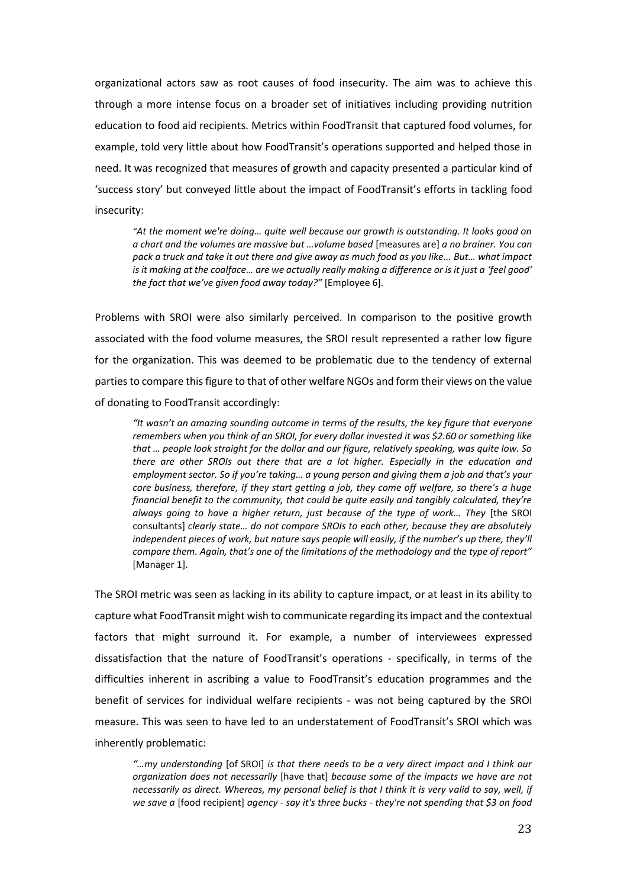organizational actors saw as root causes of food insecurity. The aim was to achieve this through a more intense focus on a broader set of initiatives including providing nutrition education to food aid recipients. Metrics within FoodTransit that captured food volumes, for example, told very little about how FoodTransit's operations supported and helped those in need. It was recognized that measures of growth and capacity presented a particular kind of 'success story' but conveyed little about the impact of FoodTransit's efforts in tackling food insecurity:

*"At the moment we're doing… quite well because our growth is outstanding. It looks good on a chart and the volumes are massive but …volume based* [measures are] *a no brainer. You can pack a truck and take it out there and give away as much food as you like... But… what impact is it making at the coalface… are we actually really making a difference or is it just a 'feel good' the fact that we've given food away today?"* [Employee 6].

Problems with SROI were also similarly perceived. In comparison to the positive growth associated with the food volume measures, the SROI result represented a rather low figure for the organization. This was deemed to be problematic due to the tendency of external parties to compare this figure to that of other welfare NGOs and form their views on the value of donating to FoodTransit accordingly:

"It wasn't an amazing sounding outcome in terms of the results, the key figure that everyone *remembers when you think of an SROI, for every dollar invested it was \$2.60 or something like that … people look straight for the dollar and our figure, relatively speaking, was quite low. So there are other SROIs out there that are a lot higher. Especially in the education and employment sector. So if you're taking… a young person and giving them a job and that's your core business, therefore, if they start getting a job, they come off welfare, so there's a huge financial benefit to the community, that could be quite easily and tangibly calculated, they're always going to have a higher return, just because of the type of work… They* [the SROI consultants] *clearly state… do not compare SROIs to each other, because they are absolutely independent pieces of work, but nature says people will easily, if the number's up there, they'll compare them. Again, that's one of the limitations of the methodology and the type of report"*  [Manager 1].

The SROI metric was seen as lacking in its ability to capture impact, or at least in its ability to capture what FoodTransit might wish to communicate regarding its impact and the contextual factors that might surround it. For example, a number of interviewees expressed dissatisfaction that the nature of FoodTransit's operations - specifically, in terms of the difficulties inherent in ascribing a value to FoodTransit's education programmes and the benefit of services for individual welfare recipients - was not being captured by the SROI measure. This was seen to have led to an understatement of FoodTransit's SROI which was inherently problematic:

*"…my understanding* [of SROI] *is that there needs to be a very direct impact and I think our organization does not necessarily* [have that] *because some of the impacts we have are not necessarily as direct. Whereas, my personal belief is that I think it is very valid to say, well, if we save a* [food recipient] *agency - say it's three bucks - they're not spending that \$3 on food*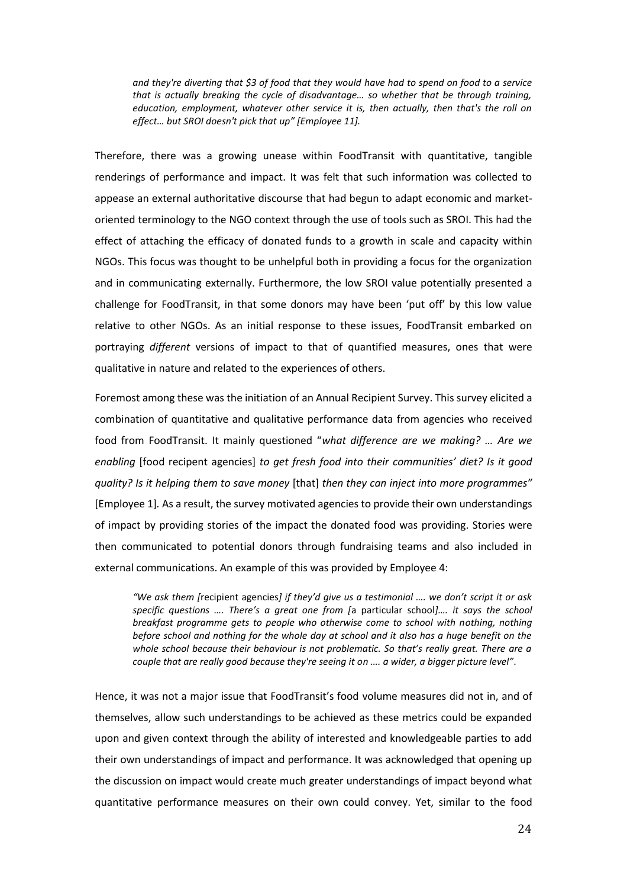*and they're diverting that \$3 of food that they would have had to spend on food to a service that is actually breaking the cycle of disadvantage… so whether that be through training, education, employment, whatever other service it is, then actually, then that's the roll on effect… but SROI doesn't pick that up" [Employee 11].* 

Therefore, there was a growing unease within FoodTransit with quantitative, tangible renderings of performance and impact. It was felt that such information was collected to appease an external authoritative discourse that had begun to adapt economic and marketoriented terminology to the NGO context through the use of tools such as SROI. This had the effect of attaching the efficacy of donated funds to a growth in scale and capacity within NGOs. This focus was thought to be unhelpful both in providing a focus for the organization and in communicating externally. Furthermore, the low SROI value potentially presented a challenge for FoodTransit, in that some donors may have been 'put off' by this low value relative to other NGOs. As an initial response to these issues, FoodTransit embarked on portraying *different* versions of impact to that of quantified measures, ones that were qualitative in nature and related to the experiences of others.

Foremost among these was the initiation of an Annual Recipient Survey. This survey elicited a combination of quantitative and qualitative performance data from agencies who received food from FoodTransit. It mainly questioned "*what difference are we making? … Are we enabling* [food recipent agencies] *to get fresh food into their communities' diet? Is it good quality? Is it helping them to save money* [that] *then they can inject into more programmes"*  [Employee 1]*.* As a result, the survey motivated agencies to provide their own understandings of impact by providing stories of the impact the donated food was providing. Stories were then communicated to potential donors through fundraising teams and also included in external communications. An example of this was provided by Employee 4:

*"We ask them [*recipient agencies*] if they'd give us a testimonial …. we don't script it or ask specific questions …. There's a great one from [*a particular school*]…. it says the school breakfast programme gets to people who otherwise come to school with nothing, nothing before school and nothing for the whole day at school and it also has a huge benefit on the whole school because their behaviour is not problematic. So that's really great. There are a couple that are really good because they're seeing it on …. a wider, a bigger picture level"*.

Hence, it was not a major issue that FoodTransit's food volume measures did not in, and of themselves, allow such understandings to be achieved as these metrics could be expanded upon and given context through the ability of interested and knowledgeable parties to add their own understandings of impact and performance. It was acknowledged that opening up the discussion on impact would create much greater understandings of impact beyond what quantitative performance measures on their own could convey. Yet, similar to the food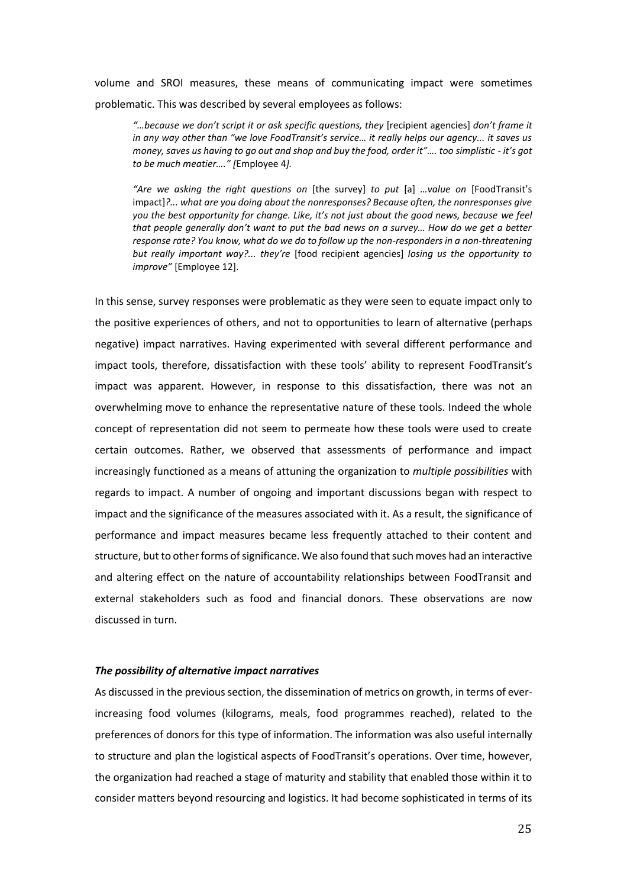volume and SROI measures, these means of communicating impact were sometimes problematic. This was described by several employees as follows:

*"…because we don't script it or ask specific questions, they* [recipient agencies] *don't frame it in any way other than "we love FoodTransit's service… it really helps our agency... it saves us money, saves us having to go out and shop and buy the food, order it".... too simplistic - it's got to be much meatier…." [*Employee 4*].*

*"Are we asking the right questions on* [the survey] *to put* [a] *…value on* [FoodTransit's impact]*?... what are you doing about the nonresponses? Because often, the nonresponses give you the best opportunity for change. Like, it's not just about the good news, because we feel that people generally don't want to put the bad news on a survey… How do we get a better response rate? You know, what do we do to follow up the non-responders in a non-threatening but really important way?... they're* [food recipient agencies] *losing us the opportunity to improve"* [Employee 12].

In this sense, survey responses were problematic as they were seen to equate impact only to the positive experiences of others, and not to opportunities to learn of alternative (perhaps negative) impact narratives. Having experimented with several different performance and impact tools, therefore, dissatisfaction with these tools' ability to represent FoodTransit's impact was apparent. However, in response to this dissatisfaction, there was not an overwhelming move to enhance the representative nature of these tools. Indeed the whole concept of representation did not seem to permeate how these tools were used to create certain outcomes. Rather, we observed that assessments of performance and impact increasingly functioned as a means of attuning the organization to *multiple possibilities* with regards to impact. A number of ongoing and important discussions began with respect to impact and the significance of the measures associated with it. As a result, the significance of performance and impact measures became less frequently attached to their content and structure, but to other forms of significance. We also found that such moves had an interactive and altering effect on the nature of accountability relationships between FoodTransit and external stakeholders such as food and financial donors. These observations are now discussed in turn.

## *The possibility of alternative impact narratives*

As discussed in the previous section, the dissemination of metrics on growth, in terms of everincreasing food volumes (kilograms, meals, food programmes reached), related to the preferences of donors for this type of information. The information was also useful internally to structure and plan the logistical aspects of FoodTransit's operations. Over time, however, the organization had reached a stage of maturity and stability that enabled those within it to consider matters beyond resourcing and logistics. It had become sophisticated in terms of its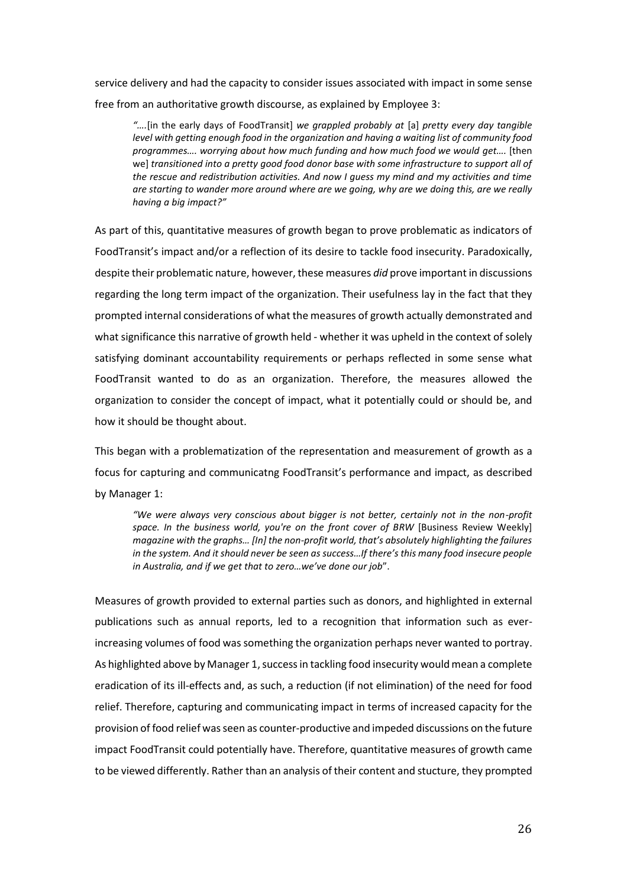service delivery and had the capacity to consider issues associated with impact in some sense free from an authoritative growth discourse, as explained by Employee 3:

*"….*[in the early days of FoodTransit] *we grappled probably at* [a] *pretty every day tangible level with getting enough food in the organization and having a waiting list of community food programmes…. worrying about how much funding and how much food we would get….* [then we] *transitioned into a pretty good food donor base with some infrastructure to support all of the rescue and redistribution activities. And now I guess my mind and my activities and time are starting to wander more around where are we going, why are we doing this, are we really having a big impact?"*

As part of this, quantitative measures of growth began to prove problematic as indicators of FoodTransit's impact and/or a reflection of its desire to tackle food insecurity. Paradoxically, despite their problematic nature, however,these measures *did* prove important in discussions regarding the long term impact of the organization. Their usefulness lay in the fact that they prompted internal considerations of what the measures of growth actually demonstrated and what significance this narrative of growth held - whether it was upheld in the context of solely satisfying dominant accountability requirements or perhaps reflected in some sense what FoodTransit wanted to do as an organization. Therefore, the measures allowed the organization to consider the concept of impact, what it potentially could or should be, and how it should be thought about.

This began with a problematization of the representation and measurement of growth as a focus for capturing and communicatng FoodTransit's performance and impact, as described by Manager 1:

*"We were always very conscious about bigger is not better, certainly not in the non-profit*  space. In the business world, you're on the front cover of BRW [Business Review Weekly] *magazine with the graphs… [In] the non-profit world, that's absolutely highlighting the failures in the system. And it should never be seen as success…If there's this many food insecure people in Australia, and if we get that to zero…we've done our job*".

Measures of growth provided to external parties such as donors, and highlighted in external publications such as annual reports, led to a recognition that information such as everincreasing volumes of food was something the organization perhaps never wanted to portray. As highlighted above by Manager 1, success in tackling food insecurity would mean a complete eradication of its ill-effects and, as such, a reduction (if not elimination) of the need for food relief. Therefore, capturing and communicating impact in terms of increased capacity for the provision of food relief wasseen as counter-productive and impeded discussions on the future impact FoodTransit could potentially have. Therefore, quantitative measures of growth came to be viewed differently. Rather than an analysis of their content and stucture, they prompted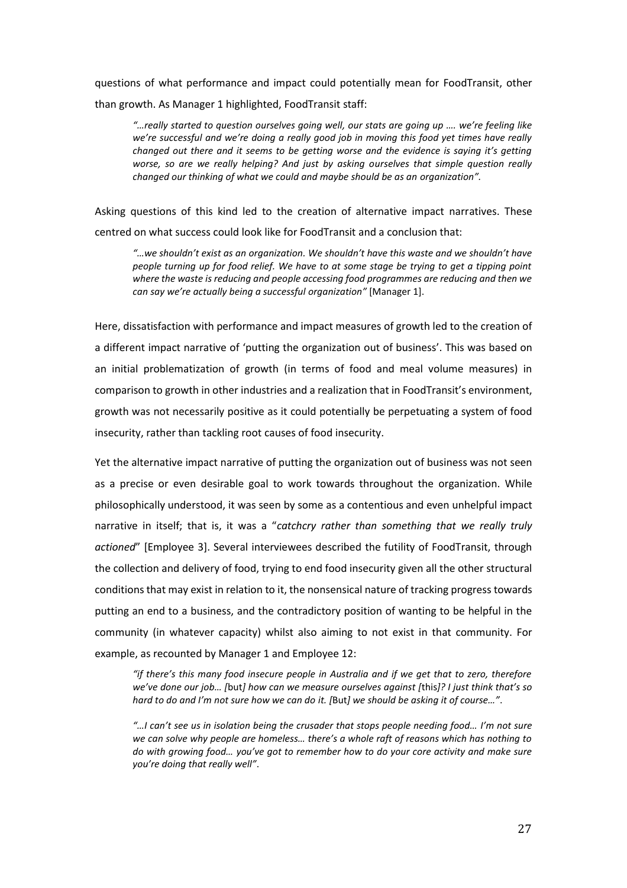questions of what performance and impact could potentially mean for FoodTransit, other than growth. As Manager 1 highlighted, FoodTransit staff:

*"…really started to question ourselves going well, our stats are going up …. we're feeling like we're successful and we're doing a really good job in moving this food yet times have really changed out there and it seems to be getting worse and the evidence is saying it's getting worse, so are we really helping? And just by asking ourselves that simple question really changed our thinking of what we could and maybe should be as an organization".*

Asking questions of this kind led to the creation of alternative impact narratives. These centred on what success could look like for FoodTransit and a conclusion that:

*"…we shouldn't exist as an organization. We shouldn't have this waste and we shouldn't have people turning up for food relief. We have to at some stage be trying to get a tipping point where the waste is reducing and people accessing food programmes are reducing and then we can say we're actually being a successful organization"* [Manager 1].

Here, dissatisfaction with performance and impact measures of growth led to the creation of a different impact narrative of 'putting the organization out of business'. This was based on an initial problematization of growth (in terms of food and meal volume measures) in comparison to growth in other industries and a realization that in FoodTransit's environment, growth was not necessarily positive as it could potentially be perpetuating a system of food insecurity, rather than tackling root causes of food insecurity.

Yet the alternative impact narrative of putting the organization out of business was not seen as a precise or even desirable goal to work towards throughout the organization. While philosophically understood, it was seen by some as a contentious and even unhelpful impact narrative in itself; that is, it was a "*catchcry rather than something that we really truly actioned*" [Employee 3]. Several interviewees described the futility of FoodTransit, through the collection and delivery of food, trying to end food insecurity given all the other structural conditions that may exist in relation to it, the nonsensical nature of tracking progress towards putting an end to a business, and the contradictory position of wanting to be helpful in the community (in whatever capacity) whilst also aiming to not exist in that community. For example, as recounted by Manager 1 and Employee 12:

*"if there's this many food insecure people in Australia and if we get that to zero, therefore we've done our job… [*but*] how can we measure ourselves against [*this*]? I just think that's so hard to do and I'm not sure how we can do it. [*But*] we should be asking it of course…"*.

*"…I can't see us in isolation being the crusader that stops people needing food… I'm not sure we can solve why people are homeless… there's a whole raft of reasons which has nothing to do with growing food… you've got to remember how to do your core activity and make sure you're doing that really well"*.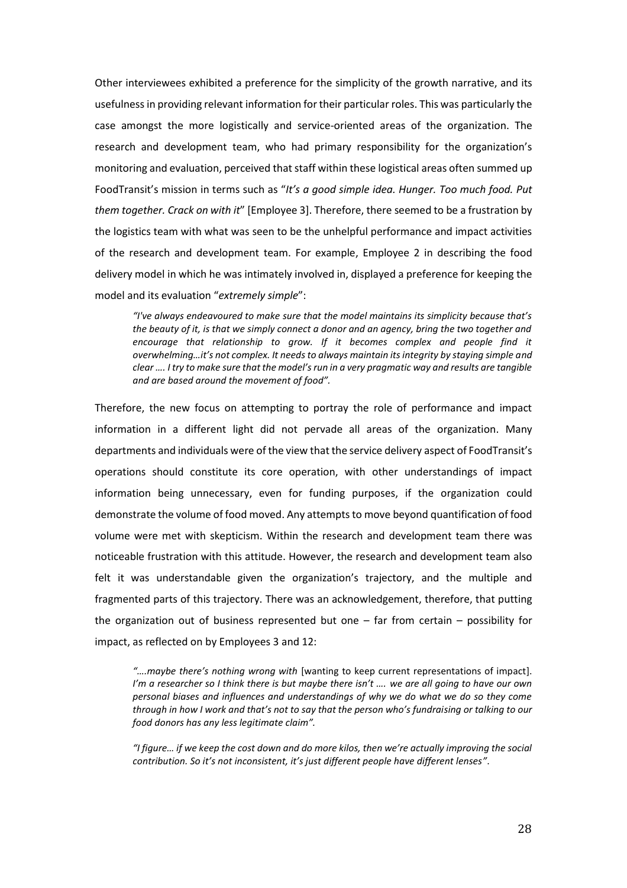Other interviewees exhibited a preference for the simplicity of the growth narrative, and its usefulness in providing relevant information for their particular roles. This was particularly the case amongst the more logistically and service-oriented areas of the organization. The research and development team, who had primary responsibility for the organization's monitoring and evaluation, perceived that staff within these logistical areas often summed up FoodTransit's mission in terms such as "*It's a good simple idea. Hunger. Too much food. Put them together. Crack on with it*" [Employee 3]. Therefore, there seemed to be a frustration by the logistics team with what was seen to be the unhelpful performance and impact activities of the research and development team. For example, Employee 2 in describing the food delivery model in which he was intimately involved in, displayed a preference for keeping the model and its evaluation "*extremely simple*":

*"I've always endeavoured to make sure that the model maintains its simplicity because that's the beauty of it, is that we simply connect a donor and an agency, bring the two together and encourage that relationship to grow. If it becomes complex and people find it overwhelming…it's not complex. It needs to always maintain its integrity by staying simple and clear …. I try to make sure that the model's run in a very pragmatic way and results are tangible and are based around the movement of food".*

Therefore, the new focus on attempting to portray the role of performance and impact information in a different light did not pervade all areas of the organization. Many departments and individuals were of the view that the service delivery aspect of FoodTransit's operations should constitute its core operation, with other understandings of impact information being unnecessary, even for funding purposes, if the organization could demonstrate the volume of food moved. Any attempts to move beyond quantification of food volume were met with skepticism. Within the research and development team there was noticeable frustration with this attitude. However, the research and development team also felt it was understandable given the organization's trajectory, and the multiple and fragmented parts of this trajectory. There was an acknowledgement, therefore, that putting the organization out of business represented but one  $-$  far from certain  $-$  possibility for impact, as reflected on by Employees 3 and 12:

*"….maybe there's nothing wrong with* [wanting to keep current representations of impact]. *I'm a researcher so I think there is but maybe there isn't …. we are all going to have our own personal biases and influences and understandings of why we do what we do so they come through in how I work and that's not to say that the person who's fundraising or talking to our food donors has any less legitimate claim".*

*"I figure… if we keep the cost down and do more kilos, then we're actually improving the social contribution. So it's not inconsistent, it's just different people have different lenses"*.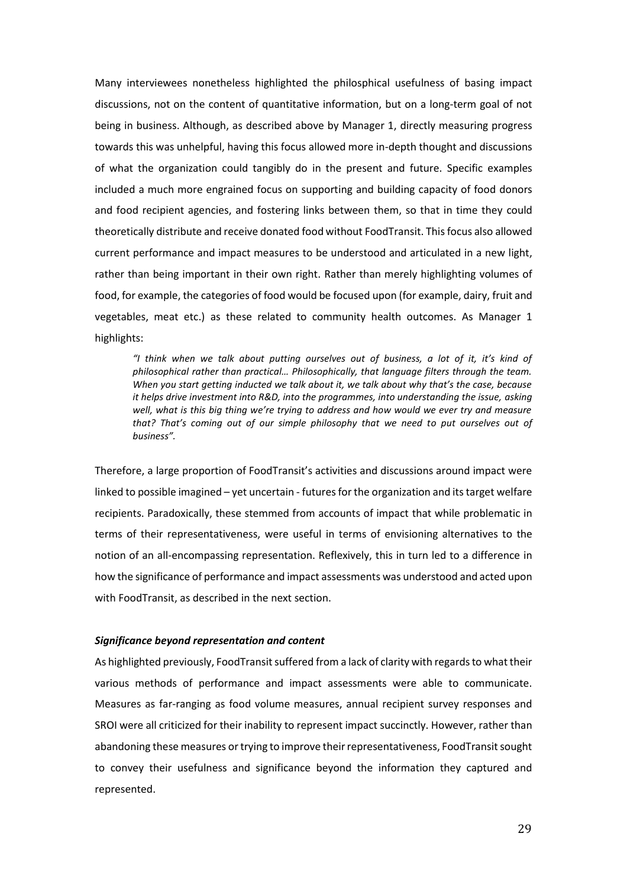Many interviewees nonetheless highlighted the philosphical usefulness of basing impact discussions, not on the content of quantitative information, but on a long-term goal of not being in business. Although, as described above by Manager 1, directly measuring progress towards this was unhelpful, having this focus allowed more in-depth thought and discussions of what the organization could tangibly do in the present and future. Specific examples included a much more engrained focus on supporting and building capacity of food donors and food recipient agencies, and fostering links between them, so that in time they could theoretically distribute and receive donated food without FoodTransit. This focus also allowed current performance and impact measures to be understood and articulated in a new light, rather than being important in their own right. Rather than merely highlighting volumes of food, for example, the categories of food would be focused upon (for example, dairy, fruit and vegetables, meat etc.) as these related to community health outcomes. As Manager 1 highlights:

*"I think when we talk about putting ourselves out of business, a lot of it, it's kind of philosophical rather than practical… Philosophically, that language filters through the team. When you start getting inducted we talk about it, we talk about why that's the case, because it helps drive investment into R&D, into the programmes, into understanding the issue, asking well, what is this big thing we're trying to address and how would we ever try and measure that? That's coming out of our simple philosophy that we need to put ourselves out of business".*

Therefore, a large proportion of FoodTransit's activities and discussions around impact were linked to possible imagined – yet uncertain - futures for the organization and its target welfare recipients. Paradoxically, these stemmed from accounts of impact that while problematic in terms of their representativeness, were useful in terms of envisioning alternatives to the notion of an all-encompassing representation. Reflexively, this in turn led to a difference in how the significance of performance and impact assessments was understood and acted upon with FoodTransit, as described in the next section.

# *Significance beyond representation and content*

As highlighted previously, FoodTransit suffered from a lack of clarity with regards to what their various methods of performance and impact assessments were able to communicate. Measures as far-ranging as food volume measures, annual recipient survey responses and SROI were all criticized for their inability to represent impact succinctly. However, rather than abandoning these measures or trying to improve their representativeness, FoodTransit sought to convey their usefulness and significance beyond the information they captured and represented.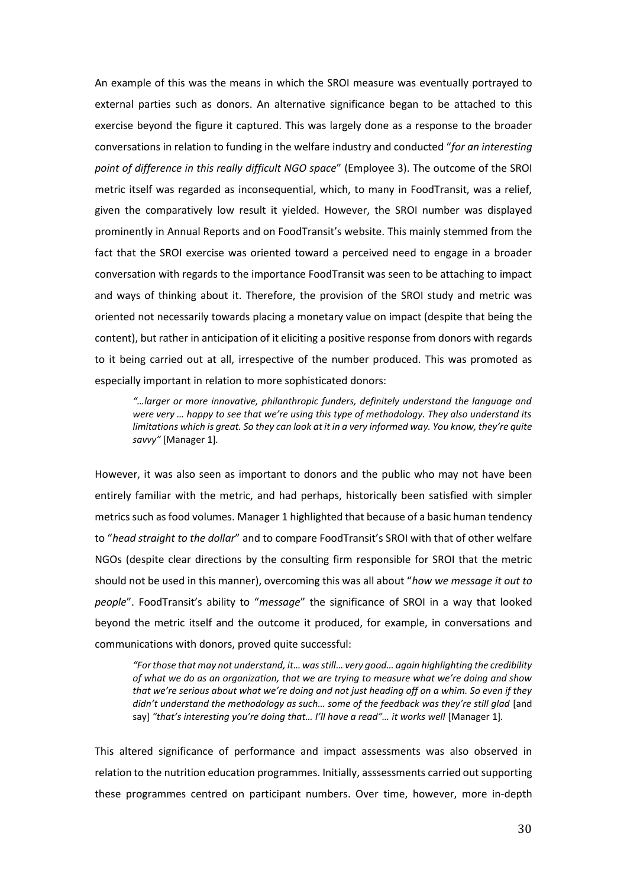An example of this was the means in which the SROI measure was eventually portrayed to external parties such as donors. An alternative significance began to be attached to this exercise beyond the figure it captured. This was largely done as a response to the broader conversations in relation to funding in the welfare industry and conducted "*for an interesting point of difference in this really difficult NGO space*" (Employee 3). The outcome of the SROI metric itself was regarded as inconsequential, which, to many in FoodTransit, was a relief, given the comparatively low result it yielded. However, the SROI number was displayed prominently in Annual Reports and on FoodTransit's website. This mainly stemmed from the fact that the SROI exercise was oriented toward a perceived need to engage in a broader conversation with regards to the importance FoodTransit was seen to be attaching to impact and ways of thinking about it. Therefore, the provision of the SROI study and metric was oriented not necessarily towards placing a monetary value on impact (despite that being the content), but rather in anticipation of it eliciting a positive response from donors with regards to it being carried out at all, irrespective of the number produced. This was promoted as especially important in relation to more sophisticated donors:

*"…larger or more innovative, philanthropic funders, definitely understand the language and were very … happy to see that we're using this type of methodology. They also understand its limitations which is great. So they can look at it in a very informed way. You know, they're quite savvy"* [Manager 1]*.*

However, it was also seen as important to donors and the public who may not have been entirely familiar with the metric, and had perhaps, historically been satisfied with simpler metrics such as food volumes. Manager 1 highlighted that because of a basic human tendency to "*head straight to the dollar*" and to compare FoodTransit's SROI with that of other welfare NGOs (despite clear directions by the consulting firm responsible for SROI that the metric should not be used in this manner), overcoming this was all about "*how we message it out to people*". FoodTransit's ability to "*message*" the significance of SROI in a way that looked beyond the metric itself and the outcome it produced, for example, in conversations and communications with donors, proved quite successful:

*"For those that may not understand, it… was still… very good… again highlighting the credibility of what we do as an organization, that we are trying to measure what we're doing and show that we're serious about what we're doing and not just heading off on a whim. So even if they*  didn't understand the methodology as such... some of the feedback was they're still glad [and say] "that's interesting you're doing that... I'll have a read"... it works well [Manager 1].

This altered significance of performance and impact assessments was also observed in relation to the nutrition education programmes. Initially, asssessments carried out supporting these programmes centred on participant numbers. Over time, however, more in-depth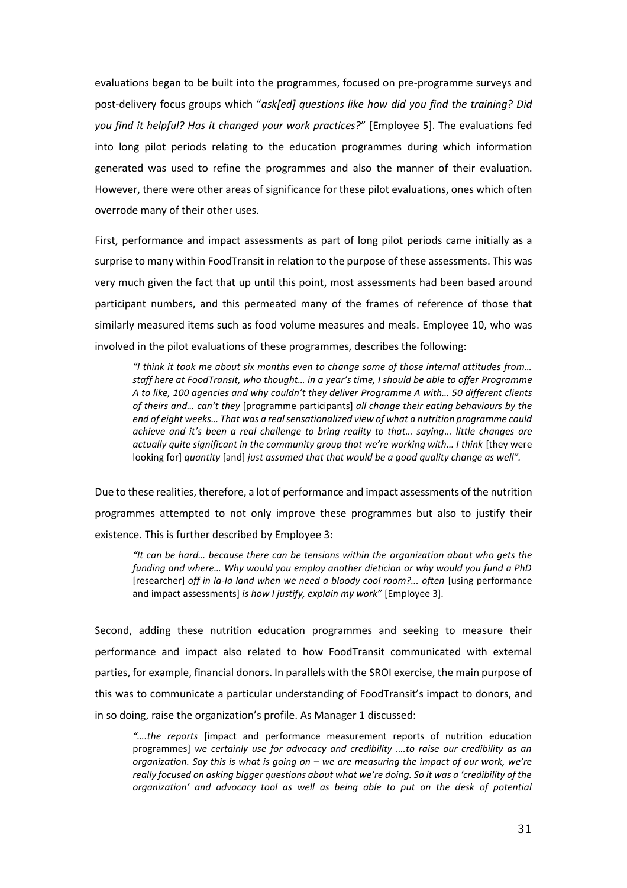evaluations began to be built into the programmes, focused on pre-programme surveys and post-delivery focus groups which "*ask[ed] questions like how did you find the training? Did you find it helpful? Has it changed your work practices?*" [Employee 5]. The evaluations fed into long pilot periods relating to the education programmes during which information generated was used to refine the programmes and also the manner of their evaluation. However, there were other areas of significance for these pilot evaluations, ones which often overrode many of their other uses.

First, performance and impact assessments as part of long pilot periods came initially as a surprise to many within FoodTransit in relation to the purpose of these assessments. This was very much given the fact that up until this point, most assessments had been based around participant numbers, and this permeated many of the frames of reference of those that similarly measured items such as food volume measures and meals. Employee 10, who was involved in the pilot evaluations of these programmes, describes the following:

*"I think it took me about six months even to change some of those internal attitudes from… staff here at FoodTransit, who thought… in a year's time, I should be able to offer Programme A to like, 100 agencies and why couldn't they deliver Programme A with… 50 different clients of theirs and… can't they* [programme participants] *all change their eating behaviours by the end of eight weeks… That was a real sensationalized view of what a nutrition programme could achieve and it's been a real challenge to bring reality to that… saying… little changes are actually quite significant in the community group that we're working with... I think [they were* looking for] *quantity* [and] *just assumed that that would be a good quality change as well".*

Due to these realities, therefore, a lot of performance and impact assessments of the nutrition programmes attempted to not only improve these programmes but also to justify their existence. This is further described by Employee 3:

*"It can be hard… because there can be tensions within the organization about who gets the funding and where… Why would you employ another dietician or why would you fund a PhD*  [researcher] *off in la-la land when we need a bloody cool room?... often* [using performance and impact assessments] *is how I justify, explain my work"* [Employee 3].

Second, adding these nutrition education programmes and seeking to measure their performance and impact also related to how FoodTransit communicated with external parties, for example, financial donors. In parallels with the SROI exercise, the main purpose of this was to communicate a particular understanding of FoodTransit's impact to donors, and in so doing, raise the organization's profile. As Manager 1 discussed:

*"….the reports* [impact and performance measurement reports of nutrition education programmes] *we certainly use for advocacy and credibility ….to raise our credibility as an organization. Say this is what is going on – we are measuring the impact of our work, we're really focused on asking bigger questions about what we're doing. So it was a 'credibility of the organization' and advocacy tool as well as being able to put on the desk of potential*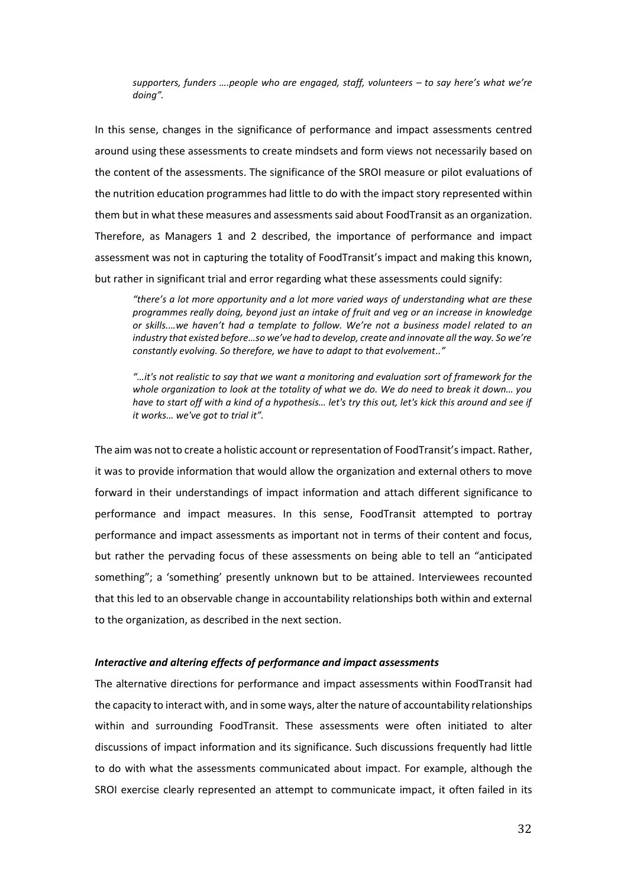*supporters, funders ….people who are engaged, staff, volunteers – to say here's what we're doing".*

In this sense, changes in the significance of performance and impact assessments centred around using these assessments to create mindsets and form views not necessarily based on the content of the assessments. The significance of the SROI measure or pilot evaluations of the nutrition education programmes had little to do with the impact story represented within them but in what these measures and assessments said about FoodTransit as an organization. Therefore, as Managers 1 and 2 described, the importance of performance and impact assessment was not in capturing the totality of FoodTransit's impact and making this known, but rather in significant trial and error regarding what these assessments could signify:

*"there's a lot more opportunity and a lot more varied ways of understanding what are these programmes really doing, beyond just an intake of fruit and veg or an increase in knowledge or skills.…we haven't had a template to follow. We're not a business model related to an industry that existed before…so we've had to develop, create and innovate all the way. So we're constantly evolving. So therefore, we have to adapt to that evolvement.."*

*"…it's not realistic to say that we want a monitoring and evaluation sort of framework for the whole organization to look at the totality of what we do. We do need to break it down… you have to start off with a kind of a hypothesis… let's try this out, let's kick this around and see if it works… we've got to trial it".*

The aim was not to create a holistic account or representation of FoodTransit's impact. Rather, it was to provide information that would allow the organization and external others to move forward in their understandings of impact information and attach different significance to performance and impact measures. In this sense, FoodTransit attempted to portray performance and impact assessments as important not in terms of their content and focus, but rather the pervading focus of these assessments on being able to tell an "anticipated something"; a 'something' presently unknown but to be attained. Interviewees recounted that this led to an observable change in accountability relationships both within and external to the organization, as described in the next section.

# *Interactive and altering effects of performance and impact assessments*

The alternative directions for performance and impact assessments within FoodTransit had the capacity to interact with, and in some ways, alter the nature of accountability relationships within and surrounding FoodTransit. These assessments were often initiated to alter discussions of impact information and its significance. Such discussions frequently had little to do with what the assessments communicated about impact. For example, although the SROI exercise clearly represented an attempt to communicate impact, it often failed in its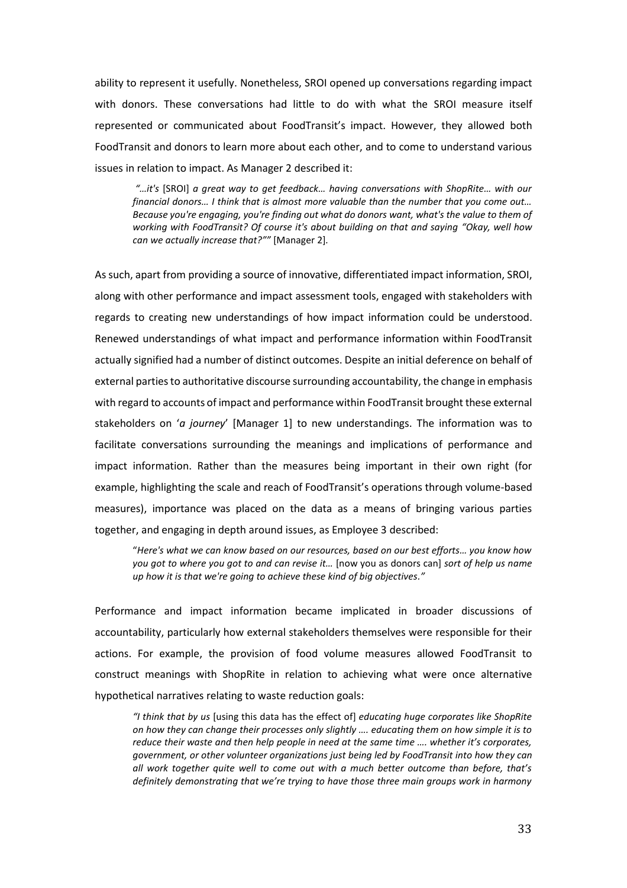ability to represent it usefully. Nonetheless, SROI opened up conversations regarding impact with donors. These conversations had little to do with what the SROI measure itself represented or communicated about FoodTransit's impact. However, they allowed both FoodTransit and donors to learn more about each other, and to come to understand various issues in relation to impact. As Manager 2 described it:

*"…it's* [SROI] *a great way to get feedback… having conversations with ShopRite… with our financial donors… I think that is almost more valuable than the number that you come out… Because you're engaging, you're finding out what do donors want, what's the value to them of working with FoodTransit? Of course it's about building on that and saying "Okay, well how can we actually increase that?""* [Manager 2]*.*

As such, apart from providing a source of innovative, differentiated impact information, SROI, along with other performance and impact assessment tools, engaged with stakeholders with regards to creating new understandings of how impact information could be understood. Renewed understandings of what impact and performance information within FoodTransit actually signified had a number of distinct outcomes. Despite an initial deference on behalf of external partiesto authoritative discourse surrounding accountability, the change in emphasis with regard to accounts of impact and performance within FoodTransit brought these external stakeholders on '*a journey*' [Manager 1] to new understandings. The information was to facilitate conversations surrounding the meanings and implications of performance and impact information. Rather than the measures being important in their own right (for example, highlighting the scale and reach of FoodTransit's operations through volume-based measures), importance was placed on the data as a means of bringing various parties together, and engaging in depth around issues, as Employee 3 described:

"*Here's what we can know based on our resources, based on our best efforts… you know how you got to where you got to and can revise it…* [now you as donors can] *sort of help us name up how it is that we're going to achieve these kind of big objectives."*

Performance and impact information became implicated in broader discussions of accountability, particularly how external stakeholders themselves were responsible for their actions. For example, the provision of food volume measures allowed FoodTransit to construct meanings with ShopRite in relation to achieving what were once alternative hypothetical narratives relating to waste reduction goals:

*"I think that by us* [using this data has the effect of] *educating huge corporates like ShopRite on how they can change their processes only slightly …. educating them on how simple it is to reduce their waste and then help people in need at the same time …. whether it's corporates, government, or other volunteer organizations just being led by FoodTransit into how they can all work together quite well to come out with a much better outcome than before, that's definitely demonstrating that we're trying to have those three main groups work in harmony*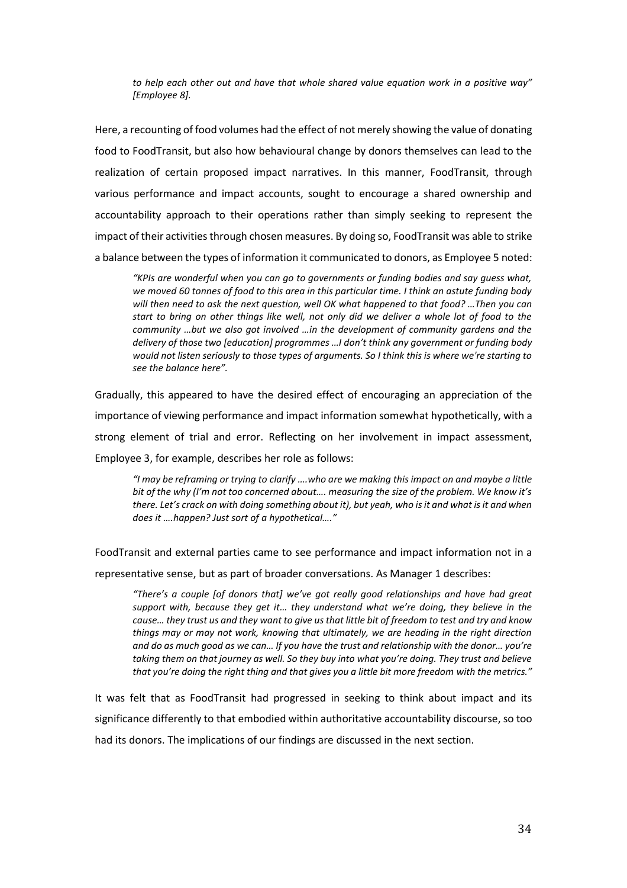to help each other out and have that whole shared value equation work in a positive way" *[Employee 8].*

Here, a recounting of food volumes had the effect of not merely showing the value of donating food to FoodTransit, but also how behavioural change by donors themselves can lead to the realization of certain proposed impact narratives. In this manner, FoodTransit, through various performance and impact accounts, sought to encourage a shared ownership and accountability approach to their operations rather than simply seeking to represent the impact of their activities through chosen measures. By doing so, FoodTransit was able to strike a balance between the types of information it communicated to donors, as Employee 5 noted:

*"KPIs are wonderful when you can go to governments or funding bodies and say guess what, we moved 60 tonnes of food to this area in this particular time. I think an astute funding body will then need to ask the next question, well OK what happened to that food? …Then you can start to bring on other things like well, not only did we deliver a whole lot of food to the community …but we also got involved …in the development of community gardens and the delivery of those two [education] programmes …I don't think any government or funding body would not listen seriously to those types of arguments. So I think this is where we're starting to see the balance here".*

Gradually, this appeared to have the desired effect of encouraging an appreciation of the importance of viewing performance and impact information somewhat hypothetically, with a strong element of trial and error. Reflecting on her involvement in impact assessment, Employee 3, for example, describes her role as follows:

*"I may be reframing or trying to clarify ….who are we making this impact on and maybe a little bit of the why (I'm not too concerned about…. measuring the size of the problem. We know it's there. Let's crack on with doing something about it), but yeah, who is it and what is it and when does it ….happen? Just sort of a hypothetical…."*

FoodTransit and external parties came to see performance and impact information not in a

representative sense, but as part of broader conversations. As Manager 1 describes:

*"There's a couple [of donors that] we've got really good relationships and have had great support with, because they get it… they understand what we're doing, they believe in the cause… they trust us and they want to give us that little bit of freedom to test and try and know things may or may not work, knowing that ultimately, we are heading in the right direction and do as much good as we can… If you have the trust and relationship with the donor… you're taking them on that journey as well. So they buy into what you're doing. They trust and believe that you're doing the right thing and that gives you a little bit more freedom with the metrics."*

It was felt that as FoodTransit had progressed in seeking to think about impact and its significance differently to that embodied within authoritative accountability discourse, so too had its donors. The implications of our findings are discussed in the next section.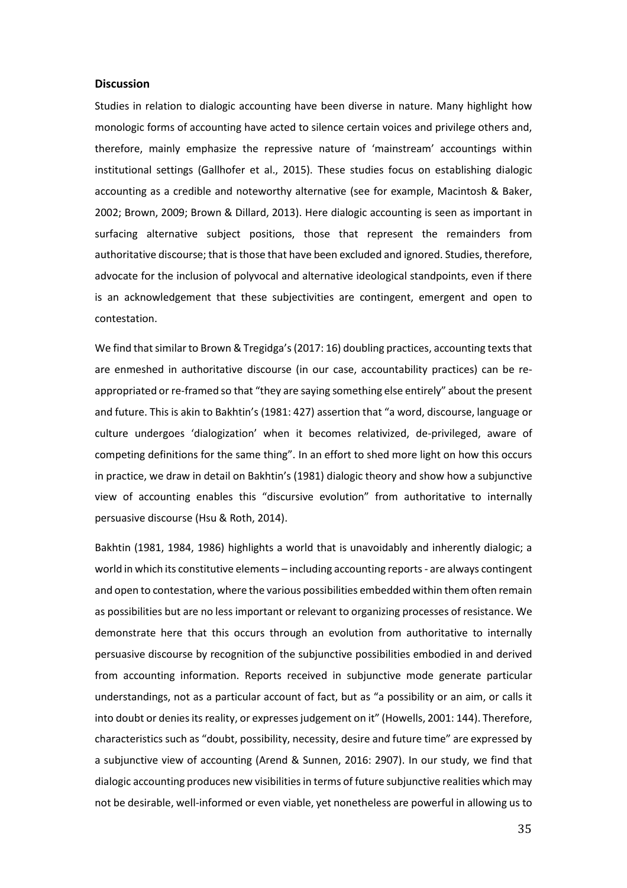#### **Discussion**

Studies in relation to dialogic accounting have been diverse in nature. Many highlight how monologic forms of accounting have acted to silence certain voices and privilege others and, therefore, mainly emphasize the repressive nature of 'mainstream' accountings within institutional settings (Gallhofer et al., 2015). These studies focus on establishing dialogic accounting as a credible and noteworthy alternative (see for example, Macintosh & Baker, 2002; Brown, 2009; Brown & Dillard, 2013). Here dialogic accounting is seen as important in surfacing alternative subject positions, those that represent the remainders from authoritative discourse; that is those that have been excluded and ignored. Studies, therefore, advocate for the inclusion of polyvocal and alternative ideological standpoints, even if there is an acknowledgement that these subjectivities are contingent, emergent and open to contestation.

We find that similar to Brown & Tregidga's (2017: 16) doubling practices, accounting texts that are enmeshed in authoritative discourse (in our case, accountability practices) can be reappropriated or re-framed so that "they are saying something else entirely" about the present and future. This is akin to Bakhtin's (1981: 427) assertion that "a word, discourse, language or culture undergoes 'dialogization' when it becomes relativized, de-privileged, aware of competing definitions for the same thing". In an effort to shed more light on how this occurs in practice, we draw in detail on Bakhtin's (1981) dialogic theory and show how a subjunctive view of accounting enables this "discursive evolution" from authoritative to internally persuasive discourse (Hsu & Roth, 2014).

Bakhtin (1981, 1984, 1986) highlights a world that is unavoidably and inherently dialogic; a world in which its constitutive elements – including accounting reports - are always contingent and open to contestation, where the various possibilities embedded within them often remain as possibilities but are no less important or relevant to organizing processes of resistance. We demonstrate here that this occurs through an evolution from authoritative to internally persuasive discourse by recognition of the subjunctive possibilities embodied in and derived from accounting information. Reports received in subjunctive mode generate particular understandings, not as a particular account of fact, but as "a possibility or an aim, or calls it into doubt or denies its reality, or expresses judgement on it" (Howells, 2001: 144). Therefore, characteristics such as "doubt, possibility, necessity, desire and future time" are expressed by a subjunctive view of accounting (Arend & Sunnen, 2016: 2907). In our study, we find that dialogic accounting produces new visibilities in terms of future subjunctive realities which may not be desirable, well-informed or even viable, yet nonetheless are powerful in allowing us to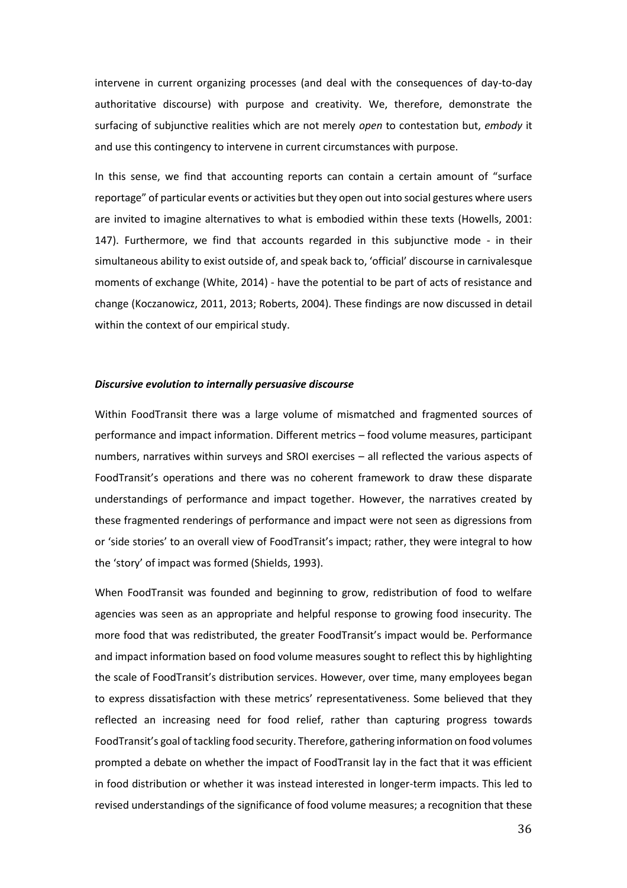intervene in current organizing processes (and deal with the consequences of day-to-day authoritative discourse) with purpose and creativity. We, therefore, demonstrate the surfacing of subjunctive realities which are not merely *open* to contestation but, *embody* it and use this contingency to intervene in current circumstances with purpose.

In this sense, we find that accounting reports can contain a certain amount of "surface reportage" of particular events or activities but they open out into social gestures where users are invited to imagine alternatives to what is embodied within these texts (Howells, 2001: 147). Furthermore, we find that accounts regarded in this subjunctive mode - in their simultaneous ability to exist outside of, and speak back to, 'official' discourse in carnivalesque moments of exchange (White, 2014) - have the potential to be part of acts of resistance and change (Koczanowicz, 2011, 2013; Roberts, 2004). These findings are now discussed in detail within the context of our empirical study.

#### *Discursive evolution to internally persuasive discourse*

Within FoodTransit there was a large volume of mismatched and fragmented sources of performance and impact information. Different metrics – food volume measures, participant numbers, narratives within surveys and SROI exercises – all reflected the various aspects of FoodTransit's operations and there was no coherent framework to draw these disparate understandings of performance and impact together. However, the narratives created by these fragmented renderings of performance and impact were not seen as digressions from or 'side stories' to an overall view of FoodTransit's impact; rather, they were integral to how the 'story' of impact was formed (Shields, 1993).

When FoodTransit was founded and beginning to grow, redistribution of food to welfare agencies was seen as an appropriate and helpful response to growing food insecurity. The more food that was redistributed, the greater FoodTransit's impact would be. Performance and impact information based on food volume measures sought to reflect this by highlighting the scale of FoodTransit's distribution services. However, over time, many employees began to express dissatisfaction with these metrics' representativeness. Some believed that they reflected an increasing need for food relief, rather than capturing progress towards FoodTransit's goal of tackling food security. Therefore, gathering information on food volumes prompted a debate on whether the impact of FoodTransit lay in the fact that it was efficient in food distribution or whether it was instead interested in longer-term impacts. This led to revised understandings of the significance of food volume measures; a recognition that these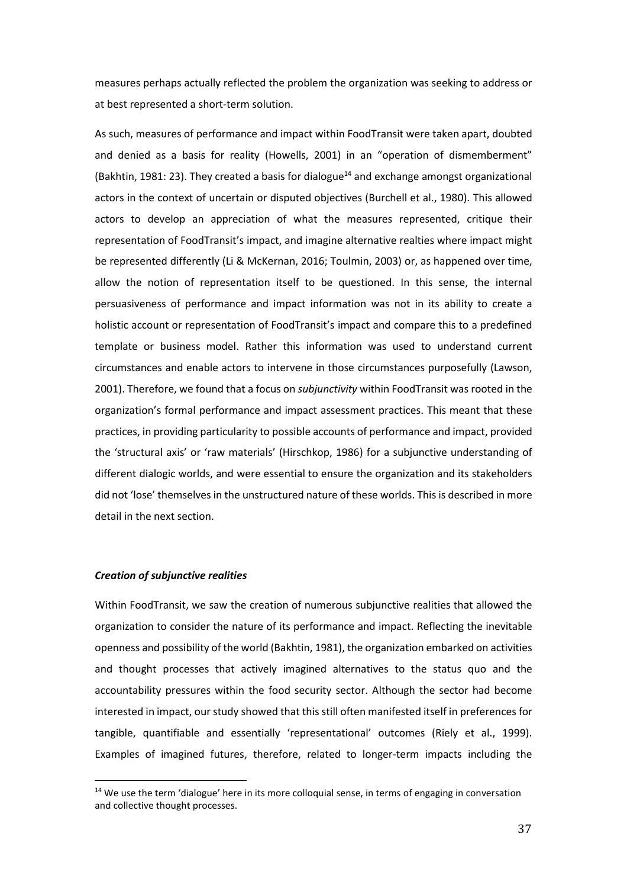measures perhaps actually reflected the problem the organization was seeking to address or at best represented a short-term solution.

As such, measures of performance and impact within FoodTransit were taken apart, doubted and denied as a basis for reality (Howells, 2001) in an "operation of dismemberment" (Bakhtin, 1981: 23). They created a basis for dialogue<sup>14</sup> and exchange amongst organizational actors in the context of uncertain or disputed objectives (Burchell et al., 1980). This allowed actors to develop an appreciation of what the measures represented, critique their representation of FoodTransit's impact, and imagine alternative realties where impact might be represented differently (Li & McKernan, 2016; Toulmin, 2003) or, as happened over time, allow the notion of representation itself to be questioned. In this sense, the internal persuasiveness of performance and impact information was not in its ability to create a holistic account or representation of FoodTransit's impact and compare this to a predefined template or business model. Rather this information was used to understand current circumstances and enable actors to intervene in those circumstances purposefully (Lawson, 2001). Therefore, we found that a focus on *subjunctivity* within FoodTransit was rooted in the organization's formal performance and impact assessment practices. This meant that these practices, in providing particularity to possible accounts of performance and impact, provided the 'structural axis' or 'raw materials' (Hirschkop, 1986) for a subjunctive understanding of different dialogic worlds, and were essential to ensure the organization and its stakeholders did not 'lose' themselves in the unstructured nature of these worlds. This is described in more detail in the next section.

## *Creation of subjunctive realities*

 $\overline{\phantom{a}}$ 

Within FoodTransit, we saw the creation of numerous subjunctive realities that allowed the organization to consider the nature of its performance and impact. Reflecting the inevitable openness and possibility of the world (Bakhtin, 1981), the organization embarked on activities and thought processes that actively imagined alternatives to the status quo and the accountability pressures within the food security sector. Although the sector had become interested in impact, our study showed that this still often manifested itself in preferences for tangible, quantifiable and essentially 'representational' outcomes (Riely et al., 1999). Examples of imagined futures, therefore, related to longer-term impacts including the

<sup>&</sup>lt;sup>14</sup> We use the term 'dialogue' here in its more colloquial sense, in terms of engaging in conversation and collective thought processes.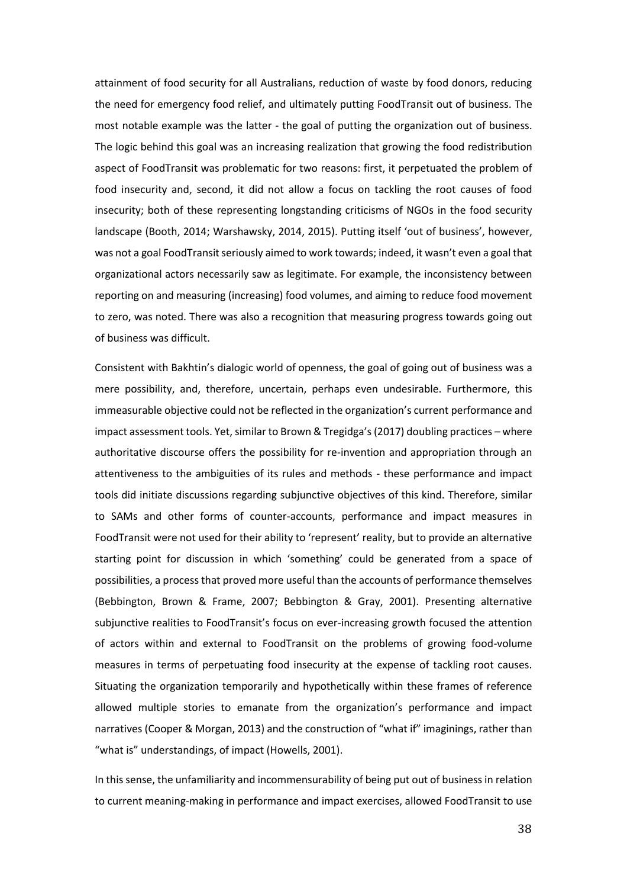attainment of food security for all Australians, reduction of waste by food donors, reducing the need for emergency food relief, and ultimately putting FoodTransit out of business. The most notable example was the latter - the goal of putting the organization out of business. The logic behind this goal was an increasing realization that growing the food redistribution aspect of FoodTransit was problematic for two reasons: first, it perpetuated the problem of food insecurity and, second, it did not allow a focus on tackling the root causes of food insecurity; both of these representing longstanding criticisms of NGOs in the food security landscape (Booth, 2014; Warshawsky, 2014, 2015). Putting itself 'out of business', however, was not a goal FoodTransit seriously aimed to work towards; indeed, it wasn't even a goal that organizational actors necessarily saw as legitimate. For example, the inconsistency between reporting on and measuring (increasing) food volumes, and aiming to reduce food movement to zero, was noted. There was also a recognition that measuring progress towards going out of business was difficult.

Consistent with Bakhtin's dialogic world of openness, the goal of going out of business was a mere possibility, and, therefore, uncertain, perhaps even undesirable. Furthermore, this immeasurable objective could not be reflected in the organization's current performance and impact assessment tools. Yet, similar to Brown & Tregidga's (2017) doubling practices – where authoritative discourse offers the possibility for re-invention and appropriation through an attentiveness to the ambiguities of its rules and methods - these performance and impact tools did initiate discussions regarding subjunctive objectives of this kind. Therefore, similar to SAMs and other forms of counter-accounts, performance and impact measures in FoodTransit were not used for their ability to 'represent' reality, but to provide an alternative starting point for discussion in which 'something' could be generated from a space of possibilities, a process that proved more useful than the accounts of performance themselves (Bebbington, Brown & Frame, 2007; Bebbington & Gray, 2001). Presenting alternative subjunctive realities to FoodTransit's focus on ever-increasing growth focused the attention of actors within and external to FoodTransit on the problems of growing food-volume measures in terms of perpetuating food insecurity at the expense of tackling root causes. Situating the organization temporarily and hypothetically within these frames of reference allowed multiple stories to emanate from the organization's performance and impact narratives (Cooper & Morgan, 2013) and the construction of "what if" imaginings, rather than "what is" understandings, of impact (Howells, 2001).

In this sense, the unfamiliarity and incommensurability of being put out of business in relation to current meaning-making in performance and impact exercises, allowed FoodTransit to use

38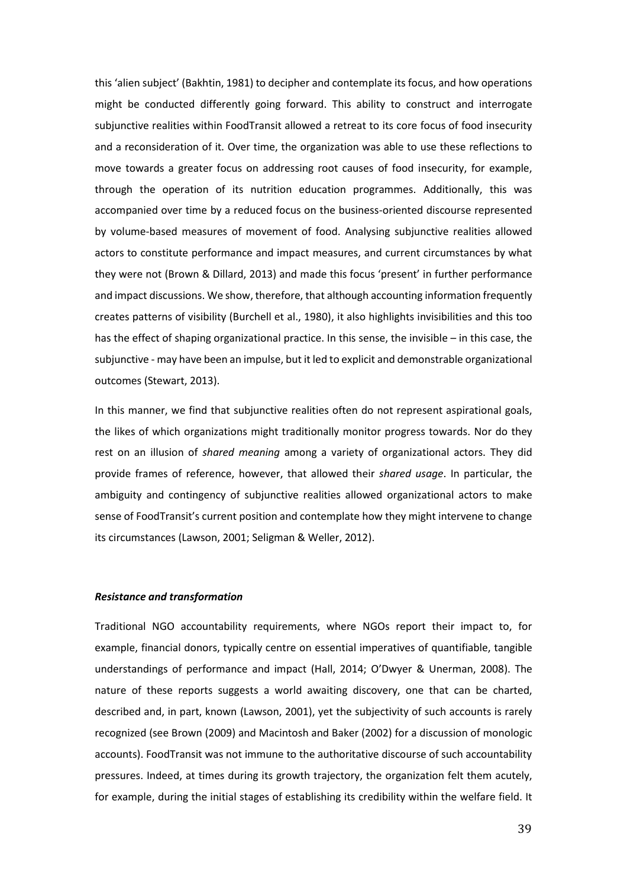this 'alien subject' (Bakhtin, 1981) to decipher and contemplate its focus, and how operations might be conducted differently going forward. This ability to construct and interrogate subjunctive realities within FoodTransit allowed a retreat to its core focus of food insecurity and a reconsideration of it. Over time, the organization was able to use these reflections to move towards a greater focus on addressing root causes of food insecurity, for example, through the operation of its nutrition education programmes. Additionally, this was accompanied over time by a reduced focus on the business-oriented discourse represented by volume-based measures of movement of food. Analysing subjunctive realities allowed actors to constitute performance and impact measures, and current circumstances by what they were not (Brown & Dillard, 2013) and made this focus 'present' in further performance and impact discussions. We show, therefore, that although accounting information frequently creates patterns of visibility (Burchell et al., 1980), it also highlights invisibilities and this too has the effect of shaping organizational practice. In this sense, the invisible – in this case, the subjunctive - may have been an impulse, but it led to explicit and demonstrable organizational outcomes (Stewart, 2013).

In this manner, we find that subjunctive realities often do not represent aspirational goals, the likes of which organizations might traditionally monitor progress towards. Nor do they rest on an illusion of *shared meaning* among a variety of organizational actors. They did provide frames of reference, however, that allowed their *shared usage*. In particular, the ambiguity and contingency of subjunctive realities allowed organizational actors to make sense of FoodTransit's current position and contemplate how they might intervene to change its circumstances (Lawson, 2001; Seligman & Weller, 2012).

### *Resistance and transformation*

Traditional NGO accountability requirements, where NGOs report their impact to, for example, financial donors, typically centre on essential imperatives of quantifiable, tangible understandings of performance and impact (Hall, 2014; O'Dwyer & Unerman, 2008). The nature of these reports suggests a world awaiting discovery, one that can be charted, described and, in part, known (Lawson, 2001), yet the subjectivity of such accounts is rarely recognized (see Brown (2009) and Macintosh and Baker (2002) for a discussion of monologic accounts). FoodTransit was not immune to the authoritative discourse of such accountability pressures. Indeed, at times during its growth trajectory, the organization felt them acutely, for example, during the initial stages of establishing its credibility within the welfare field. It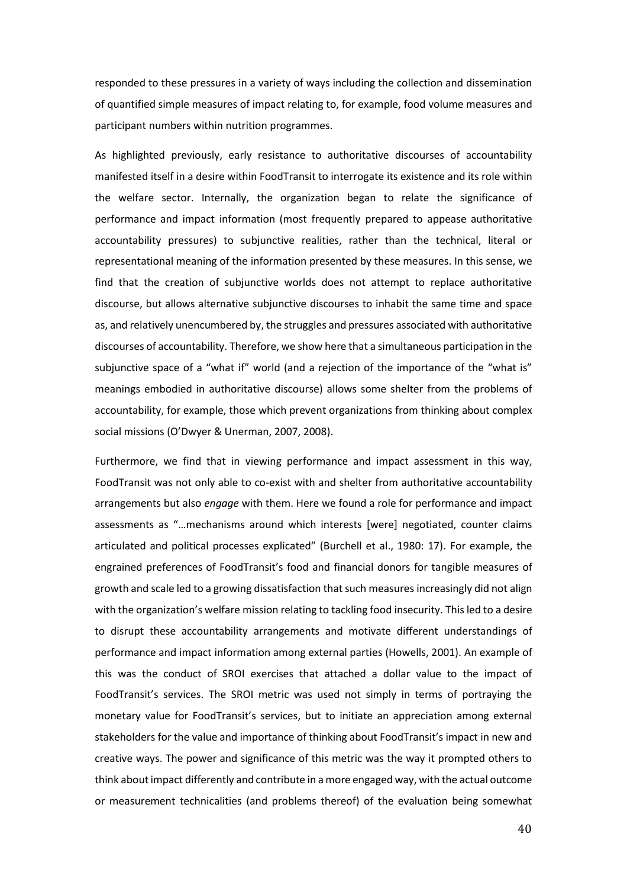responded to these pressures in a variety of ways including the collection and dissemination of quantified simple measures of impact relating to, for example, food volume measures and participant numbers within nutrition programmes.

As highlighted previously, early resistance to authoritative discourses of accountability manifested itself in a desire within FoodTransit to interrogate its existence and its role within the welfare sector. Internally, the organization began to relate the significance of performance and impact information (most frequently prepared to appease authoritative accountability pressures) to subjunctive realities, rather than the technical, literal or representational meaning of the information presented by these measures. In this sense, we find that the creation of subjunctive worlds does not attempt to replace authoritative discourse, but allows alternative subjunctive discourses to inhabit the same time and space as, and relatively unencumbered by, the struggles and pressures associated with authoritative discourses of accountability. Therefore, we show here that a simultaneous participation in the subjunctive space of a "what if" world (and a rejection of the importance of the "what is" meanings embodied in authoritative discourse) allows some shelter from the problems of accountability, for example, those which prevent organizations from thinking about complex social missions (O'Dwyer & Unerman, 2007, 2008).

Furthermore, we find that in viewing performance and impact assessment in this way, FoodTransit was not only able to co-exist with and shelter from authoritative accountability arrangements but also *engage* with them. Here we found a role for performance and impact assessments as "…mechanisms around which interests [were] negotiated, counter claims articulated and political processes explicated" (Burchell et al., 1980: 17). For example, the engrained preferences of FoodTransit's food and financial donors for tangible measures of growth and scale led to a growing dissatisfaction that such measures increasingly did not align with the organization's welfare mission relating to tackling food insecurity. This led to a desire to disrupt these accountability arrangements and motivate different understandings of performance and impact information among external parties (Howells, 2001). An example of this was the conduct of SROI exercises that attached a dollar value to the impact of FoodTransit's services. The SROI metric was used not simply in terms of portraying the monetary value for FoodTransit's services, but to initiate an appreciation among external stakeholders for the value and importance of thinking about FoodTransit's impact in new and creative ways. The power and significance of this metric was the way it prompted others to think about impact differently and contribute in a more engaged way, with the actual outcome or measurement technicalities (and problems thereof) of the evaluation being somewhat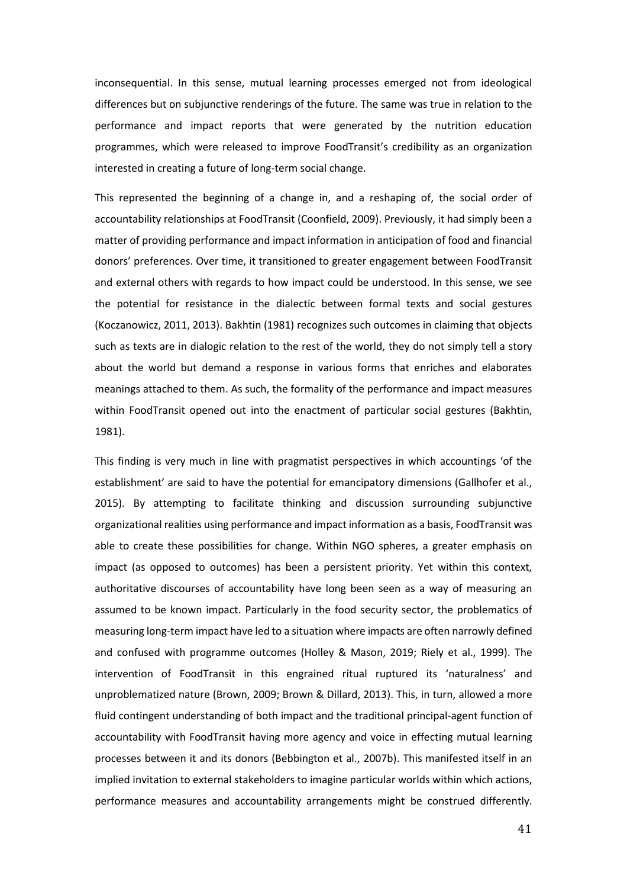inconsequential. In this sense, mutual learning processes emerged not from ideological differences but on subjunctive renderings of the future. The same was true in relation to the performance and impact reports that were generated by the nutrition education programmes, which were released to improve FoodTransit's credibility as an organization interested in creating a future of long-term social change.

This represented the beginning of a change in, and a reshaping of, the social order of accountability relationships at FoodTransit (Coonfield, 2009). Previously, it had simply been a matter of providing performance and impact information in anticipation of food and financial donors' preferences. Over time, it transitioned to greater engagement between FoodTransit and external others with regards to how impact could be understood. In this sense, we see the potential for resistance in the dialectic between formal texts and social gestures (Koczanowicz, 2011, 2013). Bakhtin (1981) recognizes such outcomes in claiming that objects such as texts are in dialogic relation to the rest of the world, they do not simply tell a story about the world but demand a response in various forms that enriches and elaborates meanings attached to them. As such, the formality of the performance and impact measures within FoodTransit opened out into the enactment of particular social gestures (Bakhtin, 1981).

This finding is very much in line with pragmatist perspectives in which accountings 'of the establishment' are said to have the potential for emancipatory dimensions (Gallhofer et al., 2015). By attempting to facilitate thinking and discussion surrounding subjunctive organizational realities using performance and impact information as a basis, FoodTransit was able to create these possibilities for change. Within NGO spheres, a greater emphasis on impact (as opposed to outcomes) has been a persistent priority. Yet within this context, authoritative discourses of accountability have long been seen as a way of measuring an assumed to be known impact. Particularly in the food security sector, the problematics of measuring long-term impact have led to a situation where impacts are often narrowly defined and confused with programme outcomes (Holley & Mason, 2019; Riely et al., 1999). The intervention of FoodTransit in this engrained ritual ruptured its 'naturalness' and unproblematized nature (Brown, 2009; Brown & Dillard, 2013). This, in turn, allowed a more fluid contingent understanding of both impact and the traditional principal-agent function of accountability with FoodTransit having more agency and voice in effecting mutual learning processes between it and its donors (Bebbington et al., 2007b). This manifested itself in an implied invitation to external stakeholders to imagine particular worlds within which actions, performance measures and accountability arrangements might be construed differently.

41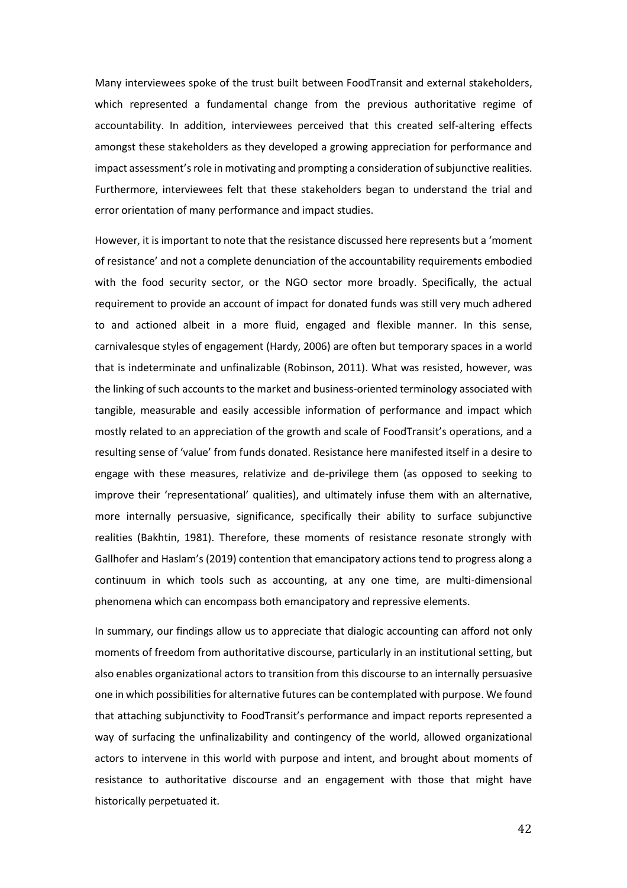Many interviewees spoke of the trust built between FoodTransit and external stakeholders, which represented a fundamental change from the previous authoritative regime of accountability. In addition, interviewees perceived that this created self-altering effects amongst these stakeholders as they developed a growing appreciation for performance and impact assessment's role in motivating and prompting a consideration of subjunctive realities. Furthermore, interviewees felt that these stakeholders began to understand the trial and error orientation of many performance and impact studies.

However, it is important to note that the resistance discussed here represents but a 'moment of resistance' and not a complete denunciation of the accountability requirements embodied with the food security sector, or the NGO sector more broadly. Specifically, the actual requirement to provide an account of impact for donated funds was still very much adhered to and actioned albeit in a more fluid, engaged and flexible manner. In this sense, carnivalesque styles of engagement (Hardy, 2006) are often but temporary spaces in a world that is indeterminate and unfinalizable (Robinson, 2011). What was resisted, however, was the linking of such accounts to the market and business-oriented terminology associated with tangible, measurable and easily accessible information of performance and impact which mostly related to an appreciation of the growth and scale of FoodTransit's operations, and a resulting sense of 'value' from funds donated. Resistance here manifested itself in a desire to engage with these measures, relativize and de-privilege them (as opposed to seeking to improve their 'representational' qualities), and ultimately infuse them with an alternative, more internally persuasive, significance, specifically their ability to surface subjunctive realities (Bakhtin, 1981). Therefore, these moments of resistance resonate strongly with Gallhofer and Haslam's (2019) contention that emancipatory actions tend to progress along a continuum in which tools such as accounting, at any one time, are multi-dimensional phenomena which can encompass both emancipatory and repressive elements.

In summary, our findings allow us to appreciate that dialogic accounting can afford not only moments of freedom from authoritative discourse, particularly in an institutional setting, but also enables organizational actors to transition from this discourse to an internally persuasive one in which possibilities for alternative futures can be contemplated with purpose. We found that attaching subjunctivity to FoodTransit's performance and impact reports represented a way of surfacing the unfinalizability and contingency of the world, allowed organizational actors to intervene in this world with purpose and intent, and brought about moments of resistance to authoritative discourse and an engagement with those that might have historically perpetuated it.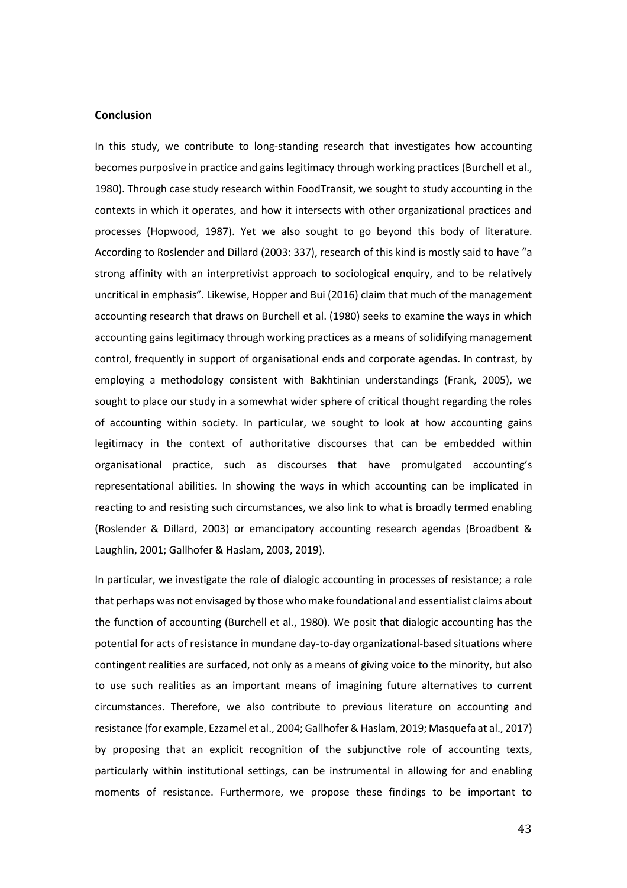#### **Conclusion**

In this study, we contribute to long-standing research that investigates how accounting becomes purposive in practice and gains legitimacy through working practices (Burchell et al., 1980). Through case study research within FoodTransit, we sought to study accounting in the contexts in which it operates, and how it intersects with other organizational practices and processes (Hopwood, 1987). Yet we also sought to go beyond this body of literature. According to Roslender and Dillard (2003: 337), research of this kind is mostly said to have "a strong affinity with an interpretivist approach to sociological enquiry, and to be relatively uncritical in emphasis". Likewise, Hopper and Bui (2016) claim that much of the management accounting research that draws on Burchell et al. (1980) seeks to examine the ways in which accounting gains legitimacy through working practices as a means of solidifying management control, frequently in support of organisational ends and corporate agendas. In contrast, by employing a methodology consistent with Bakhtinian understandings (Frank, 2005), we sought to place our study in a somewhat wider sphere of critical thought regarding the roles of accounting within society. In particular, we sought to look at how accounting gains legitimacy in the context of authoritative discourses that can be embedded within organisational practice, such as discourses that have promulgated accounting's representational abilities. In showing the ways in which accounting can be implicated in reacting to and resisting such circumstances, we also link to what is broadly termed enabling (Roslender & Dillard, 2003) or emancipatory accounting research agendas (Broadbent & Laughlin, 2001; Gallhofer & Haslam, 2003, 2019).

In particular, we investigate the role of dialogic accounting in processes of resistance; a role that perhaps was not envisaged by those who make foundational and essentialist claims about the function of accounting (Burchell et al., 1980). We posit that dialogic accounting has the potential for acts of resistance in mundane day-to-day organizational-based situations where contingent realities are surfaced, not only as a means of giving voice to the minority, but also to use such realities as an important means of imagining future alternatives to current circumstances. Therefore, we also contribute to previous literature on accounting and resistance (for example, Ezzamel et al., 2004; Gallhofer & Haslam, 2019; Masquefa at al., 2017) by proposing that an explicit recognition of the subjunctive role of accounting texts, particularly within institutional settings, can be instrumental in allowing for and enabling moments of resistance. Furthermore, we propose these findings to be important to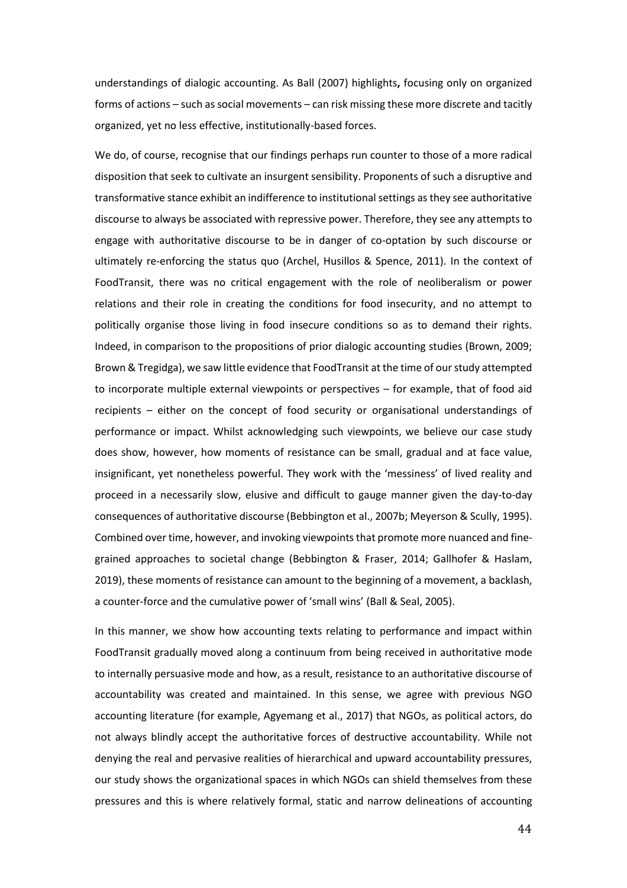understandings of dialogic accounting. As Ball (2007) highlights**,** focusing only on organized forms of actions – such as social movements – can risk missing these more discrete and tacitly organized, yet no less effective, institutionally-based forces.

We do, of course, recognise that our findings perhaps run counter to those of a more radical disposition that seek to cultivate an insurgent sensibility. Proponents of such a disruptive and transformative stance exhibit an indifference to institutional settings as they see authoritative discourse to always be associated with repressive power. Therefore, they see any attempts to engage with authoritative discourse to be in danger of co-optation by such discourse or ultimately re-enforcing the status quo (Archel, Husillos & Spence, 2011). In the context of FoodTransit, there was no critical engagement with the role of neoliberalism or power relations and their role in creating the conditions for food insecurity, and no attempt to politically organise those living in food insecure conditions so as to demand their rights. Indeed, in comparison to the propositions of prior dialogic accounting studies (Brown, 2009; Brown & Tregidga), we saw little evidence that FoodTransit at the time of our study attempted to incorporate multiple external viewpoints or perspectives – for example, that of food aid recipients – either on the concept of food security or organisational understandings of performance or impact. Whilst acknowledging such viewpoints, we believe our case study does show, however, how moments of resistance can be small, gradual and at face value, insignificant, yet nonetheless powerful. They work with the 'messiness' of lived reality and proceed in a necessarily slow, elusive and difficult to gauge manner given the day-to-day consequences of authoritative discourse (Bebbington et al., 2007b; Meyerson & Scully, 1995). Combined over time, however, and invoking viewpoints that promote more nuanced and finegrained approaches to societal change (Bebbington & Fraser, 2014; Gallhofer & Haslam, 2019), these moments of resistance can amount to the beginning of a movement, a backlash, a counter-force and the cumulative power of 'small wins' (Ball & Seal, 2005).

In this manner, we show how accounting texts relating to performance and impact within FoodTransit gradually moved along a continuum from being received in authoritative mode to internally persuasive mode and how, as a result, resistance to an authoritative discourse of accountability was created and maintained. In this sense, we agree with previous NGO accounting literature (for example, Agyemang et al., 2017) that NGOs, as political actors, do not always blindly accept the authoritative forces of destructive accountability. While not denying the real and pervasive realities of hierarchical and upward accountability pressures, our study shows the organizational spaces in which NGOs can shield themselves from these pressures and this is where relatively formal, static and narrow delineations of accounting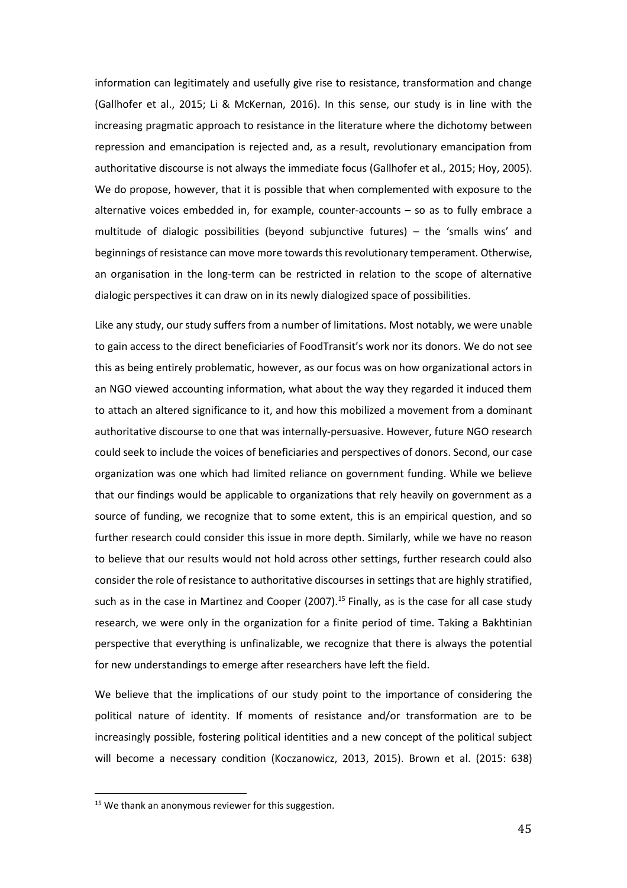information can legitimately and usefully give rise to resistance, transformation and change (Gallhofer et al., 2015; Li & McKernan, 2016). In this sense, our study is in line with the increasing pragmatic approach to resistance in the literature where the dichotomy between repression and emancipation is rejected and, as a result, revolutionary emancipation from authoritative discourse is not always the immediate focus (Gallhofer et al., 2015; Hoy, 2005). We do propose, however, that it is possible that when complemented with exposure to the alternative voices embedded in, for example, counter-accounts – so as to fully embrace a multitude of dialogic possibilities (beyond subjunctive futures) – the 'smalls wins' and beginnings of resistance can move more towards this revolutionary temperament. Otherwise, an organisation in the long-term can be restricted in relation to the scope of alternative dialogic perspectives it can draw on in its newly dialogized space of possibilities.

Like any study, our study suffers from a number of limitations. Most notably, we were unable to gain access to the direct beneficiaries of FoodTransit's work nor its donors. We do not see this as being entirely problematic, however, as our focus was on how organizational actors in an NGO viewed accounting information, what about the way they regarded it induced them to attach an altered significance to it, and how this mobilized a movement from a dominant authoritative discourse to one that was internally-persuasive. However, future NGO research could seek to include the voices of beneficiaries and perspectives of donors. Second, our case organization was one which had limited reliance on government funding. While we believe that our findings would be applicable to organizations that rely heavily on government as a source of funding, we recognize that to some extent, this is an empirical question, and so further research could consider this issue in more depth. Similarly, while we have no reason to believe that our results would not hold across other settings, further research could also consider the role of resistance to authoritative discourses in settings that are highly stratified, such as in the case in Martinez and Cooper (2007).<sup>15</sup> Finally, as is the case for all case study research, we were only in the organization for a finite period of time. Taking a Bakhtinian perspective that everything is unfinalizable, we recognize that there is always the potential for new understandings to emerge after researchers have left the field.

We believe that the implications of our study point to the importance of considering the political nature of identity. If moments of resistance and/or transformation are to be increasingly possible, fostering political identities and a new concept of the political subject will become a necessary condition (Koczanowicz, 2013, 2015). Brown et al. (2015: 638)

 $\overline{\phantom{a}}$ 

<sup>&</sup>lt;sup>15</sup> We thank an anonymous reviewer for this suggestion.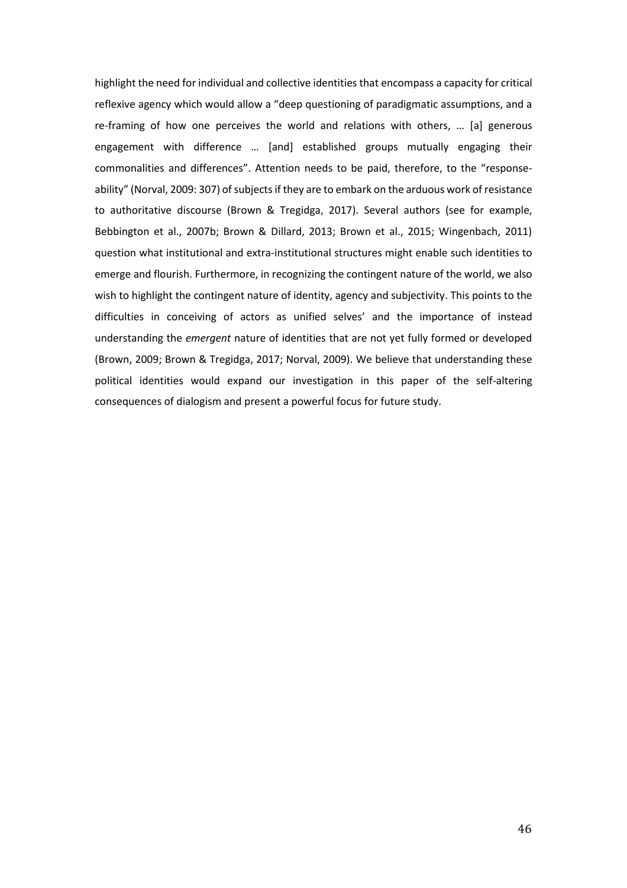highlight the need for individual and collective identities that encompass a capacity for critical reflexive agency which would allow a "deep questioning of paradigmatic assumptions, and a re-framing of how one perceives the world and relations with others, … [a] generous engagement with difference … [and] established groups mutually engaging their commonalities and differences". Attention needs to be paid, therefore, to the "responseability" (Norval, 2009: 307) of subjects if they are to embark on the arduous work of resistance to authoritative discourse (Brown & Tregidga, 2017). Several authors (see for example, Bebbington et al., 2007b; Brown & Dillard, 2013; Brown et al., 2015; Wingenbach, 2011) question what institutional and extra-institutional structures might enable such identities to emerge and flourish. Furthermore, in recognizing the contingent nature of the world, we also wish to highlight the contingent nature of identity, agency and subjectivity. This points to the difficulties in conceiving of actors as unified selves' and the importance of instead understanding the *emergent* nature of identities that are not yet fully formed or developed (Brown, 2009; Brown & Tregidga, 2017; Norval, 2009). We believe that understanding these political identities would expand our investigation in this paper of the self-altering consequences of dialogism and present a powerful focus for future study.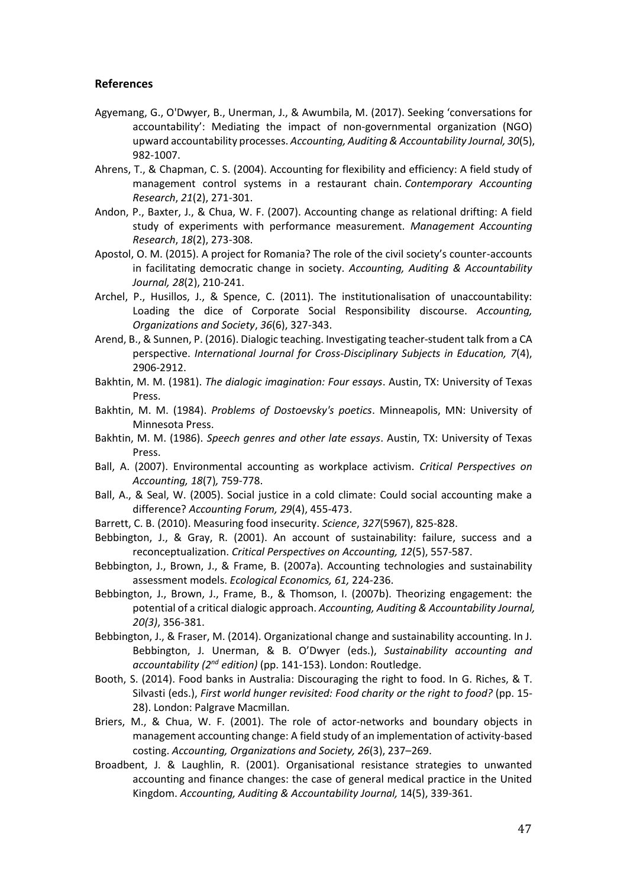# **References**

- Agyemang, G., O'Dwyer, B., Unerman, J., & Awumbila, M. (2017). Seeking 'conversations for accountability': Mediating the impact of non-governmental organization (NGO) upward accountability processes. *Accounting, Auditing & Accountability Journal, 30*(5), 982-1007.
- Ahrens, T., & Chapman, C. S. (2004). Accounting for flexibility and efficiency: A field study of management control systems in a restaurant chain. *Contemporary Accounting Research*, *21*(2), 271-301.
- Andon, P., Baxter, J., & Chua, W. F. (2007). Accounting change as relational drifting: A field study of experiments with performance measurement. *Management Accounting Research*, *18*(2), 273-308.
- Apostol, O. M. (2015). A project for Romania? The role of the civil society's counter-accounts in facilitating democratic change in society. *Accounting, Auditing & Accountability Journal, 28*(2), 210-241.
- Archel, P., Husillos, J., & Spence, C. (2011). The institutionalisation of unaccountability: Loading the dice of Corporate Social Responsibility discourse. *Accounting, Organizations and Society*, *36*(6), 327-343.
- Arend, B., & Sunnen, P. (2016). Dialogic teaching. Investigating teacher-student talk from a CA perspective. *International Journal for Cross-Disciplinary Subjects in Education, 7*(4), 2906-2912.
- Bakhtin, M. M. (1981). *The dialogic imagination: Four essays*. Austin, TX: University of Texas Press.
- Bakhtin, M. M. (1984). *Problems of Dostoevsky's poetics*. Minneapolis, MN: University of Minnesota Press.
- Bakhtin, M. M. (1986). *Speech genres and other late essays*. Austin, TX: University of Texas Press.
- Ball, A. (2007). Environmental accounting as workplace activism. *Critical Perspectives on Accounting, 18*(7)*,* 759-778.
- Ball, A., & Seal, W. (2005). Social justice in a cold climate: Could social accounting make a difference? *Accounting Forum, 29*(4), 455-473.
- Barrett, C. B. (2010). Measuring food insecurity. *Science*, *327*(5967), 825-828.
- Bebbington, J., & Gray, R. (2001). An account of sustainability: failure, success and a reconceptualization. *Critical Perspectives on Accounting, 12*(5), 557-587.
- Bebbington, J., Brown, J., & Frame, B. (2007a). Accounting technologies and sustainability assessment models. *Ecological Economics, 61,* 224-236.
- Bebbington, J., Brown, J., Frame, B., & Thomson, I. (2007b). Theorizing engagement: the potential of a critical dialogic approach. *Accounting, Auditing & Accountability Journal, 20(3)*, 356-381.
- Bebbington, J., & Fraser, M. (2014). Organizational change and sustainability accounting. In J. Bebbington, J. Unerman, & B. O'Dwyer (eds.), *Sustainability accounting and accountability (2nd edition)* (pp. 141-153). London: Routledge.
- Booth, S. (2014). Food banks in Australia: Discouraging the right to food. In G. Riches, & T. Silvasti (eds.), *First world hunger revisited: Food charity or the right to food?* (pp. 15- 28). London: Palgrave Macmillan.
- Briers, M., & Chua, W. F. (2001). The role of actor-networks and boundary objects in management accounting change: A field study of an implementation of activity-based costing. *Accounting, Organizations and Society, 26*(3), 237–269.
- Broadbent, J. & Laughlin, R. (2001). Organisational resistance strategies to unwanted accounting and finance changes: the case of general medical practice in the United Kingdom. *Accounting, Auditing & Accountability Journal,* 14(5), 339-361.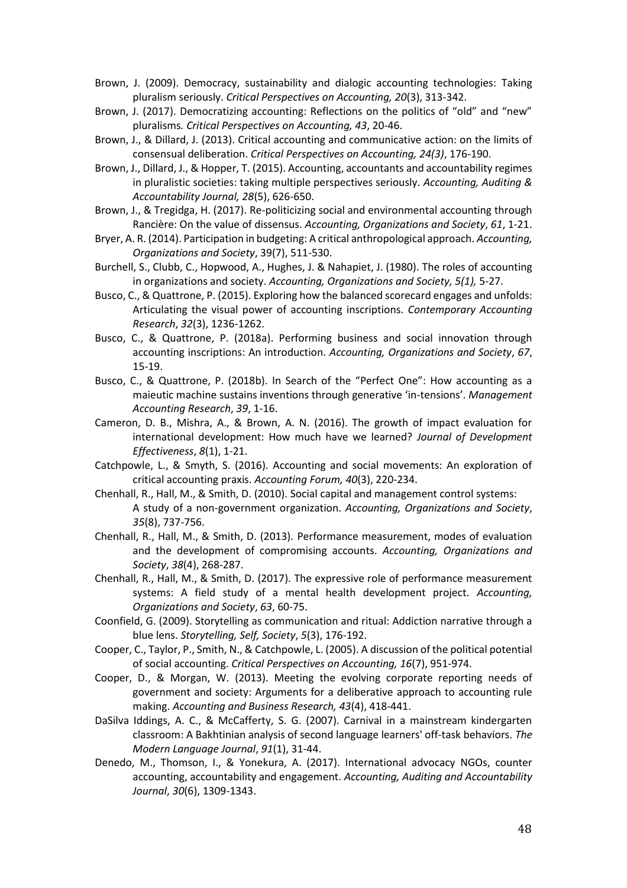- Brown, J. (2009). Democracy, sustainability and dialogic accounting technologies: Taking pluralism seriously. *Critical Perspectives on Accounting, 20*(3), 313-342.
- Brown, J. (2017). Democratizing accounting: Reflections on the politics of "old" and "new" pluralisms*. Critical Perspectives on Accounting, 43*, 20-46.
- Brown, J., & Dillard, J. (2013). Critical accounting and communicative action: on the limits of consensual deliberation. *Critical Perspectives on Accounting, 24(3)*, 176-190.
- Brown, J., Dillard, J., & Hopper, T. (2015). Accounting, accountants and accountability regimes in pluralistic societies: taking multiple perspectives seriously. *Accounting, Auditing & Accountability Journal, 28*(5), 626-650.
- Brown, J., & Tregidga, H. (2017). Re-politicizing social and environmental accounting through Rancière: On the value of dissensus. *Accounting, Organizations and Society*, *61*, 1-21.
- Bryer, A. R. (2014). Participation in budgeting: A critical anthropological approach. *Accounting, Organizations and Society*, 39(7), 511-530.
- Burchell, S., Clubb, C., Hopwood, A., Hughes, J. & Nahapiet, J. (1980). The roles of accounting in organizations and society. *Accounting, Organizations and Society, 5(1),* 5-27.
- Busco, C., & Quattrone, P. (2015). Exploring how the balanced scorecard engages and unfolds: Articulating the visual power of accounting inscriptions. *Contemporary Accounting Research*, *32*(3), 1236-1262.
- Busco, C., & Quattrone, P. (2018a). Performing business and social innovation through accounting inscriptions: An introduction. *Accounting, Organizations and Society*, *67*, 15-19.
- Busco, C., & Quattrone, P. (2018b). In Search of the "Perfect One": How accounting as a maieutic machine sustains inventions through generative 'in-tensions'. *Management Accounting Research*, *39*, 1-16.
- Cameron, D. B., Mishra, A., & Brown, A. N. (2016). The growth of impact evaluation for international development: How much have we learned? *Journal of Development Effectiveness*, *8*(1), 1-21.
- Catchpowle, L., & Smyth, S. (2016). Accounting and social movements: An exploration of critical accounting praxis. *Accounting Forum, 40*(3), 220-234.
- Chenhall, R., Hall, M., & Smith, D. (2010). Social capital and management control systems: A study of a non-government organization. *Accounting, Organizations and Society*, *35*(8), 737-756.
- Chenhall, R., Hall, M., & Smith, D. (2013). Performance measurement, modes of evaluation and the development of compromising accounts. *Accounting, Organizations and Society*, *38*(4), 268-287.
- Chenhall, R., Hall, M., & Smith, D. (2017). The expressive role of performance measurement systems: A field study of a mental health development project. *Accounting, Organizations and Society*, *63*, 60-75.
- Coonfield, G. (2009). Storytelling as communication and ritual: Addiction narrative through a blue lens. *Storytelling, Self, Society*, *5*(3), 176-192.
- Cooper, C., Taylor, P., Smith, N., & Catchpowle, L. (2005). A discussion of the political potential of social accounting. *Critical Perspectives on Accounting, 16*(7), 951-974.
- Cooper, D., & Morgan, W. (2013). Meeting the evolving corporate reporting needs of government and society: Arguments for a deliberative approach to accounting rule making. *Accounting and Business Research, 43*(4), 418-441.
- DaSilva Iddings, A. C., & McCafferty, S. G. (2007). Carnival in a mainstream kindergarten classroom: A Bakhtinian analysis of second language learners' off‐task behaviors. *The Modern Language Journal*, *91*(1), 31-44.
- Denedo, M., Thomson, I., & Yonekura, A. (2017). International advocacy NGOs, counter accounting, accountability and engagement. *Accounting, Auditing and Accountability Journal*, *30*(6), 1309-1343.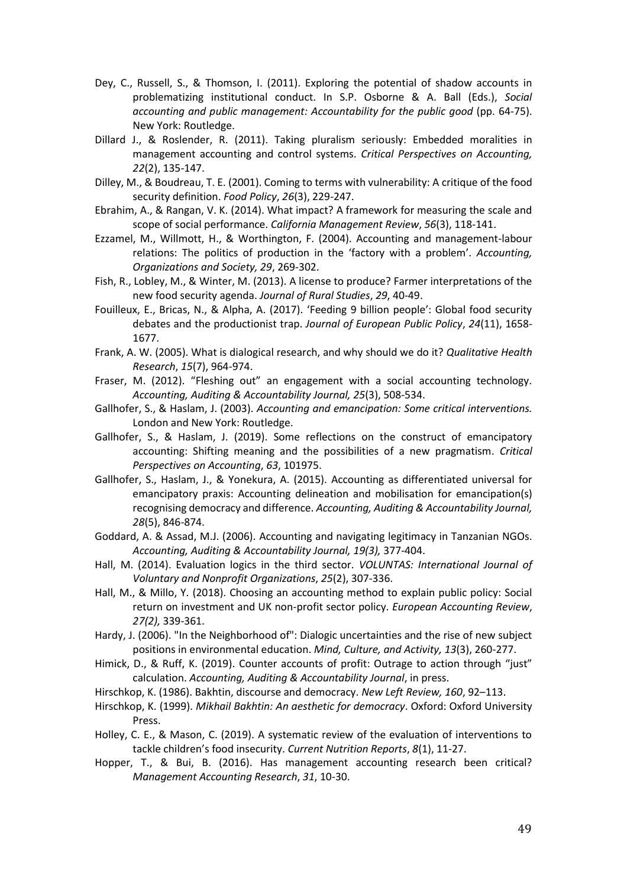- Dey, C., Russell, S., & Thomson, I. (2011). Exploring the potential of shadow accounts in problematizing institutional conduct. In S.P. Osborne & A. Ball (Eds.), *Social accounting and public management: Accountability for the public good* (pp. 64-75). New York: Routledge.
- Dillard J., & Roslender, R. (2011). Taking pluralism seriously: Embedded moralities in management accounting and control systems. *Critical Perspectives on Accounting, 22*(2), 135-147.
- Dilley, M., & Boudreau, T. E. (2001). Coming to terms with vulnerability: A critique of the food security definition. *Food Policy*, *26*(3), 229-247.
- Ebrahim, A., & Rangan, V. K. (2014). What impact? A framework for measuring the scale and scope of social performance. *California Management Review*, *56*(3), 118-141.
- Ezzamel, M., Willmott, H., & Worthington, F. (2004). Accounting and management-labour relations: The politics of production in the 'factory with a problem'. *Accounting, Organizations and Society, 29*, 269-302.
- Fish, R., Lobley, M., & Winter, M. (2013). A license to produce? Farmer interpretations of the new food security agenda. *Journal of Rural Studies*, *29*, 40-49.
- Fouilleux, E., Bricas, N., & Alpha, A. (2017). 'Feeding 9 billion people': Global food security debates and the productionist trap. *Journal of European Public Policy*, *24*(11), 1658- 1677.
- Frank, A. W. (2005). What is dialogical research, and why should we do it? *Qualitative Health Research*, *15*(7), 964-974.
- Fraser, M. (2012). "Fleshing out" an engagement with a social accounting technology. *Accounting, Auditing & Accountability Journal, 25*(3), 508-534.
- Gallhofer, S., & Haslam, J. (2003). *Accounting and emancipation: Some critical interventions.* London and New York: Routledge.
- Gallhofer, S., & Haslam, J. (2019). Some reflections on the construct of emancipatory accounting: Shifting meaning and the possibilities of a new pragmatism. *Critical Perspectives on Accounting*, *63*, 101975.
- Gallhofer, S., Haslam, J., & Yonekura, A. (2015). Accounting as differentiated universal for emancipatory praxis: Accounting delineation and mobilisation for emancipation(s) recognising democracy and difference. *Accounting, Auditing & Accountability Journal, 28*(5), 846-874.
- Goddard, A. & Assad, M.J. (2006). Accounting and navigating legitimacy in Tanzanian NGOs. *Accounting, Auditing & Accountability Journal, 19(3),* 377-404.
- Hall, M. (2014). Evaluation logics in the third sector. *VOLUNTAS: International Journal of Voluntary and Nonprofit Organizations*, *25*(2), 307-336.
- Hall, M., & Millo, Y. (2018). Choosing an accounting method to explain public policy: Social return on investment and UK non-profit sector policy. *European Accounting Review*, *27(2),* 339-361.
- Hardy, J. (2006). "In the Neighborhood of": Dialogic uncertainties and the rise of new subject positions in environmental education. *Mind, Culture, and Activity, 13*(3), 260-277.
- Himick, D., & Ruff, K. (2019). Counter accounts of profit: Outrage to action through "just" calculation. *Accounting, Auditing & Accountability Journal*, in press.
- Hirschkop, K. (1986). Bakhtin, discourse and democracy. *New Left Review, 160*, 92–113.
- Hirschkop, K. (1999). *Mikhail Bakhtin: An aesthetic for democracy*. Oxford: Oxford University Press.
- Holley, C. E., & Mason, C. (2019). A systematic review of the evaluation of interventions to tackle children's food insecurity. *Current Nutrition Reports*, *8*(1), 11-27.
- Hopper, T., & Bui, B. (2016). Has management accounting research been critical? *Management Accounting Research*, *31*, 10-30.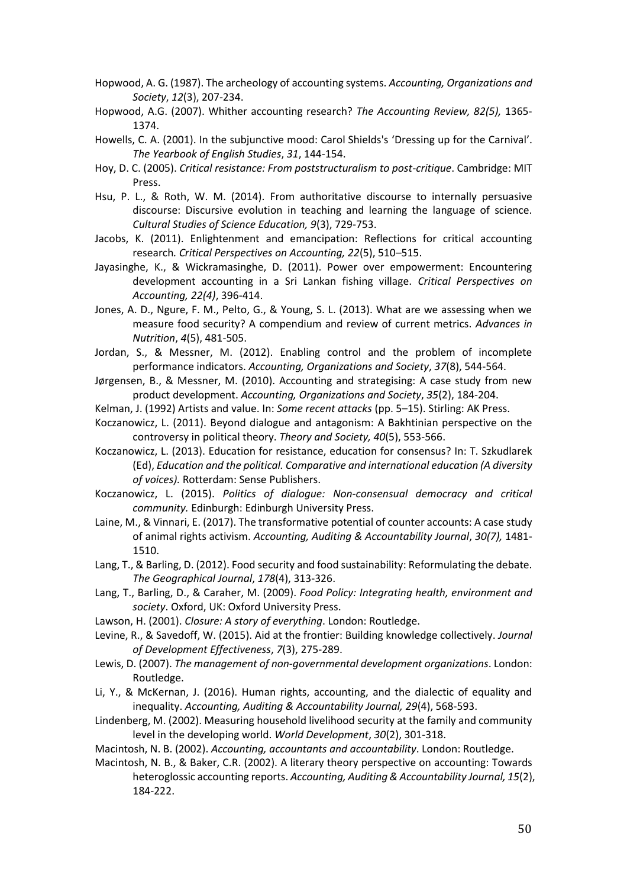- Hopwood, A. G. (1987). The archeology of accounting systems. *Accounting, Organizations and Society*, *12*(3), 207-234.
- Hopwood, A.G. (2007). Whither accounting research? *The Accounting Review, 82(5),* 1365- 1374.
- Howells, C. A. (2001). In the subjunctive mood: Carol Shields's 'Dressing up for the Carnival'. *The Yearbook of English Studies*, *31*, 144-154.
- Hoy, D. C. (2005). *Critical resistance: From poststructuralism to post-critique*. Cambridge: MIT Press.
- Hsu, P. L., & Roth, W. M. (2014). From authoritative discourse to internally persuasive discourse: Discursive evolution in teaching and learning the language of science. *Cultural Studies of Science Education, 9*(3), 729-753.
- Jacobs, K. (2011). Enlightenment and emancipation: Reflections for critical accounting research*. Critical Perspectives on Accounting, 22*(5), 510–515.
- Jayasinghe, K., & Wickramasinghe, D. (2011). Power over empowerment: Encountering development accounting in a Sri Lankan fishing village. *Critical Perspectives on Accounting, 22(4)*, 396-414.
- Jones, A. D., Ngure, F. M., Pelto, G., & Young, S. L. (2013). What are we assessing when we measure food security? A compendium and review of current metrics. *Advances in Nutrition*, *4*(5), 481-505.
- Jordan, S., & Messner, M. (2012). Enabling control and the problem of incomplete performance indicators. *Accounting, Organizations and Society*, *37*(8), 544-564.
- Jørgensen, B., & Messner, M. (2010). Accounting and strategising: A case study from new product development. *Accounting, Organizations and Society*, *35*(2), 184-204.
- Kelman, J. (1992) Artists and value. In: *Some recent attacks* (pp. 5–15). Stirling: AK Press.
- Koczanowicz, L. (2011). Beyond dialogue and antagonism: A Bakhtinian perspective on the controversy in political theory. *Theory and Society, 40*(5), 553-566.
- Koczanowicz, L. (2013). Education for resistance, education for consensus? In: T. Szkudlarek (Ed), *Education and the political. Comparative and international education (A diversity of voices).* Rotterdam: Sense Publishers.
- Koczanowicz, L. (2015). *Politics of dialogue: Non-consensual democracy and critical community.* Edinburgh: Edinburgh University Press.
- Laine, M., & Vinnari, E. (2017). The transformative potential of counter accounts: A case study of animal rights activism. *Accounting, Auditing & Accountability Journal*, *30(7),* 1481- 1510.
- Lang, T., & Barling, D. (2012). Food security and food sustainability: Reformulating the debate. *The Geographical Journal*, *178*(4), 313-326.
- Lang, T., Barling, D., & Caraher, M. (2009). *Food Policy: Integrating health, environment and society*. Oxford, UK: Oxford University Press.
- Lawson, H. (2001). *Closure: A story of everything*. London: Routledge.
- Levine, R., & Savedoff, W. (2015). Aid at the frontier: Building knowledge collectively. *Journal of Development Effectiveness*, *7*(3), 275-289.
- Lewis, D. (2007). *The management of non-governmental development organizations*. London: Routledge.
- Li, Y., & McKernan, J. (2016). Human rights, accounting, and the dialectic of equality and inequality. *Accounting, Auditing & Accountability Journal, 29*(4), 568-593.
- Lindenberg, M. (2002). Measuring household livelihood security at the family and community level in the developing world. *World Development*, *30*(2), 301-318.
- Macintosh, N. B. (2002). *Accounting, accountants and accountability*. London: Routledge.
- Macintosh, N. B., & Baker, C.R. (2002). A literary theory perspective on accounting: Towards heteroglossic accounting reports. *Accounting, Auditing & Accountability Journal, 15*(2), 184-222.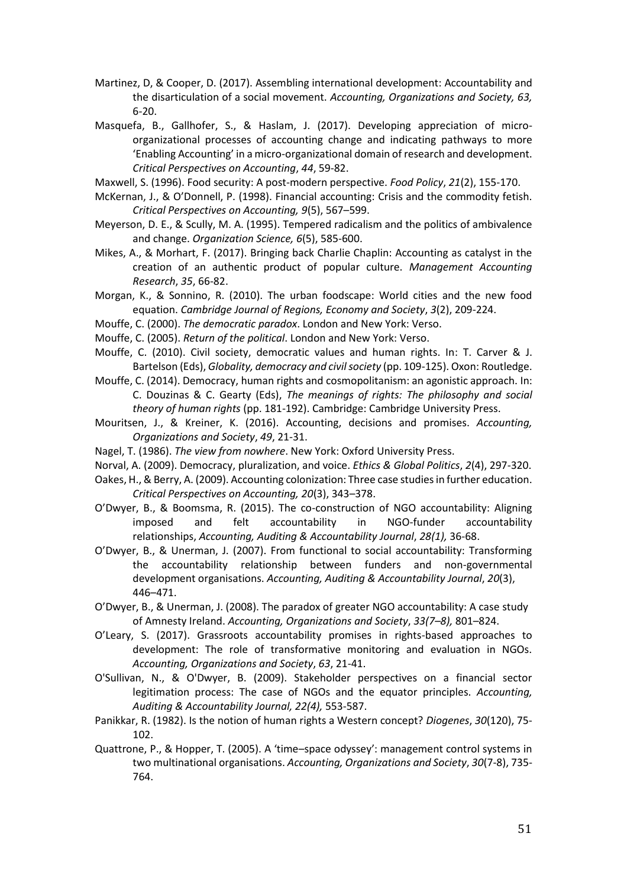- Martinez, D, & Cooper, D. (2017). Assembling international development: Accountability and the disarticulation of a social movement. *Accounting, Organizations and Society, 63,*  6-20.
- Masquefa, B., Gallhofer, S., & Haslam, J. (2017). Developing appreciation of microorganizational processes of accounting change and indicating pathways to more 'Enabling Accounting' in a micro-organizational domain of research and development. *Critical Perspectives on Accounting*, *44*, 59-82.
- Maxwell, S. (1996). Food security: A post-modern perspective. *Food Policy*, *21*(2), 155-170.
- McKernan, J., & O'Donnell, P. (1998). Financial accounting: Crisis and the commodity fetish. *Critical Perspectives on Accounting, 9*(5), 567–599.
- Meyerson, D. E., & Scully, M. A. (1995). Tempered radicalism and the politics of ambivalence and change. *Organization Science, 6*(5), 585-600.
- Mikes, A., & Morhart, F. (2017). Bringing back Charlie Chaplin: Accounting as catalyst in the creation of an authentic product of popular culture. *Management Accounting Research*, *35*, 66-82.
- Morgan, K., & Sonnino, R. (2010). The urban foodscape: World cities and the new food equation. *Cambridge Journal of Regions, Economy and Society*, *3*(2), 209-224.
- Mouffe, C. (2000). *The democratic paradox*. London and New York: Verso.
- Mouffe, C. (2005). *Return of the political*. London and New York: Verso.
- Mouffe, C. (2010). Civil society, democratic values and human rights. In: T. Carver & J. Bartelson (Eds), *Globality, democracy and civil society* (pp. 109-125). Oxon: Routledge.
- Mouffe, C. (2014). Democracy, human rights and cosmopolitanism: an agonistic approach. In: C. Douzinas & C. Gearty (Eds), *The meanings of rights: The philosophy and social theory of human rights* (pp. 181-192). Cambridge: Cambridge University Press.
- Mouritsen, J., & Kreiner, K. (2016). Accounting, decisions and promises. *Accounting, Organizations and Society*, *49*, 21-31.
- Nagel, T. (1986). *The view from nowhere*. New York: Oxford University Press.
- Norval, A. (2009). Democracy, pluralization, and voice. *Ethics & Global Politics*, *2*(4), 297-320.
- Oakes, H., & Berry, A. (2009). Accounting colonization: Three case studies in further education. *Critical Perspectives on Accounting, 20*(3), 343–378.
- O'Dwyer, B., & Boomsma, R. (2015). The co-construction of NGO accountability: Aligning imposed and felt accountability in NGO-funder accountability relationships, *Accounting, Auditing & Accountability Journal*, *28(1),* 36-68.
- O'Dwyer, B., & Unerman, J. (2007). From functional to social accountability: Transforming the accountability relationship between funders and non-governmental development organisations. *Accounting, Auditing & Accountability Journal*, *20*(3), 446–471.
- O'Dwyer, B., & Unerman, J. (2008). The paradox of greater NGO accountability: A case study of Amnesty Ireland. *Accounting, Organizations and Society*, *33(7–8),* 801–824.
- O'Leary, S. (2017). Grassroots accountability promises in rights-based approaches to development: The role of transformative monitoring and evaluation in NGOs. *Accounting, Organizations and Society*, *63*, 21-41.
- O'Sullivan, N., & O'Dwyer, B. (2009). Stakeholder perspectives on a financial sector legitimation process: The case of NGOs and the equator principles. *Accounting, Auditing & Accountability Journal, 22(4),* 553-587.
- Panikkar, R. (1982). Is the notion of human rights a Western concept? *Diogenes*, *30*(120), 75- 102.
- Quattrone, P., & Hopper, T. (2005). A 'time–space odyssey': management control systems in two multinational organisations. *Accounting, Organizations and Society*, *30*(7-8), 735- 764.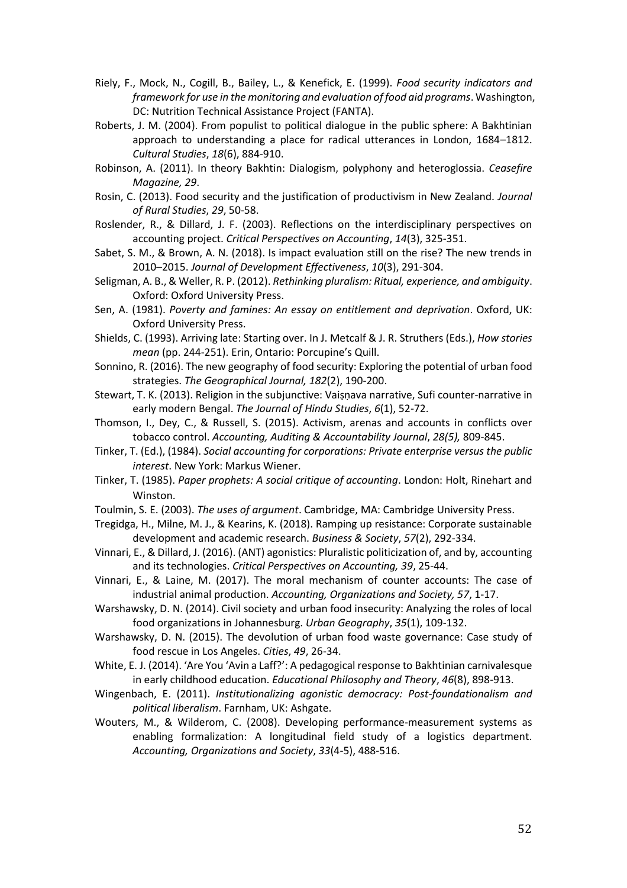- Riely, F., Mock, N., Cogill, B., Bailey, L., & Kenefick, E. (1999). *Food security indicators and framework for use in the monitoring and evaluation of food aid programs*. Washington, DC: Nutrition Technical Assistance Project (FANTA).
- Roberts, J. M. (2004). From populist to political dialogue in the public sphere: A Bakhtinian approach to understanding a place for radical utterances in London, 1684–1812. *Cultural Studies*, *18*(6), 884-910.
- Robinson, A. (2011). In theory Bakhtin: Dialogism, polyphony and heteroglossia. *Ceasefire Magazine, 29*.
- Rosin, C. (2013). Food security and the justification of productivism in New Zealand. *Journal of Rural Studies*, *29*, 50-58.
- Roslender, R., & Dillard, J. F. (2003). Reflections on the interdisciplinary perspectives on accounting project. *Critical Perspectives on Accounting*, *14*(3), 325-351.
- Sabet, S. M., & Brown, A. N. (2018). Is impact evaluation still on the rise? The new trends in 2010–2015. *Journal of Development Effectiveness*, *10*(3), 291-304.
- Seligman, A. B., & Weller, R. P. (2012). *Rethinking pluralism: Ritual, experience, and ambiguity*. Oxford: Oxford University Press.
- Sen, A. (1981). *Poverty and famines: An essay on entitlement and deprivation*. Oxford, UK: Oxford University Press.
- Shields, C. (1993). Arriving late: Starting over. In J. Metcalf & J. R. Struthers (Eds.), *How stories mean* (pp. 244-251). Erin, Ontario: Porcupine's Quill.
- Sonnino, R. (2016). The new geography of food security: Exploring the potential of urban food strategies. *The Geographical Journal, 182*(2), 190-200.
- Stewart, T. K. (2013). Religion in the subjunctive: Vaiṣṇava narrative, Sufi counter-narrative in early modern Bengal. *The Journal of Hindu Studies*, *6*(1), 52-72.
- Thomson, I., Dey, C., & Russell, S. (2015). Activism, arenas and accounts in conflicts over tobacco control. *Accounting, Auditing & Accountability Journal*, *28(5),* 809-845.
- Tinker, T. (Ed.), (1984). *Social accounting for corporations: Private enterprise versus the public interest*. New York: Markus Wiener.
- Tinker, T. (1985). *Paper prophets: A social critique of accounting*. London: Holt, Rinehart and Winston.
- Toulmin, S. E. (2003). *The uses of argument*. Cambridge, MA: Cambridge University Press.
- Tregidga, H., Milne, M. J., & Kearins, K. (2018). Ramping up resistance: Corporate sustainable development and academic research. *Business & Society*, *57*(2), 292-334.
- Vinnari, E., & Dillard, J. (2016). (ANT) agonistics: Pluralistic politicization of, and by, accounting and its technologies. *Critical Perspectives on Accounting, 39*, 25-44.
- Vinnari, E., & Laine, M. (2017). The moral mechanism of counter accounts: The case of industrial animal production. *Accounting, Organizations and Society, 57*, 1-17.
- Warshawsky, D. N. (2014). Civil society and urban food insecurity: Analyzing the roles of local food organizations in Johannesburg. *Urban Geography*, *35*(1), 109-132.
- Warshawsky, D. N. (2015). The devolution of urban food waste governance: Case study of food rescue in Los Angeles. *Cities*, *49*, 26-34.
- White, E. J. (2014). 'Are You 'Avin a Laff?': A pedagogical response to Bakhtinian carnivalesque in early childhood education. *Educational Philosophy and Theory*, *46*(8), 898-913.
- Wingenbach, E. (2011). *Institutionalizing agonistic democracy: Post-foundationalism and political liberalism*. Farnham, UK: Ashgate.
- Wouters, M., & Wilderom, C. (2008). Developing performance-measurement systems as enabling formalization: A longitudinal field study of a logistics department. *Accounting, Organizations and Society*, *33*(4-5), 488-516.